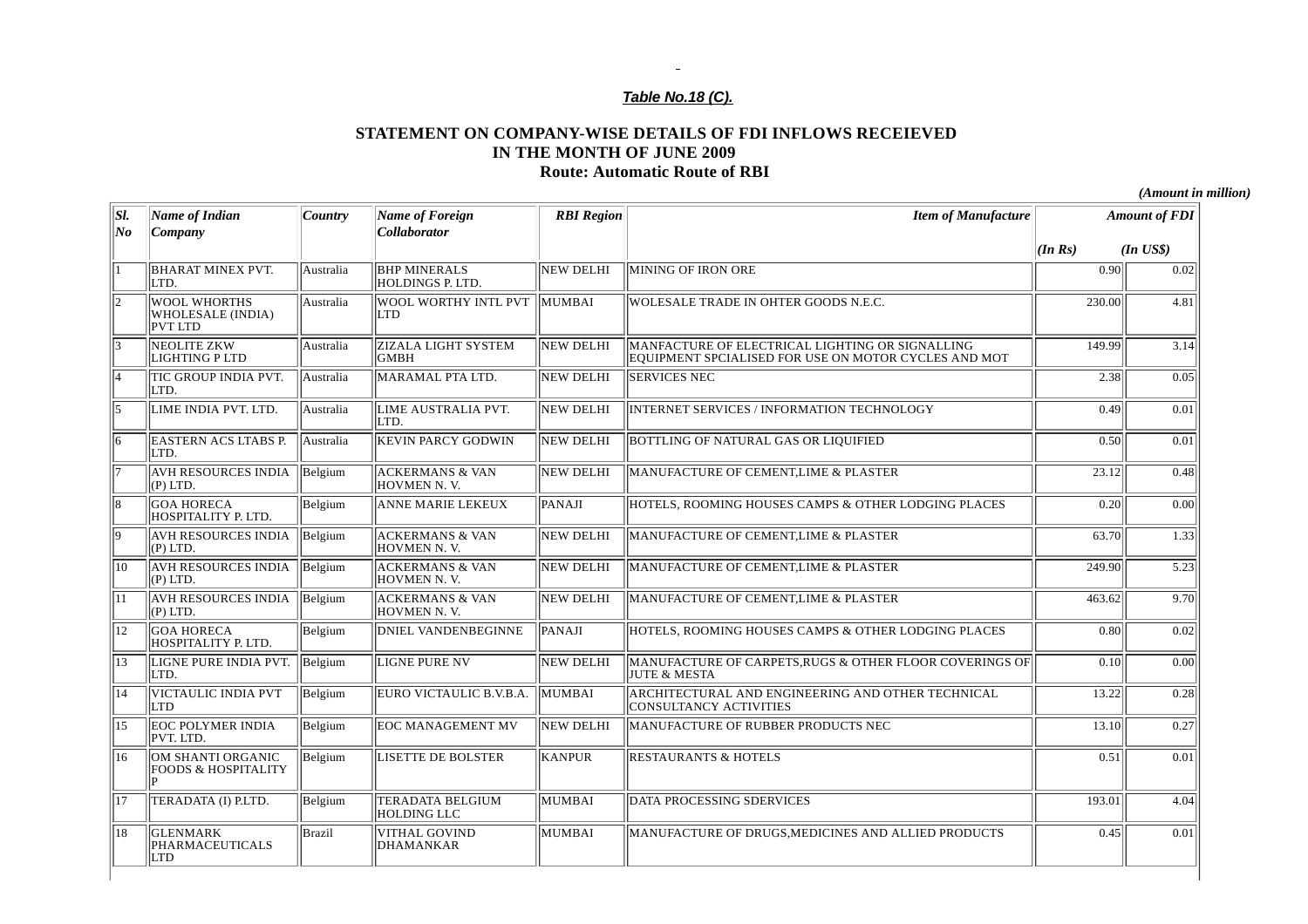## $\sim$ *Table No.18 (C).*

## **STATEMENT ON COMPANY-WISE DETAILS OF FDI INFLOWS RECEIEVED IN THE MONTH OF JUNE 2009 Route: Automatic Route of RBI**

*(Amount in million)*

| SI. | <b>Name of Indian</b>                                      | Country       | Name of Foreign                               | <b>RBI</b> Region | <b>Item of Manufacture</b>                                                                              |        | <b>Amount of FDI</b> |
|-----|------------------------------------------------------------|---------------|-----------------------------------------------|-------------------|---------------------------------------------------------------------------------------------------------|--------|----------------------|
| No  | Company                                                    |               | <b>Collaborator</b>                           |                   |                                                                                                         | (InRs) | $(In$ $US$)$         |
|     | <b>BHARAT MINEX PVT.</b><br>LTD.                           | Australia     | <b>BHP MINERALS</b><br>HOLDINGS P. LTD.       | NEW DELHI         | MINING OF IRON ORE                                                                                      | 0.90   | 0.02                 |
|     | <b>WOOL WHORTHS</b><br>WHOLESALE (INDIA)<br><b>PVT LTD</b> | Australia     | WOOL WORTHY INTL PVT<br><b>LTD</b>            | <b>MUMBAL</b>     | WOLESALE TRADE IN OHTER GOODS N.E.C.                                                                    | 230.00 | 4.81                 |
| lЗ  | NEOLITE ZKW<br>LIGHTING P LTD                              | Australia     | <b>ZIZALA LIGHT SYSTEM</b><br><b>GMBH</b>     | NEW DELHI         | MANFACTURE OF ELECTRICAL LIGHTING OR SIGNALLING<br>EQUIPMENT SPCIALISED FOR USE ON MOTOR CYCLES AND MOT | 149.99 | 3.14                 |
|     | TIC GROUP INDIA PVT.<br>LTD.                               | Australia     | MARAMAL PTA LTD.                              | NEW DELHI         | <b>SERVICES NEC</b>                                                                                     | 2.38   | 0.05                 |
| l5. | LIME INDIA PVT, LTD.                                       | Australia     | LIME AUSTRALIA PVT.<br>ILTD.                  | <b>NEW DELHI</b>  | INTERNET SERVICES / INFORMATION TECHNOLOGY                                                              | 0.49   | 0.01                 |
|     | <b>EASTERN ACS LTABS P.</b><br>LTD.                        | Australia     | <b>KEVIN PARCY GODWIN</b>                     | NEW DELHI         | BOTTLING OF NATURAL GAS OR LIQUIFIED                                                                    | 0.50   | 0.01                 |
|     | <b>AVH RESOURCES INDIA</b><br>$(P)$ LTD.                   | Belgium       | <b>ACKERMANS &amp; VAN</b><br>HOVMEN N.V.     | NEW DELHI         | MANUFACTURE OF CEMENT, LIME & PLASTER                                                                   | 23.12  | 0.48                 |
|     | <b>GOA HORECA</b><br>HOSPITALITY P. LTD.                   | Belgium       | <b>ANNE MARIE LEKEUX</b>                      | PANAJI            | HOTELS, ROOMING HOUSES CAMPS & OTHER LODGING PLACES                                                     | 0.20   | 0.00                 |
| ١q  | <b>AVH RESOURCES INDIA</b><br>$(P)$ LTD.                   | Belgium       | <b>ACKERMANS &amp; VAN</b><br>HOVMEN N.V.     | NEW DELHI         | MANUFACTURE OF CEMENT, LIME & PLASTER                                                                   | 63.70  | 1.33                 |
| 110 | <b>AVH RESOURCES INDIA</b><br>$(P)$ LTD.                   | Belgium       | <b>ACKERMANS &amp; VAN</b><br>HOVMEN N.V.     | NEW DELHI         | MANUFACTURE OF CEMENT, LIME & PLASTER                                                                   | 249.90 | 5.23                 |
| 111 | <b>AVH RESOURCES INDIA</b><br>$(P)$ LTD.                   | Belgium       | <b>ACKERMANS &amp; VAN</b><br>HOVMEN N.V.     | NEW DELHI         | MANUFACTURE OF CEMENT, LIME & PLASTER                                                                   | 463.62 | 9.70                 |
| 12  | <b>GOA HORECA</b><br>HOSPITALITY P. LTD.                   | Belgium       | <b>DNIEL VANDENBEGINNE</b>                    | PANAJI            | HOTELS, ROOMING HOUSES CAMPS & OTHER LODGING PLACES                                                     | 0.80   | 0.02                 |
| 113 | LIGNE PURE INDIA PVT.<br>LTD.                              | Belgium       | <b>LIGNE PURE NV</b>                          | NEW DELHI         | MANUFACTURE OF CARPETS RUGS & OTHER FLOOR COVERINGS OF<br><b>JUTE &amp; MESTA</b>                       | 0.10   | 0.00                 |
| 114 | VICTAULIC INDIA PVT<br><b>LTD</b>                          | Belgium       | EURO VICTAULIC B.V.B.A.                       | MUMBAI            | ARCHITECTURAL AND ENGINEERING AND OTHER TECHNICAL<br><b>CONSULTANCY ACTIVITIES</b>                      | 13.22  | 0.28                 |
| 115 | <b>EOC POLYMER INDIA</b><br>PVT. LTD.                      | Belgium       | <b>EOC MANAGEMENT MV</b>                      | NEW DELHI         | MANUFACTURE OF RUBBER PRODUCTS NEC                                                                      | 13.10  | 0.27                 |
| 116 | OM SHANTI ORGANIC<br><b>FOODS &amp; HOSPITALITY</b>        | Belgium       | LISETTE DE BOLSTER                            | KANPUR            | <b>RESTAURANTS &amp; HOTELS</b>                                                                         | 0.51   | 0.01                 |
| 117 | TERADATA (I) P.LTD.                                        | Belgium       | <b>TERADATA BELGIUM</b><br><b>HOLDING LLC</b> | MUMBAI            | DATA PROCESSING SDERVICES                                                                               | 193.01 | 4.04                 |
| 18  | <b>GLENMARK</b><br>PHARMACEUTICALS<br>LTD                  | <b>Brazil</b> | VITHAL GOVIND<br>DHAMANKAR                    | MUMBAI            | MANUFACTURE OF DRUGS, MEDICINES AND ALLIED PRODUCTS                                                     | 0.45   | 0.01                 |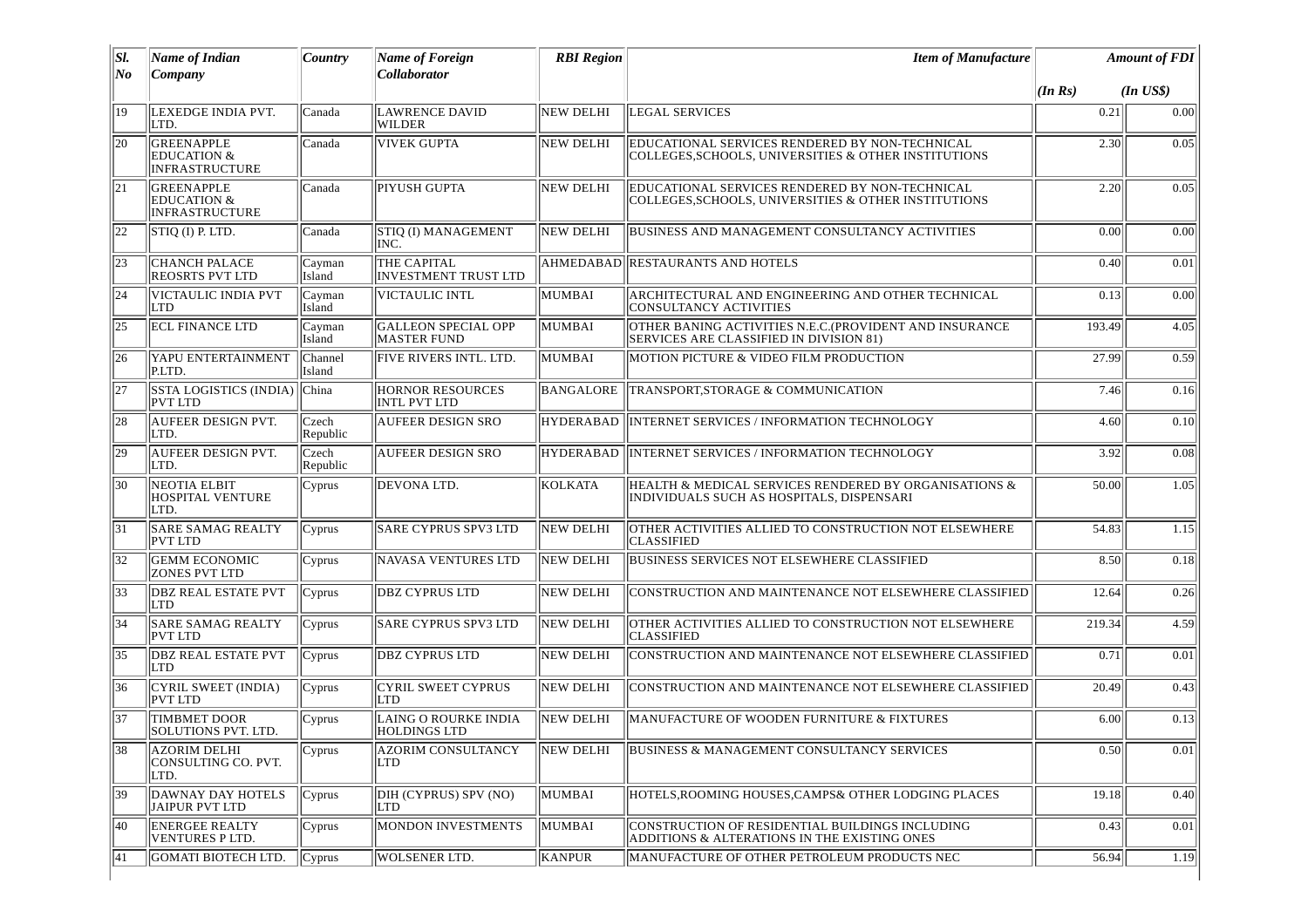| SI.<br>No | <b>Name of Indian</b><br>Company                                     | Country           | Name of Foreign<br><b>Collaborator</b>             | <b>RBI</b> Region | <b>Item of Manufacture</b>                                                                                |         | <b>Amount of FDI</b> |
|-----------|----------------------------------------------------------------------|-------------------|----------------------------------------------------|-------------------|-----------------------------------------------------------------------------------------------------------|---------|----------------------|
|           |                                                                      |                   |                                                    |                   |                                                                                                           | (In Rs) | $(In$ $US$)$         |
| 19        | LEXEDGE INDIA PVT.<br>LTD.                                           | Canada            | <b>LAWRENCE DAVID</b><br>WILDER                    | <b>NEW DELHI</b>  | <b>LEGAL SERVICES</b>                                                                                     | 0.21    | 0.00                 |
| 20        | GREENAPPLE<br><b>EDUCATION &amp;</b><br><b>INFRASTRUCTURE</b>        | Canada            | <b>VIVEK GUPTA</b>                                 | <b>NEW DELHI</b>  | EDUCATIONAL SERVICES RENDERED BY NON-TECHNICAL<br>COLLEGES, SCHOOLS, UNIVERSITIES & OTHER INSTITUTIONS    | 2.30    | 0.05                 |
| 21        | <b>GREENAPPLE</b><br><b>EDUCATION &amp;</b><br><b>INFRASTRUCTURE</b> | Canada            | PIYUSH GUPTA                                       | NEW DELHI         | EDUCATIONAL SERVICES RENDERED BY NON-TECHNICAL<br>COLLEGES.SCHOOLS. UNIVERSITIES & OTHER INSTITUTIONS     | 2.20    | 0.05                 |
| 22        | STIQ (I) P. LTD.                                                     | Canada            | STIQ (I) MANAGEMENT<br>INC.                        | NEW DELHI         | BUSINESS AND MANAGEMENT CONSULTANCY ACTIVITIES                                                            | 0.00    | 0.00                 |
| 23        | <b>CHANCH PALACE</b><br><b>REOSRTS PVT LTD</b>                       | Cayman<br>Island  | THE CAPITAL<br><b>INVESTMENT TRUST LTD</b>         |                   | AHMEDABAD RESTAURANTS AND HOTELS                                                                          | 0.40    | 0.01                 |
| 24        | VICTAULIC INDIA PVT<br><b>LTD</b>                                    | Cayman<br>Island  | VICTAULIC INTL                                     | MUMBAI            | ARCHITECTURAL AND ENGINEERING AND OTHER TECHNICAL<br><b>CONSULTANCY ACTIVITIES</b>                        | 0.13    | 0.00                 |
| 25        | <b>ECL FINANCE LTD</b>                                               | Cayman<br>Island  | <b>GALLEON SPECIAL OPP</b><br><b>MASTER FUND</b>   | MUMBAI            | OTHER BANING ACTIVITIES N.E.C. (PROVIDENT AND INSURANCE<br><b>SERVICES ARE CLASSIFIED IN DIVISION 81)</b> | 193.49  | 4.05                 |
| 26        | YAPU ENTERTAINMENT<br>P.LTD.                                         | Channel<br>Island | IFIVE RIVERS INTL. LTD.                            | MUMBAI            | MOTION PICTURE & VIDEO FILM PRODUCTION                                                                    | 27.99   | 0.59                 |
| 27        | <b>SSTA LOGISTICS (INDIA)</b><br><b>PVT LTD</b>                      | China             | <b>HORNOR RESOURCES</b><br><b>INTL PVT LTD</b>     | BANGALORE         | TRANSPORT, STORAGE & COMMUNICATION                                                                        | 7.46    | 0.16                 |
| 28        | <b>AUFEER DESIGN PVT.</b><br>LTD.                                    | Czech<br>Republic | <b>AUFEER DESIGN SRO</b>                           | <b>HYDERABAD</b>  | <b>INTERNET SERVICES / INFORMATION TECHNOLOGY</b>                                                         | 4.60    | 0.10                 |
| 29        | <b>AUFEER DESIGN PVT.</b><br>LTD.                                    | Czech<br>Republic | <b>AUFEER DESIGN SRO</b>                           |                   | HYDERABAD   INTERNET SERVICES / INFORMATION TECHNOLOGY                                                    | 3.92    | 0.08                 |
| 30        | NEOTIA ELBIT<br><b>HOSPITAL VENTURE</b><br>LTD.                      | Cyprus            | DEVONA LTD.                                        | KOLKATA           | HEALTH & MEDICAL SERVICES RENDERED BY ORGANISATIONS &<br>INDIVIDUALS SUCH AS HOSPITALS, DISPENSARI        | 50.00   | 1.05                 |
| 31        | <b>SARE SAMAG REALTY</b><br><b>PVT LTD</b>                           | Cyprus            | <b>SARE CYPRUS SPV3 LTD</b>                        | <b>NEW DELHI</b>  | OTHER ACTIVITIES ALLIED TO CONSTRUCTION NOT ELSEWHERE<br><b>CLASSIFIED</b>                                | 54.83   | 1.15                 |
| 32        | <b>GEMM ECONOMIC</b><br><b>ZONES PVT LTD</b>                         | Cyprus            | NAVASA VENTURES LTD                                | <b>NEW DELHI</b>  | BUSINESS SERVICES NOT ELSEWHERE CLASSIFIED                                                                | 8.50    | 0.18                 |
| 33        | <b>DBZ REAL ESTATE PVT</b><br><b>LTD</b>                             | Cyprus            | <b>DBZ CYPRUS LTD</b>                              | <b>NEW DELHI</b>  | CONSTRUCTION AND MAINTENANCE NOT ELSEWHERE CLASSIFIED                                                     | 12.64   | 0.26                 |
| 34        | <b>SARE SAMAG REALTY</b><br><b>PVT LTD</b>                           | Cyprus            | <b>SARE CYPRUS SPV3 LTD</b>                        | <b>NEW DELHI</b>  | OTHER ACTIVITIES ALLIED TO CONSTRUCTION NOT ELSEWHERE<br><b>CLASSIFIED</b>                                | 219.34  | 4.59                 |
| 35        | <b>DBZ REAL ESTATE PVT</b><br><b>LTD</b>                             | Cyprus            | <b>DBZ CYPRUS LTD</b>                              | <b>NEW DELHI</b>  | CONSTRUCTION AND MAINTENANCE NOT ELSEWHERE CLASSIFIED                                                     | 0.71    | 0.01                 |
| 36        | <b>CYRIL SWEET (INDIA)</b><br><b>PVT LTD</b>                         | Cyprus            | <b>CYRIL SWEET CYPRUS</b><br><b>LTD</b>            | <b>NEW DELHI</b>  | CONSTRUCTION AND MAINTENANCE NOT ELSEWHERE CLASSIFIED                                                     | 20.49   | 0.43                 |
| 37        | <b>TIMBMET DOOR</b><br>SOLUTIONS PVT. LTD.                           | Cyprus            | <b>LAING O ROURKE INDIA</b><br><b>HOLDINGS LTD</b> | <b>NEW DELHI</b>  | MANUFACTURE OF WOODEN FURNITURE & FIXTURES                                                                | 6.00    | 0.13                 |
| 38        | AZORIM DELHI<br>CONSULTING CO. PVT.<br>LTD.                          | Cyprus            | AZORIM CONSULTANCY<br>LTD                          | NEW DELHI         | <b>BUSINESS &amp; MANAGEMENT CONSULTANCY SERVICES</b>                                                     | 0.50    | 0.01                 |
| 39        | DAWNAY DAY HOTELS<br>JAIPUR PVT LTD                                  | Cyprus            | DIH (CYPRUS) SPV (NO)<br>ILTD                      | MUMBAI            | HOTELS, ROOMING HOUSES, CAMPS& OTHER LODGING PLACES                                                       | 19.18   | 0.40                 |
| 40        | ENERGEE REALTY<br>VENTURES P LTD.                                    | Cyprus            | MONDON INVESTMENTS                                 | MUMBAI            | CONSTRUCTION OF RESIDENTIAL BUILDINGS INCLUDING<br>ADDITIONS & ALTERATIONS IN THE EXISTING ONES           | 0.43    | 0.01                 |
| 41        | <b>GOMATI BIOTECH LTD.</b>                                           | Cyprus            | WOLSENER LTD.                                      | <b>KANPUR</b>     | MANUFACTURE OF OTHER PETROLEUM PRODUCTS NEC                                                               | 56.94   | 1.19                 |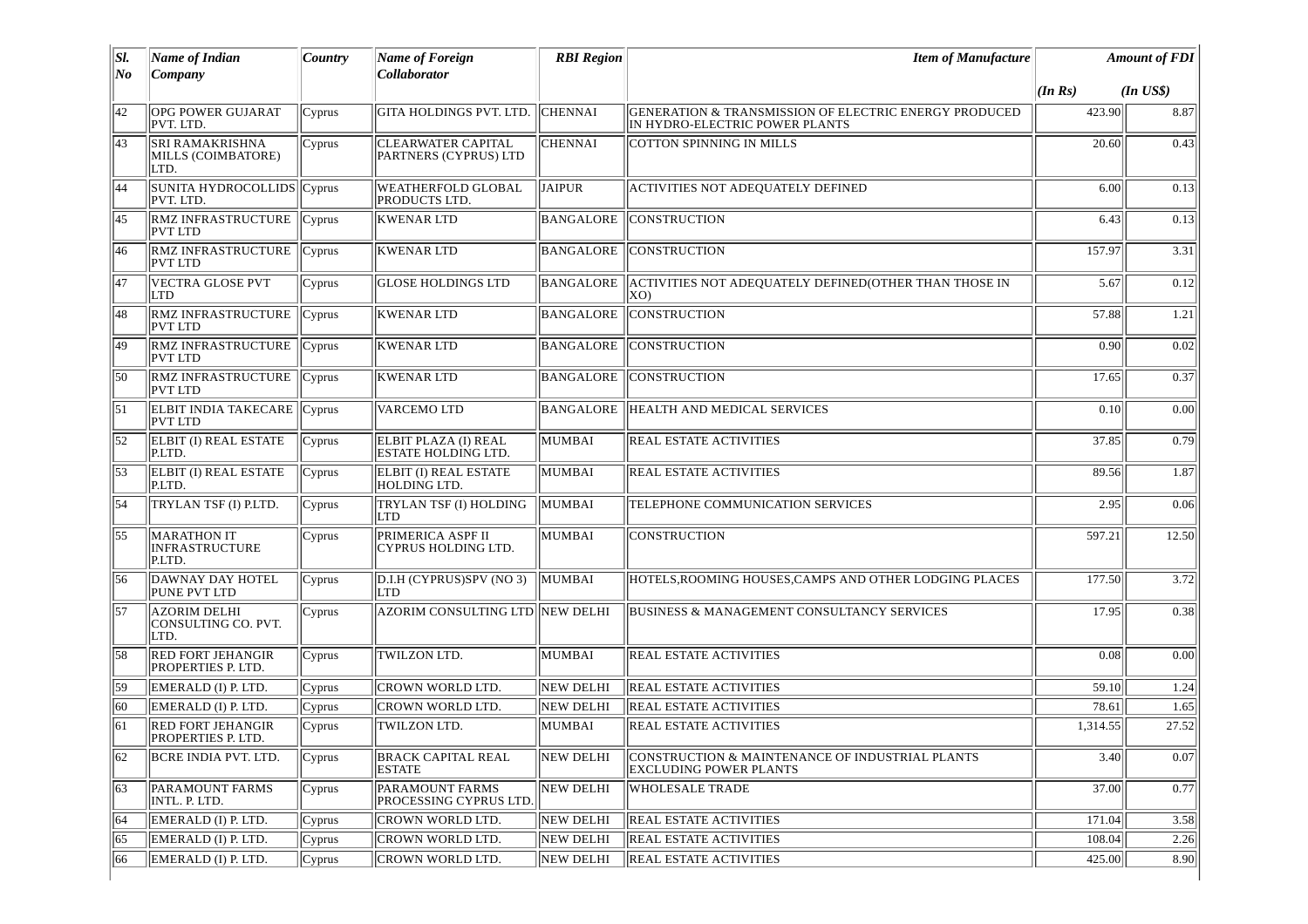| SI. | Name of Indian                                     | <i>Country</i> | Name of Foreign                                    | <b>RBI</b> Region | <b>Item of Manufacture</b>                                                              |          | <b>Amount of FDI</b> |
|-----|----------------------------------------------------|----------------|----------------------------------------------------|-------------------|-----------------------------------------------------------------------------------------|----------|----------------------|
| No  | Company                                            |                | Collaborator                                       |                   |                                                                                         | (In Rs)  | $(In$ $US$)$         |
| 42  | <b>OPG POWER GUJARAT</b><br>PVT. LTD.              | Cyprus         | GITA HOLDINGS PVT. LTD.                            | <b>CHENNAI</b>    | GENERATION & TRANSMISSION OF ELECTRIC ENERGY PRODUCED<br>IN HYDRO-ELECTRIC POWER PLANTS | 423.90   | 8.87                 |
| 43  | SRI RAMAKRISHNA<br>MILLS (COIMBATORE)<br>LTD.      | Cyprus         | <b>CLEARWATER CAPITAL</b><br>PARTNERS (CYPRUS) LTD | <b>CHENNAI</b>    | <b>COTTON SPINNING IN MILLS</b>                                                         | 20.60    | 0.43                 |
| 44  | SUNITA HYDROCOLLIDS Cyprus<br>PVT. LTD.            |                | <b>WEATHERFOLD GLOBAL</b><br>PRODUCTS LTD.         | <b>JAIPUR</b>     | <b>ACTIVITIES NOT ADEQUATELY DEFINED</b>                                                | 6.00     | 0.13                 |
| 45  | <b>RMZ INFRASTRUCTURE</b><br><b>PVT LTD</b>        | Cyprus         | <b>KWENAR LTD</b>                                  | BANGALORE         | <b>CONSTRUCTION</b>                                                                     | 6.43     | 0.13                 |
| 46  | <b>RMZ INFRASTRUCTURE</b><br><b>PVT LTD</b>        | Cyprus         | <b>KWENAR LTD</b>                                  |                   | BANGALORE CONSTRUCTION                                                                  | 157.97   | 3.31                 |
| 47  | VECTRA GLOSE PVT<br><b>LTD</b>                     | Cyprus         | <b>GLOSE HOLDINGS LTD</b>                          |                   | BANGALORE ACTIVITIES NOT ADEQUATELY DEFINED(OTHER THAN THOSE IN<br>(XO                  | 5.67     | 0.12                 |
| 48  | <b>RMZ INFRASTRUCTURE</b><br><b>PVT LTD</b>        | Cyprus         | <b>KWENAR LTD</b>                                  | BANGALORE         | <b>CONSTRUCTION</b>                                                                     | 57.88    | 1.21                 |
| 49  | <b>RMZ INFRASTRUCTURE</b><br><b>PVT LTD</b>        | Cvprus         | <b>KWENAR LTD</b>                                  | BANGALORE         | <b>CONSTRUCTION</b>                                                                     | 0.90     | 0.02                 |
| 50  | <b>RMZ INFRASTRUCTURE</b><br><b>PVT LTD</b>        | Cyprus         | <b>KWENAR LTD</b>                                  | <b>BANGALORE</b>  | <b>CONSTRUCTION</b>                                                                     | 17.65    | 0.37                 |
| 51  | <b>ELBIT INDIA TAKECARE</b><br><b>PVT LTD</b>      | Cyprus         | <b>VARCEMO LTD</b>                                 |                   | BANGALORE HEALTH AND MEDICAL SERVICES                                                   | 0.10     | 0.00                 |
| 52  | <b>ELBIT (I) REAL ESTATE</b><br>P.LTD.             | Cyprus         | ELBIT PLAZA (I) REAL<br><b>ESTATE HOLDING LTD.</b> | MUMBAI            | <b>REAL ESTATE ACTIVITIES</b>                                                           | 37.85    | 0.79                 |
| 53  | <b>ELBIT (I) REAL ESTATE</b><br>P.LTD.             | Cyprus         | ELBIT (I) REAL ESTATE<br><b>HOLDING LTD.</b>       | MUMBAI            | <b>REAL ESTATE ACTIVITIES</b>                                                           | 89.56    | 1.87                 |
| 54  | TRYLAN TSF (I) P.LTD.                              | Cyprus         | TRYLAN TSF (I) HOLDING<br><b>LTD</b>               | MUMBAI            | TELEPHONE COMMUNICATION SERVICES                                                        | 2.95     | 0.06                 |
| 55  | MARATHON IT<br><b>INFRASTRUCTURE</b><br>P.LTD.     | Cyprus         | PRIMERICA ASPF II<br>CYPRUS HOLDING LTD.           | MUMBAI            | <b>CONSTRUCTION</b>                                                                     | 597.21   | 12.50                |
| 56  | DAWNAY DAY HOTEL<br><b>PUNE PVT LTD</b>            | Cyprus         | D.I.H (CYPRUS)SPV (NO 3)<br>LTD                    | MUMBAI            | HOTELS, ROOMING HOUSES, CAMPS AND OTHER LODGING PLACES                                  | 177.50   | 3.72                 |
| 57  | <b>AZORIM DELHI</b><br>CONSULTING CO. PVT.<br>LTD. | Cyprus         | AZORIM CONSULTING LTD NEW DELHI                    |                   | <b>BUSINESS &amp; MANAGEMENT CONSULTANCY SERVICES</b>                                   | 17.95    | 0.38                 |
| 58  | <b>RED FORT JEHANGIR</b><br>PROPERTIES P. LTD.     | Cyprus         | TWILZON LTD.                                       | MUMBAI            | <b>REAL ESTATE ACTIVITIES</b>                                                           | 0.08     | 0.00                 |
| 59  | EMERALD (I) P. LTD.                                | Cyprus         | CROWN WORLD LTD.                                   | NEW DELHI         | REAL ESTATE ACTIVITIES                                                                  | 59.10    | 1.24                 |
| 60  | EMERALD (I) P. LTD.                                | Cyprus         | <b>CROWN WORLD LTD.</b>                            | NEW DELHI         | <b>REAL ESTATE ACTIVITIES</b>                                                           | 78.61    | 1.65                 |
| 61  | <b>RED FORT JEHANGIR</b><br>PROPERTIES P. LTD.     | Cyprus         | TWILZON LTD.                                       | MUMBAI            | <b>REAL ESTATE ACTIVITIES</b>                                                           | 1,314.55 | 27.52                |
| 62  | BCRE INDIA PVT. LTD.                               | Cyprus         | <b>BRACK CAPITAL REAL</b><br><b>ESTATE</b>         | NEW DELHI         | CONSTRUCTION & MAINTENANCE OF INDUSTRIAL PLANTS<br>EXCLUDING POWER PLANTS               | 3.40     | 0.07                 |
| 63  | <b>PARAMOUNT FARMS</b><br>INTL. P. LTD.            | Cyprus         | <b>PARAMOUNT FARMS</b><br>PROCESSING CYPRUS LTD.   | NEW DELHI         | <b>WHOLESALE TRADE</b>                                                                  | 37.00    | 0.77                 |
| 164 | EMERALD (I) P. LTD.                                | Cyprus         | CROWN WORLD LTD.                                   | NEW DELHI         | <b>REAL ESTATE ACTIVITIES</b>                                                           | 171.04   | 3.58                 |
| 65  | EMERALD (I) P. LTD.                                | Cyprus         | <b>CROWN WORLD LTD.</b>                            | NEW DELHI         | REAL ESTATE ACTIVITIES                                                                  | 108.04   | 2.26                 |
| 66  | EMERALD (I) P. LTD.                                | Cyprus         | CROWN WORLD LTD.                                   | <b>NEW DELHI</b>  | REAL ESTATE ACTIVITIES                                                                  | 425.00   | 8.90                 |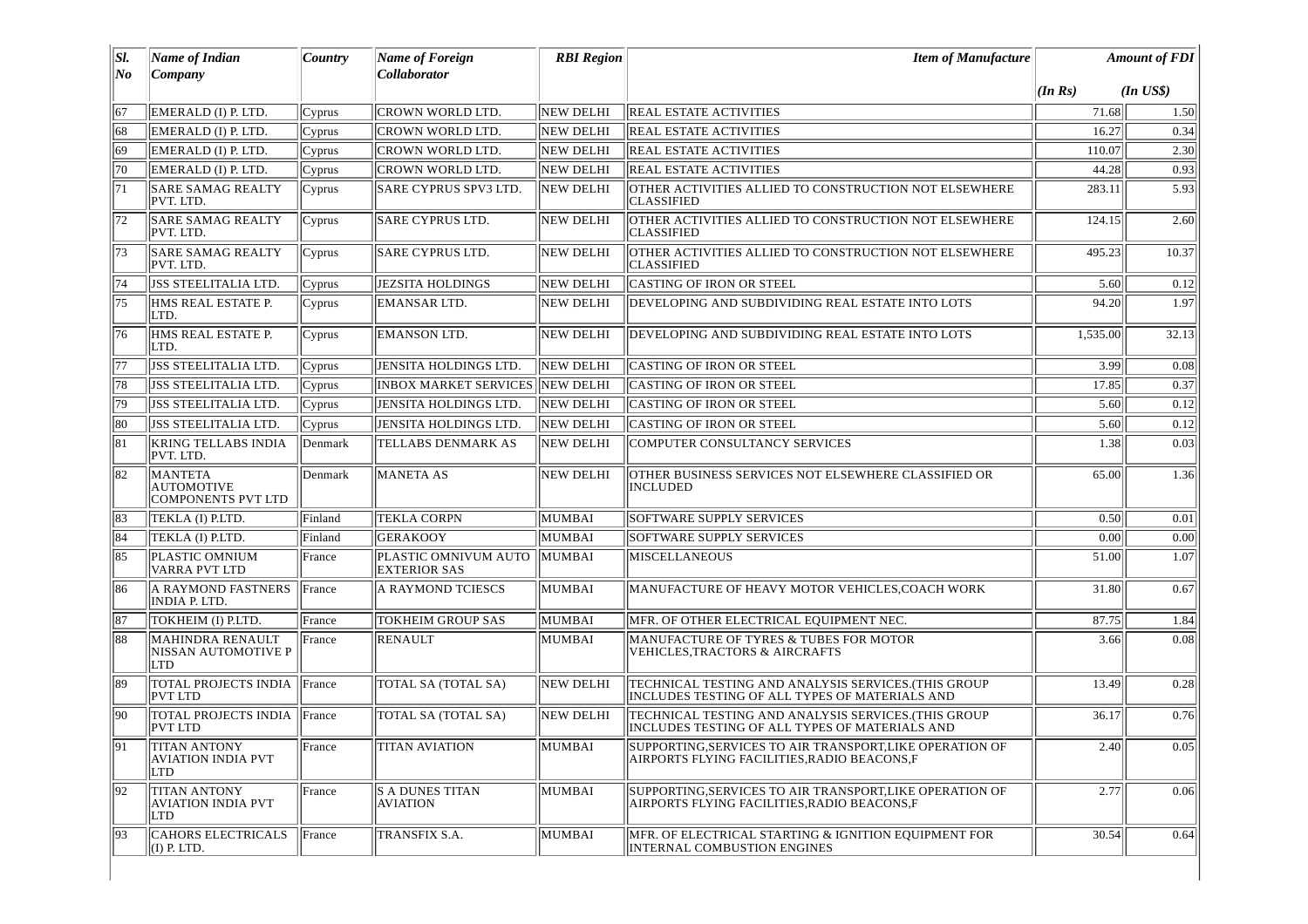| SI.          | <b>Name of Indian</b>                                               | Country | <b>Name of Foreign</b>                      | <b>RBI</b> Region | <b>Item of Manufacture</b>                                                                               |                   | <b>Amount of FDI</b> |
|--------------|---------------------------------------------------------------------|---------|---------------------------------------------|-------------------|----------------------------------------------------------------------------------------------------------|-------------------|----------------------|
| No           | Company                                                             |         | Collaborator                                |                   |                                                                                                          | $(\ln \text{Rs})$ | $(In$ $USS)$         |
| 67           | EMERALD (I) P. LTD.                                                 | Cyprus  | CROWN WORLD LTD.                            | <b>NEW DELHI</b>  | <b>REAL ESTATE ACTIVITIES</b>                                                                            | 71.68             | 1.50                 |
| 68           | EMERALD (I) P. LTD.                                                 | Cyprus  | <b>CROWN WORLD LTD.</b>                     | <b>NEW DELHI</b>  | <b>REAL ESTATE ACTIVITIES</b>                                                                            | 16.27             | 0.34                 |
| 69           | EMERALD (I) P. LTD.                                                 | Cyprus  | CROWN WORLD LTD.                            | <b>NEW DELHI</b>  | REAL ESTATE ACTIVITIES                                                                                   | 110.07            | 2.30                 |
| 70           | EMERALD (I) P. LTD.                                                 | Cyprus  | CROWN WORLD LTD.                            | <b>NEW DELHI</b>  | REAL ESTATE ACTIVITIES                                                                                   | 44.28             | 0.93                 |
| 71           | <b>SARE SAMAG REALTY</b><br>PVT. LTD.                               | Cyprus  | <b>SARE CYPRUS SPV3 LTD.</b>                | <b>NEW DELHI</b>  | OTHER ACTIVITIES ALLIED TO CONSTRUCTION NOT ELSEWHERE<br><b>CLASSIFIED</b>                               | 283.11            | 5.93                 |
| 72           | <b>SARE SAMAG REALTY</b><br>PVT. LTD.                               | Cyprus  | SARE CYPRUS LTD.                            | <b>NEW DELHI</b>  | OTHER ACTIVITIES ALLIED TO CONSTRUCTION NOT ELSEWHERE<br><b>CLASSIFIED</b>                               | 124.15            | 2.60                 |
| 73           | <b>SARE SAMAG REALTY</b><br>PVT. LTD.                               | Cyprus  | <b>SARE CYPRUS LTD.</b>                     | NEW DELHI         | OTHER ACTIVITIES ALLIED TO CONSTRUCTION NOT ELSEWHERE<br><b>CLASSIFIED</b>                               | 495.23            | 10.37                |
| 74           | JSS STEELITALIA LTD.                                                | Cyprus  | <b>JEZSITA HOLDINGS</b>                     | <b>NEW DELHI</b>  | CASTING OF IRON OR STEEL                                                                                 | 5.60              | 0.12                 |
| 75           | HMS REAL ESTATE P.<br>LTD.                                          | Cyprus  | <b>EMANSAR LTD.</b>                         | NEW DELHI         | DEVELOPING AND SUBDIVIDING REAL ESTATE INTO LOTS                                                         | 94.20             | 1.97                 |
| 76           | HMS REAL ESTATE P.<br>LTD.                                          | Cyprus  | <b>EMANSON LTD.</b>                         | NEW DELHI         | DEVELOPING AND SUBDIVIDING REAL ESTATE INTO LOTS                                                         | 1,535.00          | 32.13                |
| 77           | JSS STEELITALIA LTD.                                                | Cyprus  | JENSITA HOLDINGS LTD.                       | <b>NEW DELHI</b>  | <b>CASTING OF IRON OR STEEL</b>                                                                          | 3.99              | 0.08                 |
| 78           | JSS STEELITALIA LTD.                                                | Cyprus  | <b>INBOX MARKET SERVICES</b>                | NEW DELHI         | CASTING OF IRON OR STEEL                                                                                 | 17.85             | 0.37                 |
| 79           | JSS STEELITALIA LTD.                                                | Cyprus  | <b>JENSITA HOLDINGS LTD.</b>                | <b>NEW DELHI</b>  | CASTING OF IRON OR STEEL                                                                                 | 5.60              | 0.12                 |
| 80           | JSS STEELITALIA LTD.                                                | Cyprus  | JENSITA HOLDINGS LTD                        | <b>NEW DELHI</b>  | CASTING OF IRON OR STEEL                                                                                 | 5.60              | 0.12                 |
| 81           | <b>KRING TELLABS INDIA</b><br>PVT. LTD.                             | Denmark | <b>TELLABS DENMARK AS</b>                   | NEW DELHI         | <b>COMPUTER CONSULTANCY SERVICES</b>                                                                     | 1.38              | 0.03                 |
| 82           | <b>MANTETA</b><br><b>AUTOMOTIVE</b><br><b>COMPONENTS PVT LTD</b>    | Denmark | <b>MANETA AS</b>                            | NEW DELHI         | OTHER BUSINESS SERVICES NOT ELSEWHERE CLASSIFIED OR<br><b>INCLUDED</b>                                   | 65.00             | 1.36                 |
| $\sqrt{83}$  | TEKLA (I) P.LTD.                                                    | Finland | <b>TEKLA CORPN</b>                          | <b>MUMBAI</b>     | SOFTWARE SUPPLY SERVICES                                                                                 | 0.50              | 0.01                 |
| 84           | TEKLA (I) P.LTD.                                                    | Finland | <b>GERAKOOY</b>                             | MUMBAI            | SOFTWARE SUPPLY SERVICES                                                                                 | 0.00              | 0.00                 |
| 85           | <b>PLASTIC OMNIUM</b><br>VARRA PVT LTD                              | France  | PLASTIC OMNIVUM AUTO<br><b>EXTERIOR SAS</b> | MUMBAI            | <b>MISCELLANEOUS</b>                                                                                     | 51.00             | 1.07                 |
| 86           | A RAYMOND FASTNERS<br>INDIA P. LTD.                                 | France  | A RAYMOND TCIESCS                           | <b>MUMBAI</b>     | MANUFACTURE OF HEAVY MOTOR VEHICLES, COACH WORK                                                          | 31.80             | 0.67                 |
| 87           | TOKHEIM (I) P.LTD.                                                  | France  | <b>TOKHEIM GROUP SAS</b>                    | MUMBAI            | MFR. OF OTHER ELECTRICAL EQUIPMENT NEC.                                                                  | 87.75             | 1.84                 |
| 88           | <b>MAHINDRA RENAULT</b><br><b>NISSAN AUTOMOTIVE P</b><br><b>LTD</b> | France  | <b>RENAULT</b>                              | MUMBAI            | MANUFACTURE OF TYRES & TUBES FOR MOTOR<br><b>VEHICLES, TRACTORS &amp; AIRCRAFTS</b>                      | 3.66              | 0.08                 |
| 89           | TOTAL PROJECTS INDIA<br><b>PVT LTD</b>                              | France  | <b>TOTAL SA (TOTAL SA)</b>                  | <b>NEW DELHI</b>  | TECHNICAL TESTING AND ANALYSIS SERVICES.(THIS GROUP<br>INCLUDES TESTING OF ALL TYPES OF MATERIALS AND    | 13.49             | 0.28                 |
| $ 90\rangle$ | TOTAL PROJECTS INDIA France<br><b>PVT LTD</b>                       |         | TOTAL SA (TOTAL SA)                         | <b>NEW DELHI</b>  | TECHNICAL TESTING AND ANALYSIS SERVICES. (THIS GROUP<br>INCLUDES TESTING OF ALL TYPES OF MATERIALS AND   | 36.17             | 0.76                 |
| 91           | <b>TITAN ANTONY</b><br><b>AVIATION INDIA PVT</b><br>LTD             | France  | <b>TITAN AVIATION</b>                       | MUMBAI            | SUPPORTING, SERVICES TO AIR TRANSPORT, LIKE OPERATION OF<br>AIRPORTS FLYING FACILITIES,RADIO BEACONS,F   | 2.40              | 0.05                 |
| 92           | <b>TITAN ANTONY</b><br><b>AVIATION INDIA PVT</b><br>LTD             | France  | <b>S A DUNES TITAN</b><br><b>AVIATION</b>   | MUMBAI            | SUPPORTING, SERVICES TO AIR TRANSPORT, LIKE OPERATION OF<br>AIRPORTS FLYING FACILITIES, RADIO BEACONS, F | 2.77              | 0.06                 |
| 93           | <b>CAHORS ELECTRICALS</b><br>$(I)$ P. LTD.                          | France  | TRANSFIX S.A.                               | MUMBAI            | MFR. OF ELECTRICAL STARTING & IGNITION EOUIPMENT FOR<br>INTERNAL COMBUSTION ENGINES                      | 30.54             | 0.64                 |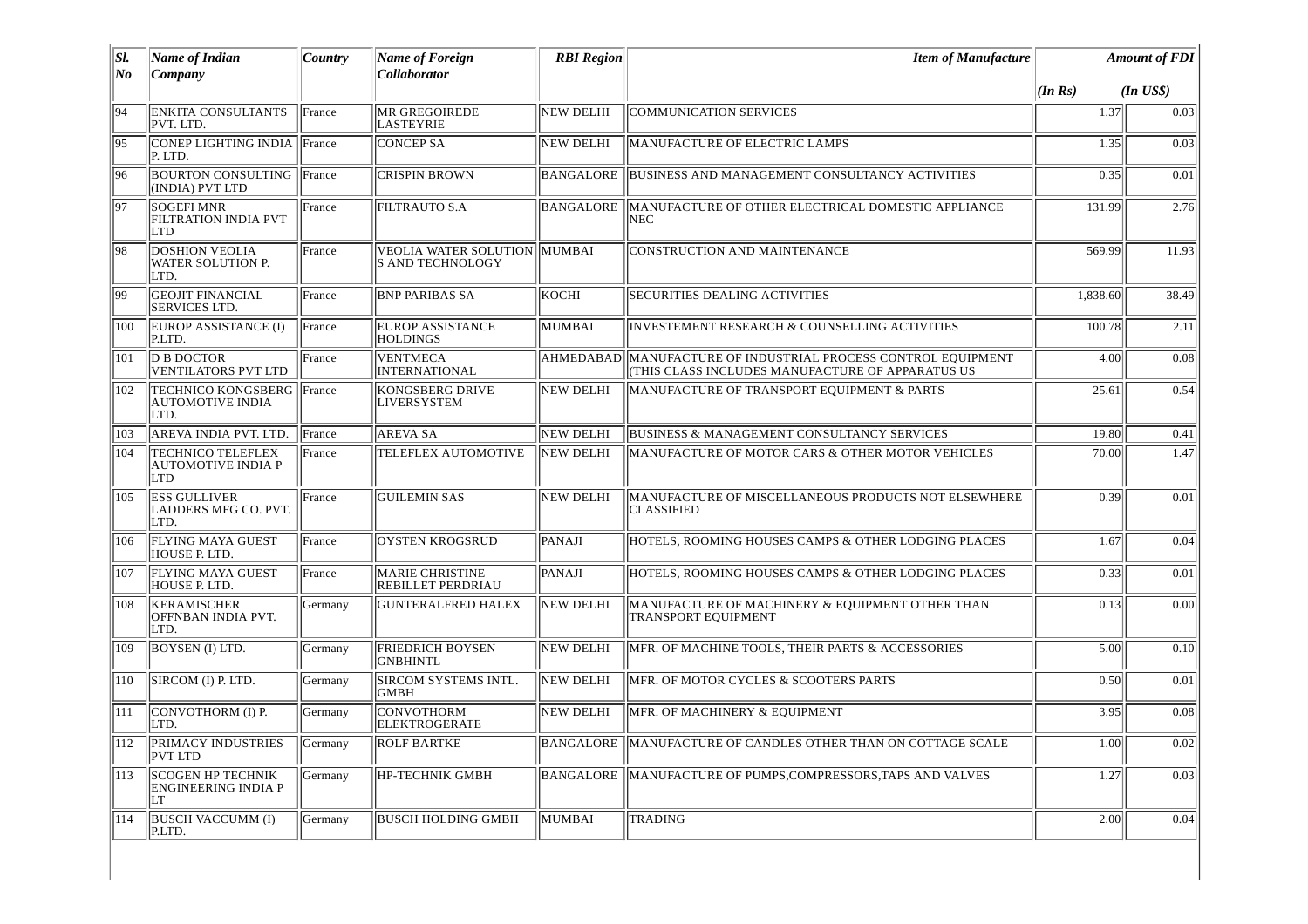| SI.            | <b>Name of Indian</b>                                               | Country | <b>Name of Foreign</b>                                  | <b>RBI Region</b> | <b>Item of Manufacture</b>                                                                                         |          | <b>Amount of FDI</b> |
|----------------|---------------------------------------------------------------------|---------|---------------------------------------------------------|-------------------|--------------------------------------------------------------------------------------------------------------------|----------|----------------------|
| N <sub>o</sub> | Company                                                             |         | <b>Collaborator</b>                                     |                   |                                                                                                                    | (In Rs)  | $(In$ $USS)$         |
| 94             | ENKITA CONSULTANTS<br>PVT. LTD.                                     | France  | <b>MR GREGOIREDE</b><br><b>LASTEYRIE</b>                | <b>NEW DELHI</b>  | <b>COMMUNICATION SERVICES</b>                                                                                      | 1.37     | 0.03                 |
| 95             | CONEP LIGHTING INDIA IFrance<br>P. LTD.                             |         | <b>CONCEP SA</b>                                        | <b>NEW DELHI</b>  | MANUFACTURE OF ELECTRIC LAMPS                                                                                      | 1.35     | 0.03                 |
| 96             | <b>BOURTON CONSULTING  France</b><br>(INDIA) PVT LTD                |         | <b>CRISPIN BROWN</b>                                    | BANGALORE         | <b>BUSINESS AND MANAGEMENT CONSULTANCY ACTIVITIES</b>                                                              | 0.35     | 0.01                 |
| 97             | <b>SOGEFI MNR</b><br><b>FILTRATION INDIA PVT</b><br><b>LTD</b>      | France  | <b>FILTRAUTO S.A</b>                                    | BANGALORE         | MANUFACTURE OF OTHER ELECTRICAL DOMESTIC APPLIANCE<br>NEC.                                                         | 131.99   | 2.76                 |
| 98             | <b>DOSHION VEOLIA</b><br>WATER SOLUTION P.<br>LTD.                  | France  | <b>VEOLIA WATER SOLUTION MUMBAI</b><br>S AND TECHNOLOGY |                   | <b>CONSTRUCTION AND MAINTENANCE</b>                                                                                | 569.99   | 11.93                |
| 99             | <b>GEOJIT FINANCIAL</b><br><b>SERVICES LTD.</b>                     | France  | <b>BNP PARIBAS SA</b>                                   | lkochi            | <b>SECURITIES DEALING ACTIVITIES</b>                                                                               | 1,838.60 | 38.49                |
| 100            | EUROP ASSISTANCE (I)<br>P.LTD.                                      | France  | <b>EUROP ASSISTANCE</b><br><b>HOLDINGS</b>              | MUMBAI            | <b>INVESTEMENT RESEARCH &amp; COUNSELLING ACTIVITIES</b>                                                           | 100.78   | 2.11                 |
| 101            | <b>D B DOCTOR</b><br><b>VENTILATORS PVT LTD</b>                     | France  | <b>VENTMECA</b><br><b>INTERNATIONAL</b>                 |                   | AHMEDABAD  MANUFACTURE OF INDUSTRIAL PROCESS CONTROL EQUIPMENT<br>(THIS CLASS INCLUDES MANUFACTURE OF APPARATUS US | 4.00     | 0.08                 |
| 102            | TECHNICO KONGSBERG   France<br><b>AUTOMOTIVE INDIA</b><br>LTD.      |         | KONGSBERG DRIVE<br><b>LIVERSYSTEM</b>                   | NEW DELHI         | MANUFACTURE OF TRANSPORT EQUIPMENT & PARTS                                                                         | 25.61    | 0.54                 |
| 103            | AREVA INDIA PVT. LTD.                                               | France  | <b>AREVA SA</b>                                         | NEW DELHI         | BUSINESS & MANAGEMENT CONSULTANCY SERVICES                                                                         | 19.80    | 0.41                 |
| 104            | <b>TECHNICO TELEFLEX</b><br><b>AUTOMOTIVE INDIA P</b><br><b>LTD</b> | France  | TELEFLEX AUTOMOTIVE                                     | <b>NEW DELHI</b>  | MANUFACTURE OF MOTOR CARS & OTHER MOTOR VEHICLES                                                                   | 70.00    | 1.47                 |
| 105            | <b>ESS GULLIVER</b><br>LADDERS MFG CO. PVT.<br>LTD.                 | France  | <b>GUILEMIN SAS</b>                                     | <b>NEW DELHI</b>  | MANUFACTURE OF MISCELLANEOUS PRODUCTS NOT ELSEWHERE<br><b>CLASSIFIED</b>                                           | 0.39     | 0.01                 |
| 106            | <b>FLYING MAYA GUEST</b><br>HOUSE P. LTD.                           | France  | <b>OYSTEN KROGSRUD</b>                                  | <b>PANAJI</b>     | HOTELS, ROOMING HOUSES CAMPS & OTHER LODGING PLACES                                                                | 1.67     | 0.04                 |
| 107            | FLYING MAYA GUEST<br>HOUSE P. LTD.                                  | France  | <b>MARIE CHRISTINE</b><br>REBILLET PERDRIAU             | PANAJI            | HOTELS, ROOMING HOUSES CAMPS & OTHER LODGING PLACES                                                                | 0.33     | 0.01                 |
| 108            | <b>KERAMISCHER</b><br>OFFNBAN INDIA PVT.<br>LTD.                    | Germany | <b>GUNTERALFRED HALEX</b>                               | NEW DELHI         | MANUFACTURE OF MACHINERY & EQUIPMENT OTHER THAN<br><b>TRANSPORT EQUIPMENT</b>                                      | 0.13     | 0.00                 |
| 109            | BOYSEN (I) LTD.                                                     | Germany | <b>FRIEDRICH BOYSEN</b><br><b>GNBHINTL</b>              | NEW DELHI         | MFR. OF MACHINE TOOLS, THEIR PARTS & ACCESSORIES                                                                   | 5.00     | 0.10                 |
| 110            | SIRCOM (I) P. LTD.                                                  | Germany | SIRCOM SYSTEMS INTL.<br><b>GMBH</b>                     | NEW DELHI         | MFR. OF MOTOR CYCLES & SCOOTERS PARTS                                                                              | 0.50     | 0.01                 |
| 111            | CONVOTHORM (I) P.<br>LTD.                                           | Germany | CONVOTHORM<br>ELEKTROGERATE                             | NEW DELHI         | MFR. OF MACHINERY & EQUIPMENT                                                                                      | 3.95     | 0.08                 |
| 112            | PRIMACY INDUSTRIES<br>PVT LTD                                       | Germany | <b>ROLF BARTKE</b>                                      | BANGALORE         | MANUFACTURE OF CANDLES OTHER THAN ON COTTAGE SCALE                                                                 | 1.00     | 0.02                 |
| 113            | <b>SCOGEN HP TECHNIK</b><br><b>ENGINEERING INDIA P</b><br>LT        | Germany | <b>HP-TECHNIK GMBH</b>                                  | BANGALORE         | MANUFACTURE OF PUMPS, COMPRESSORS, TAPS AND VALVES                                                                 | 1.27     | 0.03                 |
| 114            | <b>BUSCH VACCUMM (I)</b><br>P.LTD.                                  | Germany | BUSCH HOLDING GMBH                                      | MUMBAI            | <b>TRADING</b>                                                                                                     | 2.00     | 0.04                 |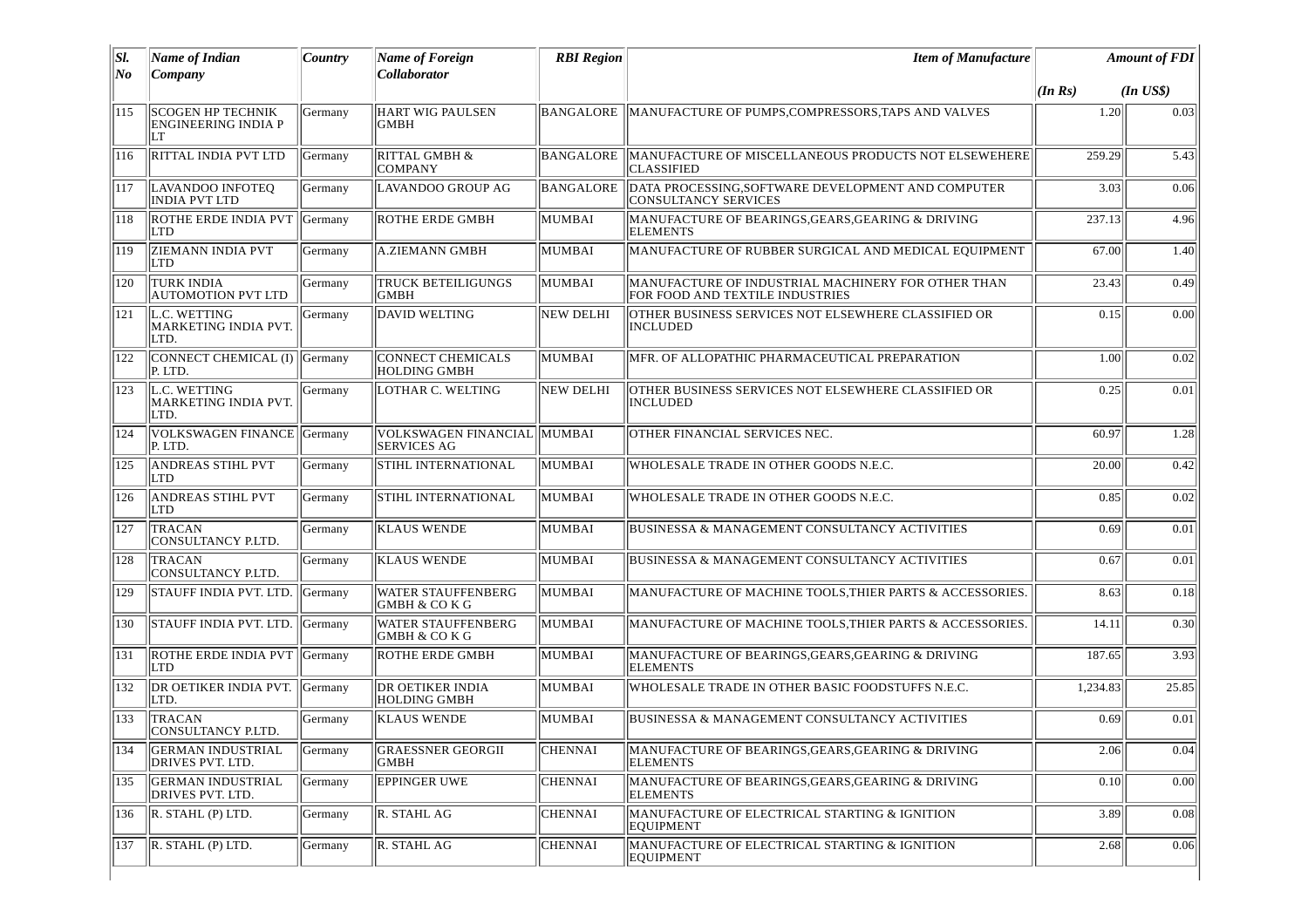| SI.<br>No | <b>Name of Indian</b><br>Company                             | Country | <b>Name of Foreign</b><br>Collaborator             | <b>RBI</b> Region | <b>Item of Manufacture</b>                                                            |          | <b>Amount of FDI</b> |
|-----------|--------------------------------------------------------------|---------|----------------------------------------------------|-------------------|---------------------------------------------------------------------------------------|----------|----------------------|
|           |                                                              |         |                                                    |                   |                                                                                       | (In Rs)  | $(In$ $US$)$         |
| 115       | <b>SCOGEN HP TECHNIK</b><br><b>ENGINEERING INDIA P</b><br>LT | Germany | <b>HART WIG PAULSEN</b><br><b>GMBH</b>             | BANGALORE         | MANUFACTURE OF PUMPS, COMPRESSORS, TAPS AND VALVES                                    | 1.20     | 0.03                 |
| 116       | RITTAL INDIA PVT LTD                                         | Germany | RITTAL GMBH &<br><b>COMPANY</b>                    | BANGALORE.        | MANUFACTURE OF MISCELLANEOUS PRODUCTS NOT ELSEWEHERE<br><b>CLASSIFIED</b>             | 259.29   | 5.43                 |
| 117       | LAVANDOO INFOTEQ<br><b>INDIA PVT LTD</b>                     | Germany | LAVANDOO GROUP AG                                  | <b>BANGALORE</b>  | DATA PROCESSING, SOFTWARE DEVELOPMENT AND COMPUTER<br><b>CONSULTANCY SERVICES</b>     | 3.03     | 0.06                 |
| 118       | ROTHE ERDE INDIA PVT<br>LTD                                  | Germany | <b>ROTHE ERDE GMBH</b>                             | MUMBAI            | MANUFACTURE OF BEARINGS, GEARS, GEARING & DRIVING<br><b>ELEMENTS</b>                  | 237.13   | 4.96                 |
| 119       | <b>ZIEMANN INDIA PVT</b><br>LTD                              | Germany | <b>A.ZIEMANN GMBH</b>                              | MUMBAI            | MANUFACTURE OF RUBBER SURGICAL AND MEDICAL EQUIPMENT                                  | 67.00    | 1.40                 |
| 120       | <b>TURK INDIA</b><br><b>AUTOMOTION PVT LTD</b>               | Germany | <b>TRUCK BETEILIGUNGS</b><br><b>GMBH</b>           | MUMBAI            | MANUFACTURE OF INDUSTRIAL MACHINERY FOR OTHER THAN<br>FOR FOOD AND TEXTILE INDUSTRIES | 23.43    | 0.49                 |
| 121       | L.C. WETTING<br>MARKETING INDIA PVT.<br>LTD.                 | Germany | DAVID WELTING                                      | <b>NEW DELHI</b>  | OTHER BUSINESS SERVICES NOT ELSEWHERE CLASSIFIED OR<br><b>INCLUDED</b>                | 0.15     | 0.00                 |
| 122       | CONNECT CHEMICAL (I)   Germany<br>P. LTD.                    |         | <b>CONNECT CHEMICALS</b><br><b>HOLDING GMBH</b>    | MUMBAI            | MFR. OF ALLOPATHIC PHARMACEUTICAL PREPARATION                                         | 1.00     | 0.02                 |
| 123       | L.C. WETTING<br>MARKETING INDIA PVT.<br>LTD.                 | Germany | LOTHAR C. WELTING                                  | NEW DELHI         | OTHER BUSINESS SERVICES NOT ELSEWHERE CLASSIFIED OR<br><b>INCLUDED</b>                | 0.25     | 0.01                 |
| 124       | VOLKSWAGEN FINANCE Germany<br>P. LTD.                        |         | VOLKSWAGEN FINANCIAL  MUMBAI<br><b>SERVICES AG</b> |                   | OTHER FINANCIAL SERVICES NEC.                                                         | 60.97    | 1.28                 |
| 125       | <b>ANDREAS STIHL PVT</b><br><b>LTD</b>                       | Germany | <b>STIHL INTERNATIONAL</b>                         | MUMBAI            | WHOLESALE TRADE IN OTHER GOODS N.E.C.                                                 | 20.00    | 0.42                 |
| 126       | <b>ANDREAS STIHL PVT</b><br>LTD                              | Germany | STIHL INTERNATIONAL                                | MUMBAI            | WHOLESALE TRADE IN OTHER GOODS N.E.C.                                                 | 0.85     | 0.02                 |
| 127       | <b>TRACAN</b><br>CONSULTANCY P.LTD.                          | Germany | <b>KLAUS WENDE</b>                                 | MUMBAI            | <b>BUSINESSA &amp; MANAGEMENT CONSULTANCY ACTIVITIES</b>                              | 0.69     | 0.01                 |
| 128       | <b>TRACAN</b><br>CONSULTANCY P.LTD.                          | Germany | <b>KLAUS WENDE</b>                                 | MUMBAI            | <b>BUSINESSA &amp; MANAGEMENT CONSULTANCY ACTIVITIES</b>                              | 0.67     | 0.01                 |
| 129       | STAUFF INDIA PVT. LTD.                                       | Germany | <b>WATER STAUFFENBERG</b><br>GMBH & COKG           | MUMBAI            | MANUFACTURE OF MACHINE TOOLS, THIER PARTS & ACCESSORIES.                              | 8.63     | 0.18                 |
| 130       | STAUFF INDIA PVT. LTD.                                       | Germany | <b>WATER STAUFFENBERG</b><br>GMBH & CO K G         | MUMBAI            | MANUFACTURE OF MACHINE TOOLS, THIER PARTS & ACCESSORIES.                              | 14.11    | 0.30                 |
| 131       | ROTHE ERDE INDIA PVT Germany<br>LTD                          |         | <b>ROTHE ERDE GMBH</b>                             | MUMBAI            | MANUFACTURE OF BEARINGS, GEARS, GEARING & DRIVING<br><b>ELEMENTS</b>                  | 187.65   | 3.93                 |
| 132       | DR OETIKER INDIA PVT. Germany<br>LTD.                        |         | <b>DR OETIKER INDIA</b><br><b>HOLDING GMBH</b>     | MUMBAI            | WHOLESALE TRADE IN OTHER BASIC FOODSTUFFS N.E.C.                                      | 1,234.83 | 25.85                |
| 133       | <b>TRACAN</b><br>CONSULTANCY P.LTD.                          | Germany | <b>KLAUS WENDE</b>                                 | MUMBAI            | BUSINESSA & MANAGEMENT CONSULTANCY ACTIVITIES                                         | 0.69     | 0.01                 |
| 134       | <b>GERMAN INDUSTRIAL</b><br>DRIVES PVT. LTD.                 | Germany | <b>GRAESSNER GEORGII</b><br>GMBH                   | <b>CHENNAI</b>    | MANUFACTURE OF BEARINGS, GEARS, GEARING & DRIVING<br><b>ELEMENTS</b>                  | 2.06     | 0.04                 |
| 135       | <b>GERMAN INDUSTRIAL</b><br>DRIVES PVT. LTD.                 | Germany | <b>EPPINGER UWE</b>                                | <b>CHENNAI</b>    | MANUFACTURE OF BEARINGS, GEARS, GEARING & DRIVING<br><b>ELEMENTS</b>                  | 0.10     | 0.00                 |
| 136       | R. STAHL (P) LTD.                                            | Germany | R. STAHL AG                                        | <b>CHENNAI</b>    | MANUFACTURE OF ELECTRICAL STARTING & IGNITION<br><b>EQUIPMENT</b>                     | 3.89     | 0.08                 |
| 137       | $\vert$ R. STAHL (P) LTD.                                    | Germany | R. STAHL AG                                        | <b>CHENNAI</b>    | MANUFACTURE OF ELECTRICAL STARTING & IGNITION<br>EQUIPMENT                            | 2.68     | 0.06                 |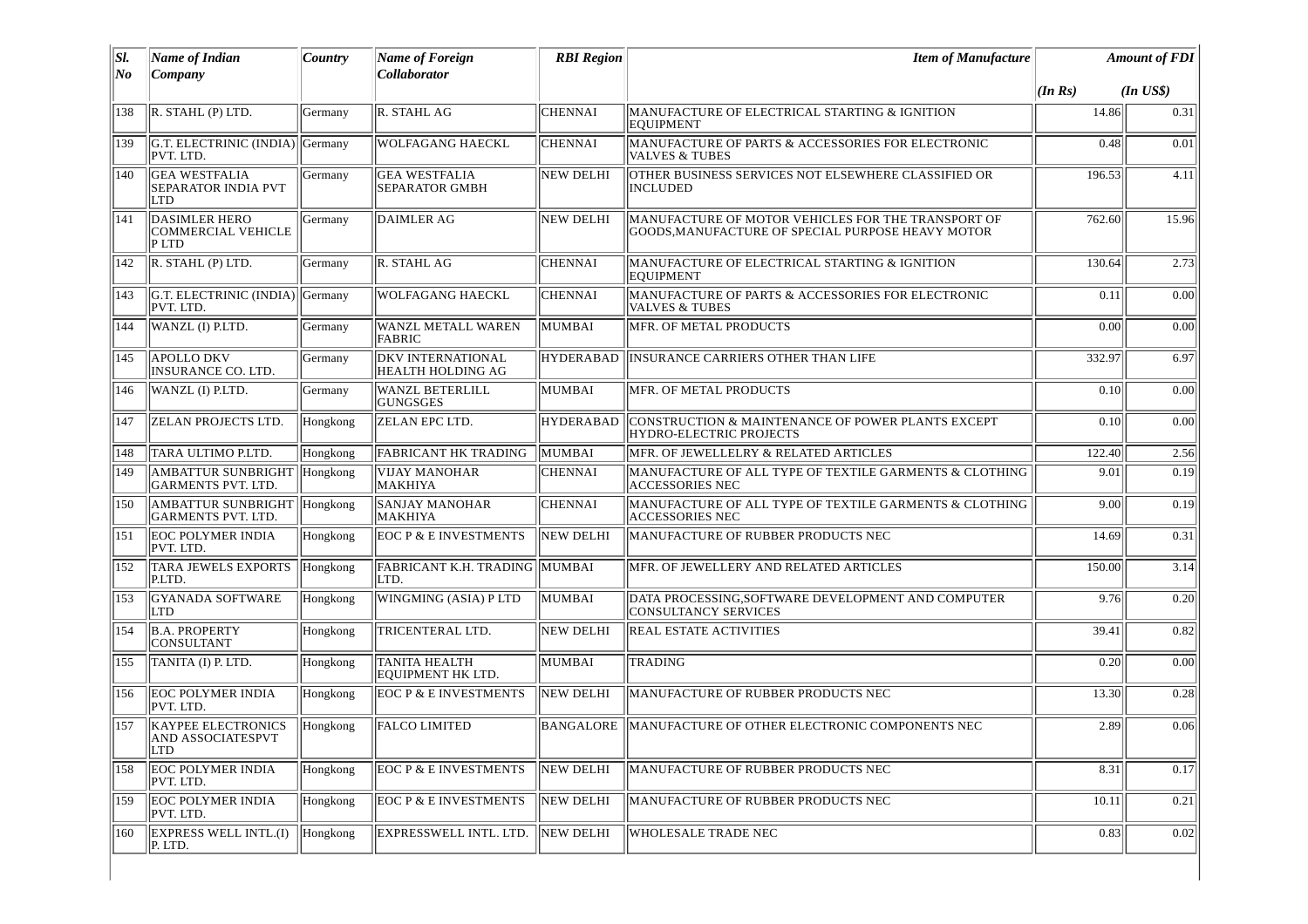| SI. | Name of Indian                                                      | Country  | Name of Foreign                                      | <b>RBI</b> Region | <b>Item of Manufacture</b>                                                                              | <b>Amount of FDI</b> |              |
|-----|---------------------------------------------------------------------|----------|------------------------------------------------------|-------------------|---------------------------------------------------------------------------------------------------------|----------------------|--------------|
| No  | Company                                                             |          | <b>Collaborator</b>                                  |                   |                                                                                                         | (In Rs)              | $(In$ $US$)$ |
| 138 | R. STAHL (P) LTD.                                                   | Germany  | R. STAHL AG                                          | <b>CHENNAI</b>    | MANUFACTURE OF ELECTRICAL STARTING & IGNITION<br><b>EQUIPMENT</b>                                       | 14.86                | 0.31         |
| 139 | G.T. ELECTRINIC (INDIA) Germany<br>PVT. LTD.                        |          | <b>WOLFAGANG HAECKL</b>                              | <b>CHENNAI</b>    | MANUFACTURE OF PARTS & ACCESSORIES FOR ELECTRONIC<br><b>VALVES &amp; TUBES</b>                          | 0.48                 | 0.01         |
| 140 | <b>GEA WESTFALIA</b><br><b>SEPARATOR INDIA PVT</b><br>LTD           | Germany  | <b>GEA WESTFALIA</b><br><b>SEPARATOR GMBH</b>        | <b>NEW DELHI</b>  | OTHER BUSINESS SERVICES NOT ELSEWHERE CLASSIFIED OR<br><b>INCLUDED</b>                                  | 196.53               | 4.11         |
| 141 | <b>DASIMLER HERO</b><br><b>COMMERCIAL VEHICLE</b><br>P LTD          | Germany  | <b>DAIMLER AG</b>                                    | <b>NEW DELHI</b>  | MANUFACTURE OF MOTOR VEHICLES FOR THE TRANSPORT OF<br>GOODS, MANUFACTURE OF SPECIAL PURPOSE HEAVY MOTOR | 762.60               | 15.96        |
| 142 | R. STAHL (P) LTD.                                                   | Germany  | R. STAHL AG                                          | <b>CHENNAI</b>    | MANUFACTURE OF ELECTRICAL STARTING & IGNITION<br><b>EQUIPMENT</b>                                       | 130.64               | 2.73         |
| 143 | G.T. ELECTRINIC (INDIA)  Germany<br>PVT. LTD.                       |          | <b>WOLFAGANG HAECKL</b>                              | <b>CHENNAI</b>    | MANUFACTURE OF PARTS & ACCESSORIES FOR ELECTRONIC<br><b>VALVES &amp; TUBES</b>                          | 0.11                 | 0.00         |
| 144 | WANZL (I) P.LTD.                                                    | Germany  | <b>WANZL METALL WAREN</b><br>FABRIC                  | MUMBAI            | MFR. OF METAL PRODUCTS                                                                                  | 0.00                 | 0.00         |
| 145 | <b>APOLLO DKV</b><br>INSURANCE CO. LTD.                             | Germany  | <b>DKV INTERNATIONAL</b><br><b>HEALTH HOLDING AG</b> | <b>HYDERABAD</b>  | INSURANCE CARRIERS OTHER THAN LIFE                                                                      | 332.97               | 6.97         |
| 146 | WANZL (I) P.LTD.                                                    | Germany  | <b>WANZL BETERLILL</b><br><b>GUNGSGES</b>            | MUMBAI            | MFR. OF METAL PRODUCTS                                                                                  | 0.10                 | 0.00         |
| 147 | <b>ZELAN PROJECTS LTD.</b>                                          | Hongkong | ZELAN EPC LTD.                                       | <b>HYDERABAD</b>  | CONSTRUCTION & MAINTENANCE OF POWER PLANTS EXCEPT<br>HYDRO-ELECTRIC PROJECTS                            | 0.10                 | 0.00         |
| 148 | TARA ULTIMO P.LTD.                                                  | Hongkong | <b>FABRICANT HK TRADING</b>                          | MUMBAI            | MFR. OF JEWELLELRY & RELATED ARTICLES                                                                   | 122.40               | 2.56         |
| 149 | AMBATTUR SUNBRIGHT Hongkong<br><b>GARMENTS PVT. LTD.</b>            |          | <b>VIJAY MANOHAR</b><br>MAKHIYA                      | <b>CHENNAI</b>    | MANUFACTURE OF ALL TYPE OF TEXTILE GARMENTS & CLOTHING<br><b>ACCESSORIES NEC</b>                        | 9.01                 | 0.19         |
| 150 | AMBATTUR SUNBRIGHT Hongkong<br><b>GARMENTS PVT. LTD.</b>            |          | <b>SANJAY MANOHAR</b><br>MAKHIYA                     | <b>CHENNAI</b>    | MANUFACTURE OF ALL TYPE OF TEXTILE GARMENTS & CLOTHING<br><b>ACCESSORIES NEC</b>                        | 9.00                 | 0.19         |
| 151 | <b>EOC POLYMER INDIA</b><br>PVT. LTD.                               | Hongkong | <b>EOC P &amp; E INVESTMENTS</b>                     | <b>NEW DELHI</b>  | MANUFACTURE OF RUBBER PRODUCTS NEC                                                                      | 14.69                | 0.31         |
| 152 | <b>TARA JEWELS EXPORTS</b><br>P.LTD.                                | Hongkong | FABRICANT K.H. TRADING   MUMBAI<br>LTD.              |                   | MFR. OF JEWELLERY AND RELATED ARTICLES                                                                  | 150.00               | 3.14         |
| 153 | <b>GYANADA SOFTWARE</b><br>LTD                                      | Hongkong | WINGMING (ASIA) P LTD                                | MUMBAI            | DATA PROCESSING, SOFTWARE DEVELOPMENT AND COMPUTER<br><b>CONSULTANCY SERVICES</b>                       | 9.76                 | 0.20         |
| 154 | <b>B.A. PROPERTY</b><br><b>CONSULTANT</b>                           | Hongkong | TRICENTERAL LTD.                                     | NEW DELHI         | <b>REAL ESTATE ACTIVITIES</b>                                                                           | 39.41                | 0.82         |
| 155 | TANITA (I) P. LTD.                                                  | Hongkong | <b>TANITA HEALTH</b><br>EOUIPMENT HK LTD.            | MUMBAI            | TRADING                                                                                                 | 0.20                 | 0.00         |
| 156 | <b>EOC POLYMER INDIA</b><br>PVT. LTD.                               | Hongkong | <b>EOCP &amp; E INVESTMENTS</b>                      | <b>NEW DELHI</b>  | MANUFACTURE OF RUBBER PRODUCTS NEC                                                                      | 13.30                | 0.28         |
| 157 | <b>KAYPEE ELECTRONICS</b><br><b>AND ASSOCIATESPVT</b><br><b>LTD</b> | Hongkong | <b>FALCO LIMITED</b>                                 | BANGALORE         | MANUFACTURE OF OTHER ELECTRONIC COMPONENTS NEC                                                          | 2.89                 | 0.06         |
| 158 | <b>EOC POLYMER INDIA</b><br>PVT. LTD.                               | Hongkong | <b>EOC P &amp; E INVESTMENTS</b>                     | NEW DELHI         | MANUFACTURE OF RUBBER PRODUCTS NEC                                                                      | 8.31                 | 0.17         |
| 159 | <b>EOC POLYMER INDIA</b><br>PVT. LTD.                               | Hongkong | <b>EOC P &amp; E INVESTMENTS</b>                     | NEW DELHI         | MANUFACTURE OF RUBBER PRODUCTS NEC                                                                      | 10.11                | 0.21         |
| 160 | <b>EXPRESS WELL INTL.(I)</b><br>P. LTD.                             | Hongkong | EXPRESSWELL INTL. LTD.                               | NEW DELHI         | WHOLESALE TRADE NEC                                                                                     | 0.83                 | 0.02         |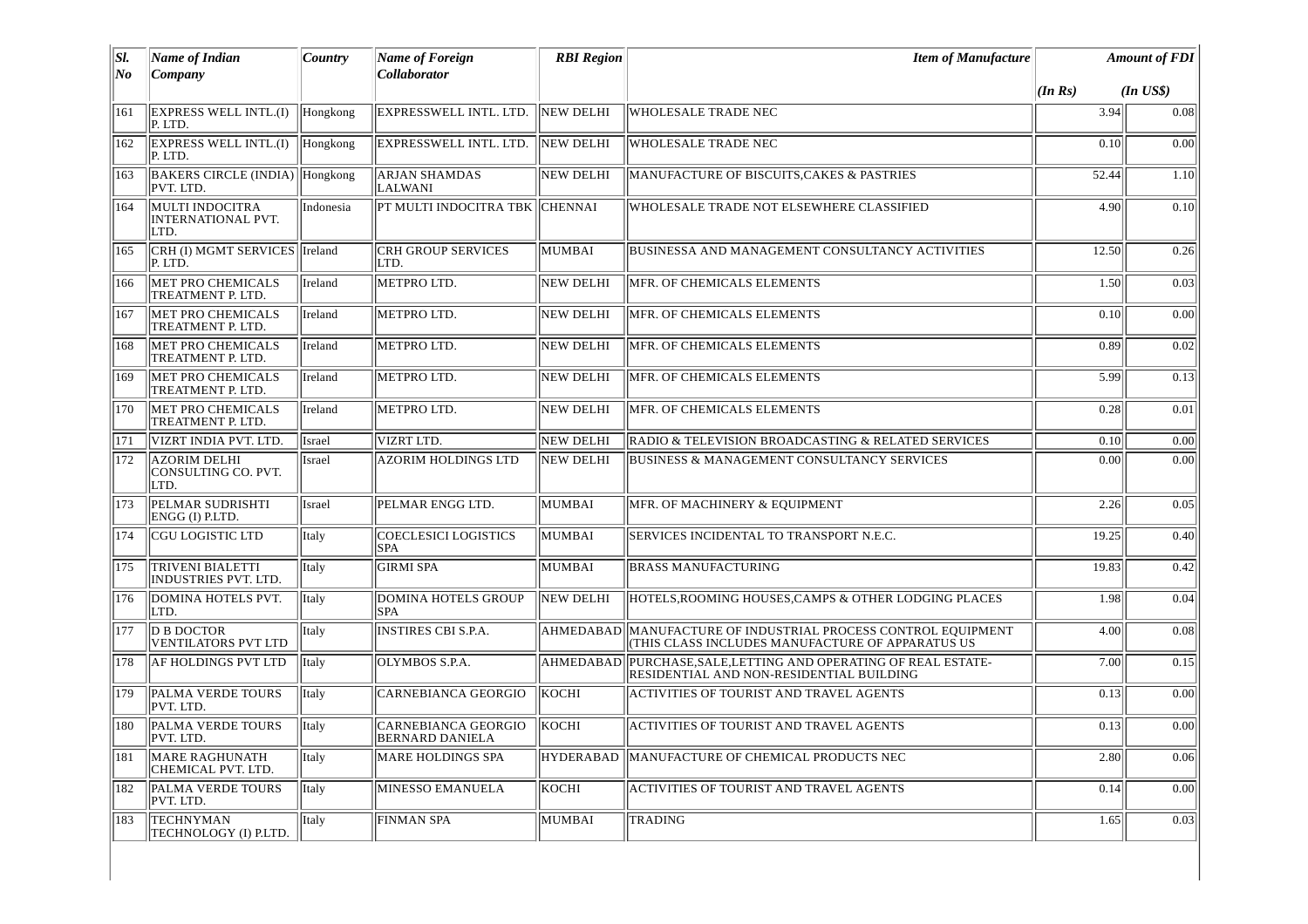| SI.            | <b>Name of Indian</b>                                | <b>Country</b> | <b>Name of Foreign</b>                               | <b>RBI Region</b> | <b>Item of Manufacture</b>                                                                                        |         | <b>Amount of FDI</b> |
|----------------|------------------------------------------------------|----------------|------------------------------------------------------|-------------------|-------------------------------------------------------------------------------------------------------------------|---------|----------------------|
| N <sub>o</sub> | Company                                              |                | <b>Collaborator</b>                                  |                   |                                                                                                                   | (In Rs) | $(In$ $USS)$         |
| 161            | <b>EXPRESS WELL INTL.(I)</b><br>P. LTD.              | Hongkong       | EXPRESSWELL INTL. LTD.                               | NEW DELHI         | <b>WHOLESALE TRADE NEC</b>                                                                                        | 3.94    | 0.08                 |
| 162            | <b>EXPRESS WELL INTL.(I)</b><br>P. LTD.              | Hongkong       | EXPRESSWELL INTL. LTD.                               | NEW DELHI         | <b>WHOLESALE TRADE NEC</b>                                                                                        | 0.10    | 0.00                 |
| 163            | BAKERS CIRCLE (INDIA) Hongkong<br>PVT. LTD.          |                | <b>ARJAN SHAMDAS</b><br><b>LALWANI</b>               | <b>NEW DELHI</b>  | MANUFACTURE OF BISCUITS, CAKES & PASTRIES                                                                         | 52.44   | 1.10                 |
| 164            | MULTI INDOCITRA<br><b>INTERNATIONAL PVT.</b><br>LTD. | Indonesia      | PT MULTI INDOCITRA TBK   CHENNAI                     |                   | WHOLESALE TRADE NOT ELSEWHERE CLASSIFIED                                                                          | 4.90    | 0.10                 |
| 165            | CRH (I) MGMT SERVICES   Ireland<br>P. LTD.           |                | <b>CRH GROUP SERVICES</b><br>ILTD.                   | MUMBAI            | BUSINESSA AND MANAGEMENT CONSULTANCY ACTIVITIES                                                                   | 12.50   | 0.26                 |
| 166            | <b>MET PRO CHEMICALS</b><br>TREATMENT P. LTD.        | Ireland        | METPRO LTD.                                          | <b>NEW DELHI</b>  | MFR. OF CHEMICALS ELEMENTS                                                                                        | 1.50    | 0.03                 |
| 167            | <b>MET PRO CHEMICALS</b><br>TREATMENT P. LTD.        | Ireland        | METPRO LTD.                                          | NEW DELHI         | MFR. OF CHEMICALS ELEMENTS                                                                                        | 0.10    | 0.00                 |
| 168            | MET PRO CHEMICALS<br>TREATMENT P. LTD.               | Ireland        | METPRO LTD.                                          | <b>NEW DELHI</b>  | MFR. OF CHEMICALS ELEMENTS                                                                                        | 0.89    | 0.02                 |
| 169            | MET PRO CHEMICALS<br>TREATMENT P. LTD.               | Ireland        | METPRO LTD.                                          | <b>NEW DELHI</b>  | MFR. OF CHEMICALS ELEMENTS                                                                                        | 5.99    | 0.13                 |
| 170            | MET PRO CHEMICALS<br>TREATMENT P. LTD.               | Ireland        | METPRO LTD.                                          | <b>NEW DELHI</b>  | MFR. OF CHEMICALS ELEMENTS                                                                                        | 0.28    | 0.01                 |
| 171            | VIZRT INDIA PVT. LTD.                                | <b>Israel</b>  | VIZRT LTD.                                           | <b>NEW DELHI</b>  | RADIO & TELEVISION BROADCASTING & RELATED SERVICES                                                                | 0.10    | 0.00                 |
| 172            | AZORIM DELHI<br>CONSULTING CO. PVT.<br>LTD.          | <b>Israel</b>  | AZORIM HOLDINGS LTD                                  | NEW DELHI         | <b>BUSINESS &amp; MANAGEMENT CONSULTANCY SERVICES</b>                                                             | 0.00    | 0.00                 |
| 173            | PELMAR SUDRISHTI<br>ENGG (I) P.LTD.                  | Israel         | PELMAR ENGG LTD.                                     | MUMBAI            | MFR. OF MACHINERY & EQUIPMENT                                                                                     | 2.26    | 0.05                 |
| 174            | CGU LOGISTIC LTD                                     | Italy          | <b>COECLESICI LOGISTICS</b><br><b>SPA</b>            | MUMBAI            | SERVICES INCIDENTAL TO TRANSPORT N.E.C.                                                                           | 19.25   | 0.40                 |
| 175            | <b>TRIVENI BIALETTI</b><br>INDUSTRIES PVT, LTD.      | <b>Italy</b>   | <b>GIRMI SPA</b>                                     | MUMBAI            | <b>BRASS MANUFACTURING</b>                                                                                        | 19.83   | 0.42                 |
| 176            | DOMINA HOTELS PVT.<br>LTD.                           | Italy          | DOMINA HOTELS GROUP<br><b>SPA</b>                    | NEW DELHI         | HOTELS, ROOMING HOUSES, CAMPS & OTHER LODGING PLACES                                                              | 1.98    | 0.04                 |
| 177            | <b>D B DOCTOR</b><br><b>VENTILATORS PVT LTD</b>      | <b>Italy</b>   | <b>INSTIRES CBI S.P.A.</b>                           |                   | AHMEDABAD MANUFACTURE OF INDUSTRIAL PROCESS CONTROL EQUIPMENT<br>(THIS CLASS INCLUDES MANUFACTURE OF APPARATUS US | 4.00    | 0.08                 |
| 178            | AF HOLDINGS PVT LTD                                  | Italy          | OLYMBOS S.P.A.                                       | AHMEDABAD         | PURCHASE, SALE, LETTING AND OPERATING OF REAL ESTATE-<br>RESIDENTIAL AND NON-RESIDENTIAL BUILDING                 | 7.00    | 0.15                 |
| 179            | PALMA VERDE TOURS<br>PVT. LTD.                       | Italy          | <b>CARNEBIANCA GEORGIO</b>                           | KOCHI             | <b>ACTIVITIES OF TOURIST AND TRAVEL AGENTS</b>                                                                    | 0.13    | 0.00                 |
| 180            | PALMA VERDE TOURS<br>PVT. LTD.                       | Italy          | <b>CARNEBIANCA GEORGIO</b><br><b>BERNARD DANIELA</b> | <b>KOCHI</b>      | <b>ACTIVITIES OF TOURIST AND TRAVEL AGENTS</b>                                                                    | 0.13    | 0.00                 |
| 181            | <b>MARE RAGHUNATH</b><br>CHEMICAL PVT. LTD.          | Italy          | <b>MARE HOLDINGS SPA</b>                             | <b>HYDERABAD</b>  | MANUFACTURE OF CHEMICAL PRODUCTS NEC                                                                              | 2.80    | 0.06                 |
| 182            | PALMA VERDE TOURS<br>PVT. LTD.                       | Italy          | <b>MINESSO EMANUELA</b>                              | KOCHI             | ACTIVITIES OF TOURIST AND TRAVEL AGENTS                                                                           | 0.14    | 0.00                 |
| 183            | <b>TECHNYMAN</b><br>TECHNOLOGY (I) P.LTD.            | Italy          | <b>FINMAN SPA</b>                                    | MUMBAI            | <b>TRADING</b>                                                                                                    | 1.65    | 0.03                 |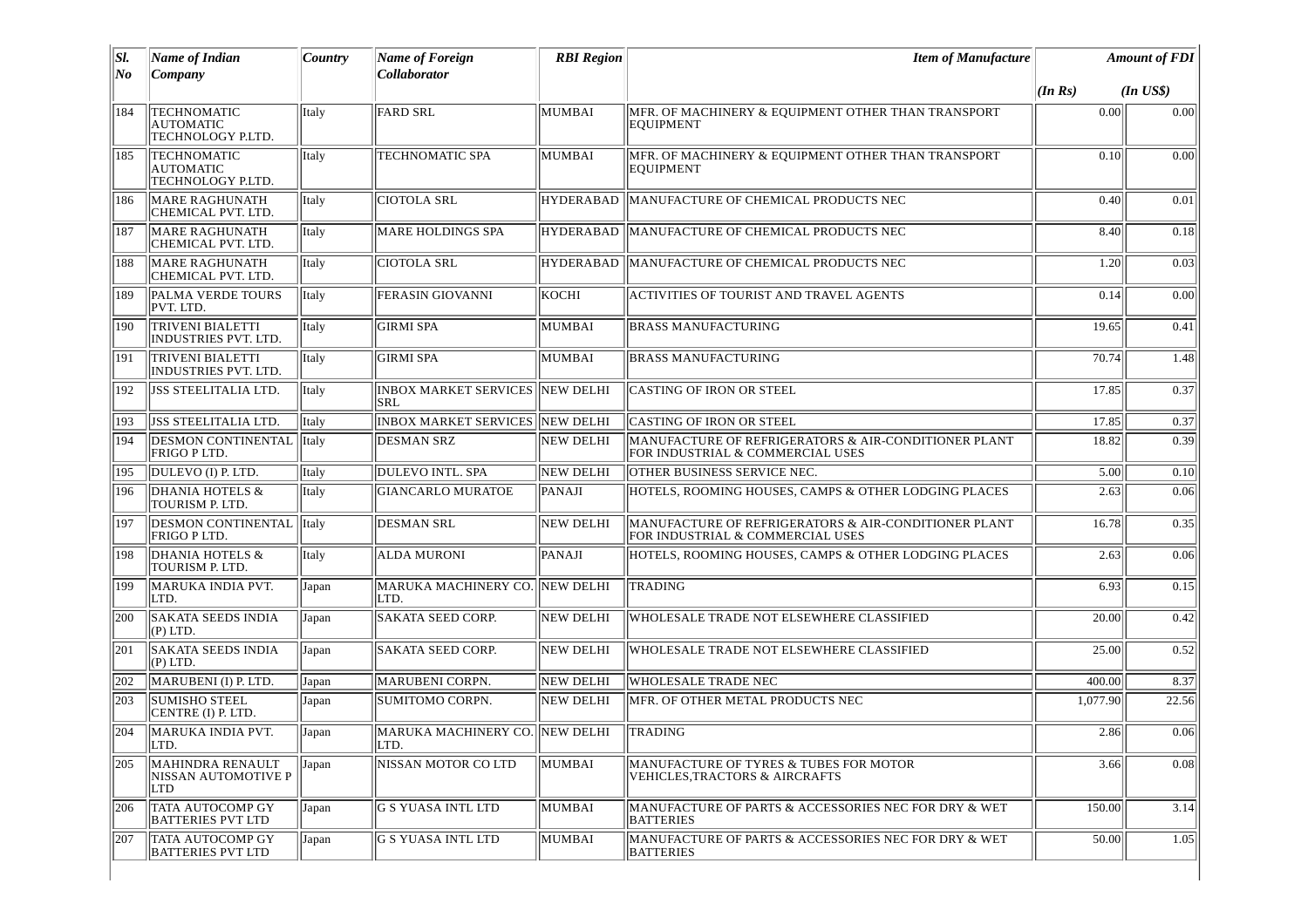| No<br>184  | Company                                                     |       | Collaborator                                         |                  |                                                                                          |          |              |
|------------|-------------------------------------------------------------|-------|------------------------------------------------------|------------------|------------------------------------------------------------------------------------------|----------|--------------|
|            |                                                             |       |                                                      |                  |                                                                                          | (In Rs)  | $(In$ $US$)$ |
|            | TECHNOMATIC<br><b>AUTOMATIC</b><br>TECHNOLOGY P.LTD.        | Italy | <b>FARD SRL</b>                                      | MUMBAI           | MFR. OF MACHINERY & EQUIPMENT OTHER THAN TRANSPORT<br><b>EQUIPMENT</b>                   | 0.00     | 0.00         |
| 185        | <b>TECHNOMATIC</b><br><b>AUTOMATIC</b><br>TECHNOLOGY P.LTD. | Italy | TECHNOMATIC SPA                                      | MUMBAI           | MFR. OF MACHINERY & EQUIPMENT OTHER THAN TRANSPORT<br><b>EQUIPMENT</b>                   | 0.10     | 0.00         |
| 186        | <b>MARE RAGHUNATH</b><br>CHEMICAL PVT. LTD.                 | Italy | <b>CIOTOLA SRL</b>                                   | <b>HYDERABAD</b> | MANUFACTURE OF CHEMICAL PRODUCTS NEC                                                     | 0.40     | 0.01         |
| 187        | <b>MARE RAGHUNATH</b><br>CHEMICAL PVT. LTD.                 | Italy | MARE HOLDINGS SPA                                    | HYDERABAD        | MANUFACTURE OF CHEMICAL PRODUCTS NEC                                                     | 8.40     | 0.18         |
| 188        | <b>MARE RAGHUNATH</b><br>CHEMICAL PVT. LTD.                 | Italy | <b>CIOTOLA SRL</b>                                   | <b>HYDERABAD</b> | MANUFACTURE OF CHEMICAL PRODUCTS NEC                                                     | 1.20     | 0.03         |
| 189        | <b>PALMA VERDE TOURS</b><br>PVT. LTD.                       | Italy | <b>FERASIN GIOVANNI</b>                              | KOCHI            | ACTIVITIES OF TOURIST AND TRAVEL AGENTS                                                  | 0.14     | 0.00         |
| 190        | <b>TRIVENI BIALETTI</b><br>INDUSTRIES PVT. LTD.             | Italy | <b>GIRMI SPA</b>                                     | MUMBAI           | <b>BRASS MANUFACTURING</b>                                                               | 19.65    | 0.41         |
| 191        | <b>TRIVENI BIALETTI</b><br>INDUSTRIES PVT. LTD.             | Italy | <b>GIRMI SPA</b>                                     | MUMBAI           | <b>BRASS MANUFACTURING</b>                                                               | 70.74    | 1.48         |
| 192        | <b>JSS STEELITALIA LTD.</b>                                 | Italy | <b>INBOX MARKET SERVICES NEW DELHI</b><br><b>SRL</b> |                  | CASTING OF IRON OR STEEL                                                                 | 17.85    | 0.37         |
| 193        | <b>JSS STEELITALIA LTD.</b>                                 | Italy | <b>INBOX MARKET SERVICES</b>                         | <b>NEW DELHI</b> | <b>CASTING OF IRON OR STEEL</b>                                                          | 17.85    | 0.37         |
| 194        | <b>DESMON CONTINENTAL</b><br>FRIGO P LTD.                   | Italy | <b>DESMAN SRZ</b>                                    | <b>NEW DELHI</b> | MANUFACTURE OF REFRIGERATORS & AIR-CONDITIONER PLANT<br>FOR INDUSTRIAL & COMMERCIAL USES | 18.82    | 0.39         |
| 195        | DULEVO (I) P. LTD.                                          | Italy | DULEVO INTL. SPA                                     | <b>NEW DELHI</b> | <b>OTHER BUSINESS SERVICE NEC.</b>                                                       | 5.00     | 0.10         |
| 196        | <b>DHANIA HOTELS &amp;</b><br>TOURISM P. LTD.               | Italy | <b>GIANCARLO MURATOE</b>                             | PANAJI           | HOTELS, ROOMING HOUSES, CAMPS & OTHER LODGING PLACES                                     | 2.63     | 0.06         |
| 197        | DESMON CONTINENTAL<br>FRIGO P LTD.                          | Italy | <b>DESMAN SRL</b>                                    | <b>NEW DELHI</b> | MANUFACTURE OF REFRIGERATORS & AIR-CONDITIONER PLANT<br>FOR INDUSTRIAL & COMMERCIAL USES | 16.78    | 0.35         |
| 198        | DHANIA HOTELS &<br>TOURISM P. LTD.                          | Italy | ALDA MURONI                                          | PANAJI           | HOTELS, ROOMING HOUSES, CAMPS & OTHER LODGING PLACES                                     | 2.63     | 0.06         |
| 199        | MARUKA INDIA PVT.<br>LTD.                                   | Japan | MARUKA MACHINERY CO. NEW DELHI<br>LTD.               |                  | <b>TRADING</b>                                                                           | 6.93     | 0.15         |
| 200        | <b>SAKATA SEEDS INDIA</b><br>(P) LTD.                       | Japan | <b>SAKATA SEED CORP.</b>                             | <b>NEW DELHI</b> | WHOLESALE TRADE NOT ELSEWHERE CLASSIFIED                                                 | 20.00    | 0.42         |
| 201        | <b>SAKATA SEEDS INDIA</b><br>(P) LTD.                       | Japan | <b>SAKATA SEED CORP.</b>                             | <b>NEW DELHI</b> | WHOLESALE TRADE NOT ELSEWHERE CLASSIFIED                                                 | 25.00    | 0.52         |
| 202        | MARUBENI (I) P. LTD.                                        | Japan | MARUBENI CORPN.                                      | NEW DELHI        | <b>WHOLESALE TRADE NEC</b>                                                               | 400.00   | 8.37         |
| 203        | <b>SUMISHO STEEL</b><br>CENTRE (I) P. LTD.                  | Japan | SUMITOMO CORPN.                                      | <b>NEW DELHI</b> | MFR. OF OTHER METAL PRODUCTS NEC                                                         | 1,077.90 | 22.56        |
| 204        | MARUKA INDIA PVT.<br> LTD.                                  | Japan | MARUKA MACHINERY CO. NEW DELHI<br>ILID.              |                  | TRADING                                                                                  | 2.86     | 0.06         |
| <b>205</b> | MAHINDRA RENAULT<br>NISSAN AUTOMOTIVE P<br>LTD              | Japan | INISSAN MOTOR CO LTD                                 | MUMBAI           | MANUFACTURE OF TYRES & TUBES FOR MOTOR<br>VEHICLES, TRACTORS & AIRCRAFTS                 | 3.66     | 0.08         |
| 206        | <b>TATA AUTOCOMP GY</b><br><b>BATTERIES PVT LTD</b>         | Japan | G S YUASA INTL LTD                                   | MUMBAI           | MANUFACTURE OF PARTS & ACCESSORIES NEC FOR DRY & WET<br><b>BATTERIES</b>                 | 150.00   | 3.14         |
| 207        | <b>TATA AUTOCOMP GY</b><br><b>BATTERIES PVT LTD</b>         | Japan | G S YUASA INTL LTD                                   | MUMBAI           | MANUFACTURE OF PARTS & ACCESSORIES NEC FOR DRY & WET<br><b>BATTERIES</b>                 | 50.00    | 1.05         |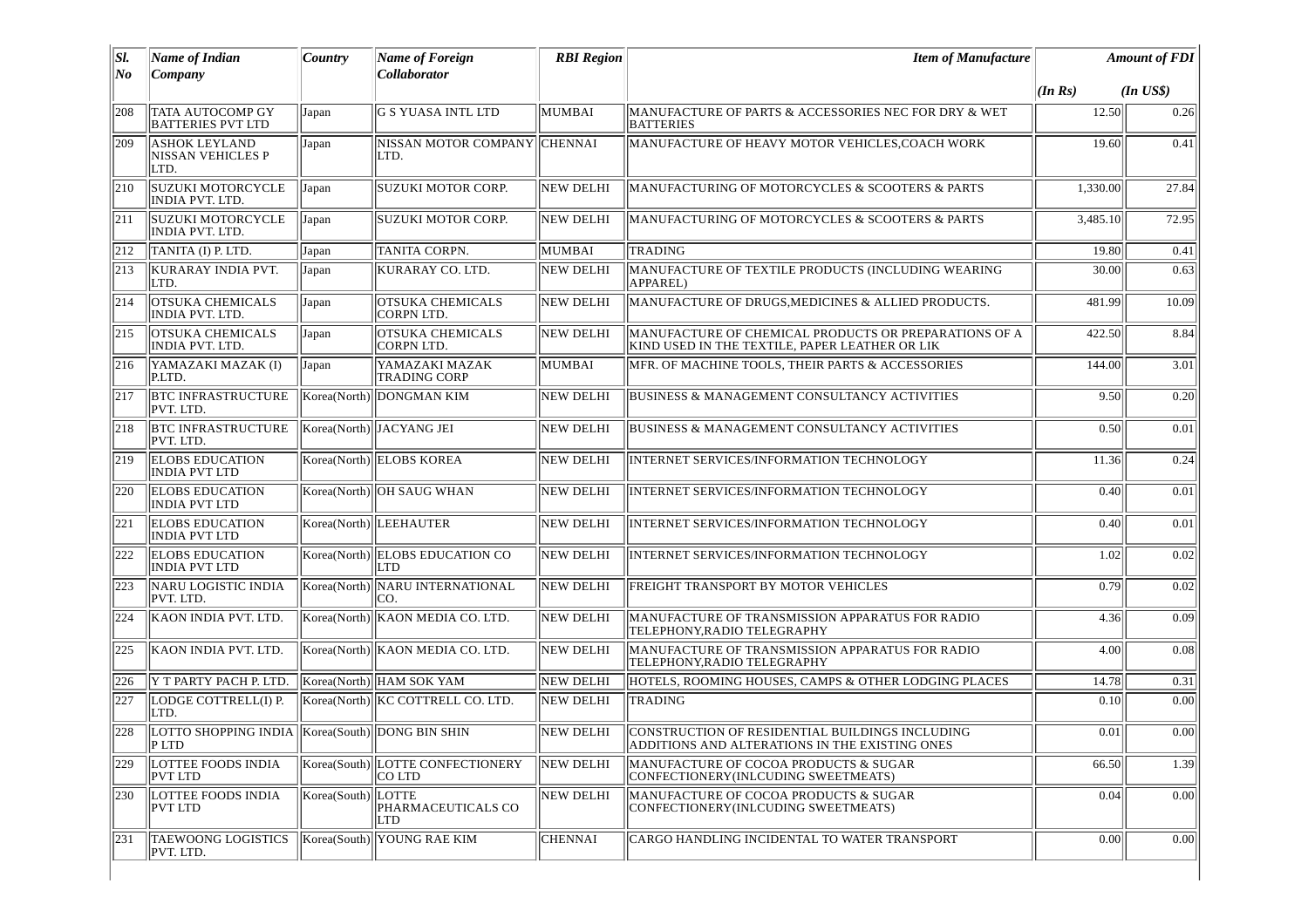| SI.<br>No | <b>Name of Indian</b><br>Company                             | <b>Country</b>     | <b>Name of Foreign</b><br><b>Collaborator</b> | <b>RBI</b> Region | <b>Item of Manufacture</b>                                                                              |          | <b>Amount of FDI</b> |
|-----------|--------------------------------------------------------------|--------------------|-----------------------------------------------|-------------------|---------------------------------------------------------------------------------------------------------|----------|----------------------|
|           |                                                              |                    |                                               |                   |                                                                                                         | (In Rs)  | $(In$ $USS)$         |
| 208       | TATA AUTOCOMP GY<br><b>BATTERIES PVT LTD</b>                 | Japan              | G S YUASA INTL LTD                            | MUMBAI            | MANUFACTURE OF PARTS & ACCESSORIES NEC FOR DRY & WET<br><b>BATTERIES</b>                                | 12.50    | 0.26                 |
| 209       | <b>ASHOK LEYLAND</b><br><b>NISSAN VEHICLES P</b><br>LTD.     | Japan              | NISSAN MOTOR COMPANY<br>LTD.                  | <b>CHENNAI</b>    | MANUFACTURE OF HEAVY MOTOR VEHICLES, COACH WORK                                                         | 19.60    | 0.41                 |
| 210       | SUZUKI MOTORCYCLE<br><b>INDIA PVT. LTD.</b>                  | Japan              | <b>SUZUKI MOTOR CORP.</b>                     | <b>NEW DELHI</b>  | MANUFACTURING OF MOTORCYCLES & SCOOTERS & PARTS                                                         | 1,330.00 | 27.84                |
| 211       | <b>SUZUKI MOTORCYCLE</b><br>INDIA PVT. LTD.                  | Japan              | SUZUKI MOTOR CORP.                            | NEW DELHI         | MANUFACTURING OF MOTORCYCLES & SCOOTERS & PARTS                                                         | 3,485.10 | 72.95                |
| 212       | TANITA (I) P. LTD.                                           | Japan              | <b>TANITA CORPN.</b>                          | MUMBAI            | <b>TRADING</b>                                                                                          | 19.80    | 0.41                 |
| 213       | KURARAY INDIA PVT.<br>LTD.                                   | Japan              | KURARAY CO. LTD.                              | <b>NEW DELHI</b>  | MANUFACTURE OF TEXTILE PRODUCTS (INCLUDING WEARING<br>APPAREL)                                          | 30.00    | 0.63                 |
| 214       | <b>OTSUKA CHEMICALS</b><br>INDIA PVT. LTD.                   | Japan              | <b>OTSUKA CHEMICALS</b><br>CORPN LTD.         | <b>NEW DELHI</b>  | MANUFACTURE OF DRUGS, MEDICINES & ALLIED PRODUCTS.                                                      | 481.99   | 10.09                |
| 215       | <b>OTSUKA CHEMICALS</b><br>INDIA PVT. LTD.                   | Japan              | <b>OTSUKA CHEMICALS</b><br><b>CORPN LTD.</b>  | NEW DELHI         | MANUFACTURE OF CHEMICAL PRODUCTS OR PREPARATIONS OF A<br>KIND USED IN THE TEXTILE, PAPER LEATHER OR LIK | 422.50   | 8.84                 |
| 216       | YAMAZAKI MAZAK (I)<br>P.LTD.                                 | Japan              | YAMAZAKI MAZAK<br><b>TRADING CORP</b>         | MUMBAI            | MFR. OF MACHINE TOOLS, THEIR PARTS & ACCESSORIES                                                        | 144.00   | 3.01                 |
| 217       | <b>BTC INFRASTRUCTURE</b><br>PVT. LTD.                       |                    | Korea(North) DONGMAN KIM                      | <b>NEW DELHI</b>  | <b>BUSINESS &amp; MANAGEMENT CONSULTANCY ACTIVITIES</b>                                                 | 9.50     | 0.20                 |
| 1218      | <b>BTC INFRASTRUCTURE</b><br>PVT. LTD.                       |                    | Korea(North) JACYANG JEI                      | <b>NEW DELHI</b>  | <b>BUSINESS &amp; MANAGEMENT CONSULTANCY ACTIVITIES</b>                                                 | 0.50     | 0.01                 |
| 219       | <b>ELOBS EDUCATION</b><br><b>INDIA PVT LTD</b>               |                    | Korea(North) ELOBS KOREA                      | <b>NEW DELHI</b>  | INTERNET SERVICES/INFORMATION TECHNOLOGY                                                                | 11.36    | 0.24                 |
| 220       | <b>ELOBS EDUCATION</b><br><b>INDIA PVT LTD</b>               |                    | Korea(North) OH SAUG WHAN                     | <b>NEW DELHI</b>  | INTERNET SERVICES/INFORMATION TECHNOLOGY                                                                | 0.40     | 0.01                 |
| 221       | <b>ELOBS EDUCATION</b><br><b>INDIA PVT LTD</b>               |                    | Korea(North) LEEHAUTER                        | <b>NEW DELHI</b>  | INTERNET SERVICES/INFORMATION TECHNOLOGY                                                                | 0.40     | 0.01                 |
| 222       | <b>ELOBS EDUCATION</b><br><b>INDIA PVT LTD</b>               |                    | Korea(North) ELOBS EDUCATION CO<br><b>LTD</b> | NEW DELHI         | INTERNET SERVICES/INFORMATION TECHNOLOGY                                                                | 1.02     | 0.02                 |
| 223       | NARU LOGISTIC INDIA<br>PVT. LTD.                             |                    | Korea(North) NARU INTERNATIONAL<br>ICO.       | <b>NEW DELHI</b>  | FREIGHT TRANSPORT BY MOTOR VEHICLES                                                                     | 0.79     | 0.02                 |
| 224       | KAON INDIA PVT. LTD.                                         |                    | Korea(North)   KAON MEDIA CO. LTD.            | NEW DELHI         | MANUFACTURE OF TRANSMISSION APPARATUS FOR RADIO<br>TELEPHONY, RADIO TELEGRAPHY                          | 4.36     | 0.09                 |
| 225       | KAON INDIA PVT. LTD.                                         |                    | Korea(North)   KAON MEDIA CO. LTD.            | NEW DELHI         | MANUFACTURE OF TRANSMISSION APPARATUS FOR RADIO<br>TELEPHONY, RADIO TELEGRAPHY                          | 4.00     | 0.08                 |
| 226       | Y T PARTY PACH P. LTD.                                       |                    | Korea(North) HAM SOK YAM                      | <b>NEW DELHI</b>  | HOTELS, ROOMING HOUSES, CAMPS & OTHER LODGING PLACES                                                    | 14.78    | 0.31                 |
| 227       | LODGE COTTRELL(I) P.<br>LTD.                                 |                    | Korea(North) KC COTTRELL CO. LTD.             | <b>NEW DELHI</b>  | <b>TRADING</b>                                                                                          | 0.10     | 0.00                 |
| 228       | LOTTO SHOPPING INDIA   Korea(South)  DONG BIN SHIN<br>IP LTD |                    |                                               | NEW DELHI         | CONSTRUCTION OF RESIDENTIAL BUILDINGS INCLUDING<br>ADDITIONS AND ALTERATIONS IN THE EXISTING ONES       | 0.01     | 0.00                 |
| 229       | LOTTEE FOODS INDIA<br>PVT LTD                                |                    | Korea(South) LOTTE CONFECTIONERY<br>ICO LTD   | NEW DELHI         | MANUFACTURE OF COCOA PRODUCTS & SUGAR<br>CONFECTIONERY (INLCUDING SWEETMEATS)                           | 66.50    | 1.39                 |
| 230       | <b>LOTTEE FOODS INDIA</b><br>PVT LTD                         | Korea(South) LOTTE | PHARMACEUTICALS CO<br>LTD                     | <b>NEW DELHI</b>  | MANUFACTURE OF COCOA PRODUCTS & SUGAR<br>CONFECTIONERY(INLCUDING SWEETMEATS)                            | 0.04     | 0.00                 |
| 231       | TAEWOONG LOGISTICS<br>PVT. LTD.                              | Korea(South)       | YOUNG RAE KIM                                 | <b>CHENNAI</b>    | CARGO HANDLING INCIDENTAL TO WATER TRANSPORT                                                            | 0.00     | 0.00                 |
|           |                                                              |                    |                                               |                   |                                                                                                         |          |                      |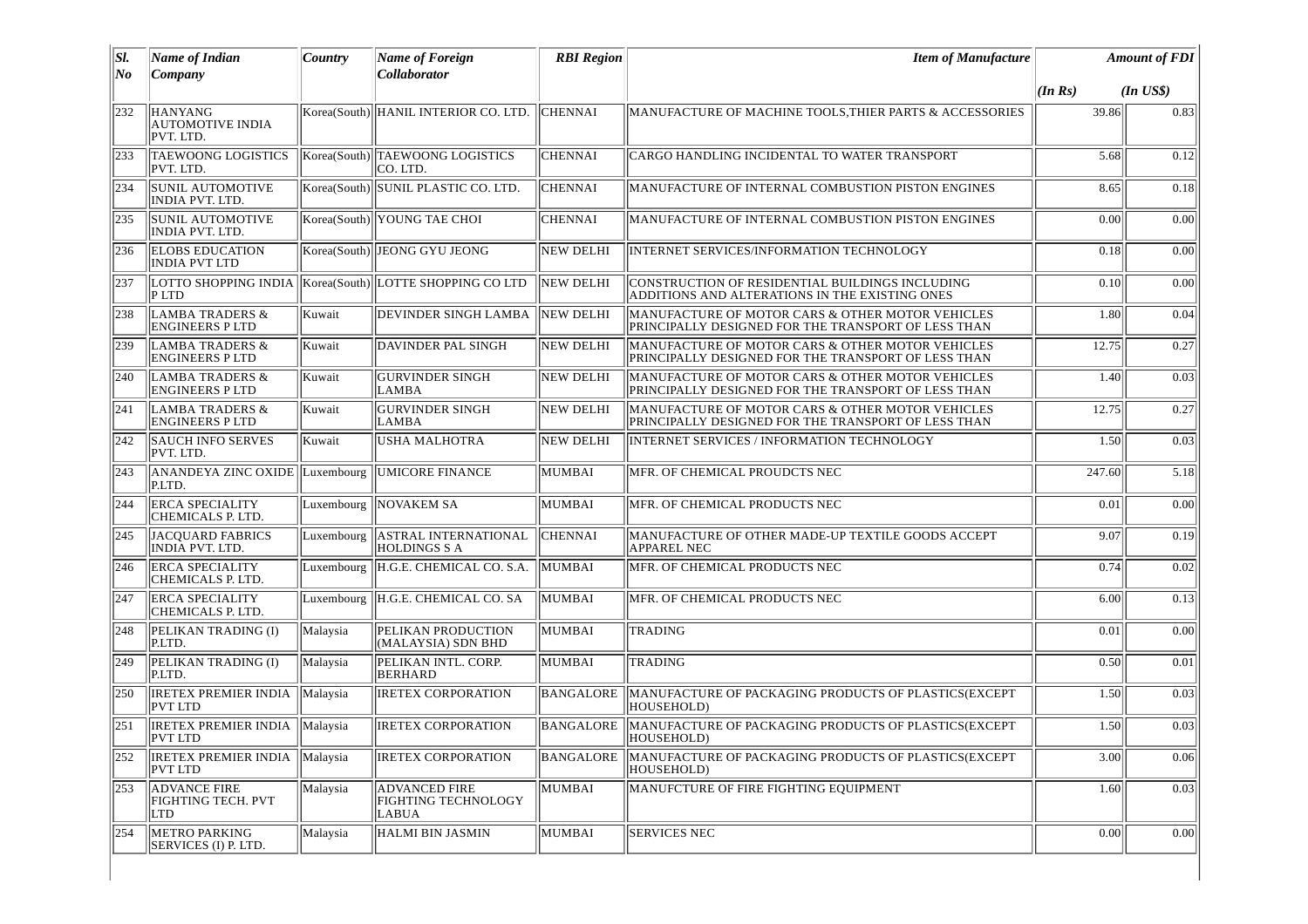| SI. | Name of Indian                                           | Country    | Name of Foreign                                             | <b>RBI Region</b> | <b>Item of Manufacture</b>                                                                              |         | <b>Amount of FDI</b> |
|-----|----------------------------------------------------------|------------|-------------------------------------------------------------|-------------------|---------------------------------------------------------------------------------------------------------|---------|----------------------|
| No  | Company                                                  |            | Collaborator                                                |                   |                                                                                                         | (In Rs) | $(In$ $US$)$         |
| 232 | <b>HANYANG</b><br><b>AUTOMOTIVE INDIA</b><br>PVT. LTD.   |            | Korea(South) HANIL INTERIOR CO. LTD.                        | <b>CHENNAI</b>    | MANUFACTURE OF MACHINE TOOLS, THIER PARTS & ACCESSORIES                                                 | 39.86   | 0.83                 |
| 233 | TAEWOONG LOGISTICS<br>PVT. LTD.                          |            | Korea(South) TAEWOONG LOGISTICS<br>CO. LTD.                 | <b>CHENNAI</b>    | CARGO HANDLING INCIDENTAL TO WATER TRANSPORT                                                            | 5.68    | 0.12                 |
| 234 | SUNIL AUTOMOTIVE<br><b>INDIA PVT. LTD.</b>               |            | Korea(South) SUNIL PLASTIC CO. LTD.                         | <b>CHENNAI</b>    | MANUFACTURE OF INTERNAL COMBUSTION PISTON ENGINES                                                       | 8.65    | 0.18                 |
| 235 | <b>SUNIL AUTOMOTIVE</b><br>INDIA PVT. LTD.               |            | Korea(South) YOUNG TAE CHOI                                 | <b>CHENNAI</b>    | MANUFACTURE OF INTERNAL COMBUSTION PISTON ENGINES                                                       | 0.00    | 0.00                 |
| 236 | <b>ELOBS EDUCATION</b><br><b>INDIA PVT LTD</b>           |            | Korea(South) JEONG GYU JEONG                                | <b>NEW DELHI</b>  | <b>INTERNET SERVICES/INFORMATION TECHNOLOGY</b>                                                         | 0.18    | 0.00                 |
| 237 | $P$ LTD                                                  |            | LOTTO SHOPPING INDIA  Korea(South) LOTTE SHOPPING CO LTD    | NEW DELHI         | CONSTRUCTION OF RESIDENTIAL BUILDINGS INCLUDING<br>ADDITIONS AND ALTERATIONS IN THE EXISTING ONES       | 0.10    | 0.00                 |
| 238 | <b>LAMBA TRADERS &amp;</b><br><b>ENGINEERS PLTD</b>      | Kuwait     | DEVINDER SINGH LAMBA                                        | NEW DELHI         | MANUFACTURE OF MOTOR CARS & OTHER MOTOR VEHICLES<br>PRINCIPALLY DESIGNED FOR THE TRANSPORT OF LESS THAN | 1.80    | 0.04                 |
| 239 | <b>LAMBA TRADERS &amp;</b><br><b>ENGINEERS PLTD</b>      | Kuwait     | DAVINDER PAL SINGH                                          | NEW DELHI         | MANUFACTURE OF MOTOR CARS & OTHER MOTOR VEHICLES<br>PRINCIPALLY DESIGNED FOR THE TRANSPORT OF LESS THAN | 12.75   | 0.27                 |
| 240 | <b>LAMBA TRADERS &amp;</b><br><b>ENGINEERS PLTD</b>      | Kuwait     | <b>GURVINDER SINGH</b><br>LAMBA                             | NEW DELHI         | MANUFACTURE OF MOTOR CARS & OTHER MOTOR VEHICLES<br>PRINCIPALLY DESIGNED FOR THE TRANSPORT OF LESS THAN | 1.40    | 0.03                 |
| 241 | <b>LAMBA TRADERS &amp;</b><br><b>ENGINEERS PLTD</b>      | Kuwait     | <b>GURVINDER SINGH</b><br>LAMBA                             | NEW DELHI         | MANUFACTURE OF MOTOR CARS & OTHER MOTOR VEHICLES<br>PRINCIPALLY DESIGNED FOR THE TRANSPORT OF LESS THAN | 12.75   | 0.27                 |
| 242 | <b>SAUCH INFO SERVES</b><br>PVT. LTD.                    | Kuwait     | <b>USHA MALHOTRA</b>                                        | <b>NEW DELHI</b>  | <b>INTERNET SERVICES / INFORMATION TECHNOLOGY</b>                                                       | 1.50    | 0.03                 |
| 243 | ANANDEYA ZINC OXIDE Luxembourg UMICORE FINANCE<br>P.LTD. |            |                                                             | MUMBAI            | MFR. OF CHEMICAL PROUDCTS NEC                                                                           | 247.60  | 5.18                 |
| 244 | <b>ERCA SPECIALITY</b><br>CHEMICALS P. LTD.              | Luxembourg | <b>NOVAKEM SA</b>                                           | MUMBAI            | MFR. OF CHEMICAL PRODUCTS NEC                                                                           | 0.01    | 0.00                 |
| 245 | JACQUARD FABRICS<br>INDIA PVT. LTD.                      | Luxembourg | <b>ASTRAL INTERNATIONAL</b><br><b>HOLDINGS S A</b>          | <b>CHENNAI</b>    | MANUFACTURE OF OTHER MADE-UP TEXTILE GOODS ACCEPT<br>APPAREL NEC                                        | 9.07    | 0.19                 |
| 246 | <b>ERCA SPECIALITY</b><br>CHEMICALS P. LTD.              |            | Luxembourg H.G.E. CHEMICAL CO. S.A.                         | MUMBAI            | MFR. OF CHEMICAL PRODUCTS NEC                                                                           | 0.74    | 0.02                 |
| 247 | <b>ERCA SPECIALITY</b><br>CHEMICALS P. LTD.              |            | Luxembourg H.G.E. CHEMICAL CO. SA                           | MUMBAI            | MFR. OF CHEMICAL PRODUCTS NEC                                                                           | 6.00    | 0.13                 |
| 248 | PELIKAN TRADING (I)<br>P.LTD.                            | Malaysia   | PELIKAN PRODUCTION<br>(MALAYSIA) SDN BHD                    | MUMBAI            | <b>TRADING</b>                                                                                          | 0.01    | 0.00                 |
| 249 | PELIKAN TRADING (I)<br>P.LTD.                            | Malaysia   | PELIKAN INTL. CORP.<br><b>BERHARD</b>                       | MUMBAI            | TRADING                                                                                                 | 0.50    | 0.01                 |
| 250 | <b>IRETEX PREMIER INDIA</b><br><b>PVT LTD</b>            | Malaysia   | <b>IRETEX CORPORATION</b>                                   | <b>BANGALORE</b>  | MANUFACTURE OF PACKAGING PRODUCTS OF PLASTICS(EXCEPT<br>HOUSEHOLD)                                      | 1.50    | 0.03                 |
| 251 | <b>IRETEX PREMIER INDIA   Malaysia</b><br><b>PVT LTD</b> |            | <b>IRETEX CORPORATION</b>                                   | BANGALORE         | MANUFACTURE OF PACKAGING PRODUCTS OF PLASTICS(EXCEPT<br>HOUSEHOLD)                                      | 1.50    | 0.03                 |
| 252 | <b>IRETEX PREMIER INDIA</b><br><b>PVT LTD</b>            | Malaysia   | <b>IRETEX CORPORATION</b>                                   | <b>BANGALORE</b>  | MANUFACTURE OF PACKAGING PRODUCTS OF PLASTICS(EXCEPT<br>HOUSEHOLD)                                      | 3.00    | 0.06                 |
| 253 | <b>ADVANCE FIRE</b><br><b>FIGHTING TECH. PVT</b><br>LTD  | Malaysia   | <b>ADVANCED FIRE</b><br><b>FIGHTING TECHNOLOGY</b><br>LABUA | MUMBAI            | MANUFCTURE OF FIRE FIGHTING EQUIPMENT                                                                   | 1.60    | 0.03                 |
| 254 | METRO PARKING<br>SERVICES (I) P. LTD.                    | Malaysia   | HALMI BIN JASMIN                                            | MUMBAI            | <b>SERVICES NEC</b>                                                                                     | 0.00    | 0.00                 |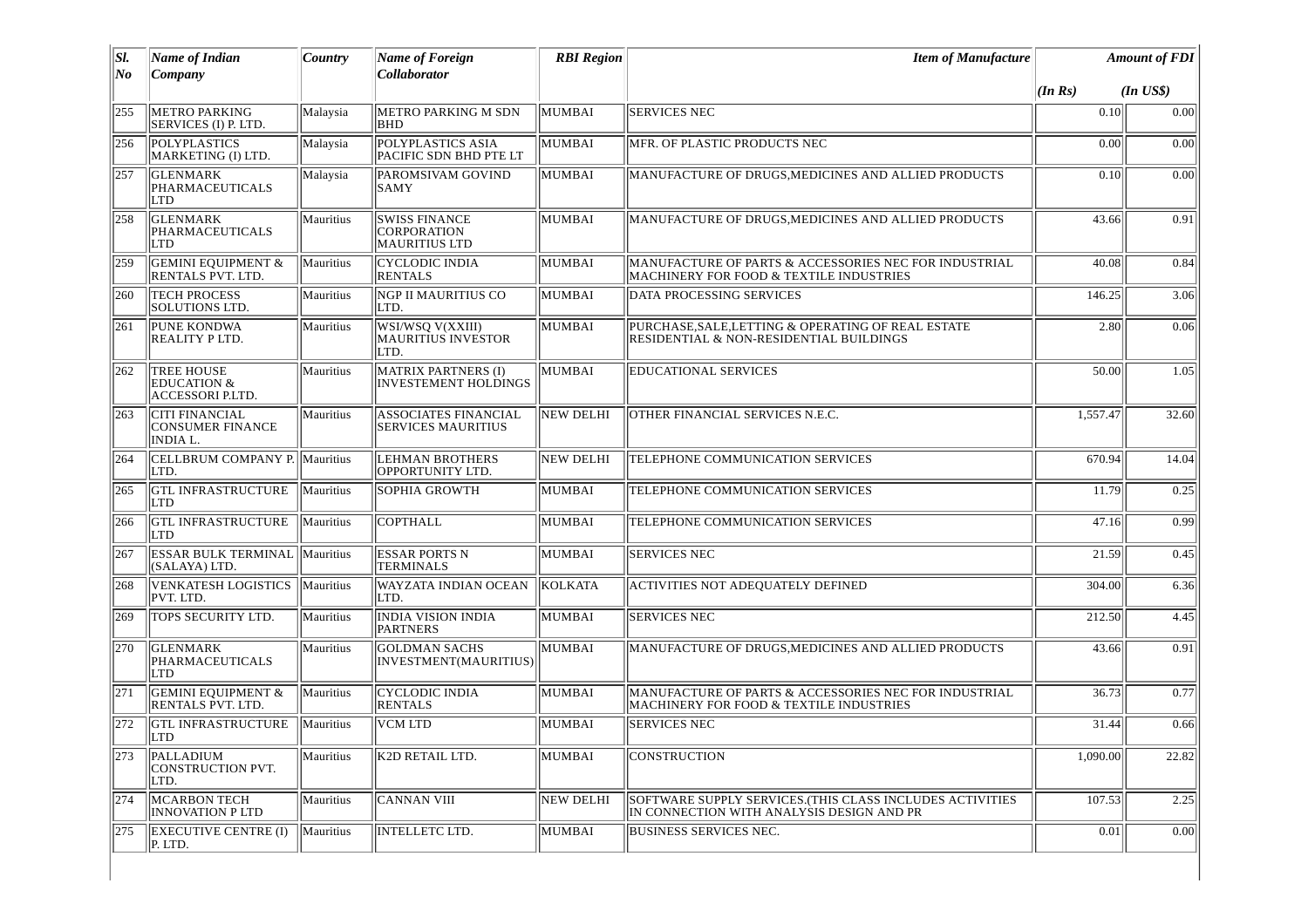| SI.   | Name of Indian                                                  | Country   | <b>Name of Foreign</b>                                             | <b>RBI</b> Region | <b>Item of Manufacture</b>                                                                             | <b>Amount of FDI</b> |              |
|-------|-----------------------------------------------------------------|-----------|--------------------------------------------------------------------|-------------------|--------------------------------------------------------------------------------------------------------|----------------------|--------------|
| $N$ o | Company                                                         |           | Collaborator                                                       |                   |                                                                                                        | (In Rs)              | $(In$ $US$)$ |
| 255   | <b>METRO PARKING</b><br>SERVICES (I) P. LTD.                    | Malaysia  | METRO PARKING M SDN<br><b>BHD</b>                                  | MUMBAI            | <b>SERVICES NEC</b>                                                                                    | 0.10                 | 0.00         |
| 256   | <b>POLYPLASTICS</b><br>MARKETING (I) LTD.                       | Malaysia  | POLYPLASTICS ASIA<br>PACIFIC SDN BHD PTE LT                        | MUMBAI            | MFR. OF PLASTIC PRODUCTS NEC                                                                           | 0.00                 | 0.00         |
| 257   | <b>GLENMARK</b><br>PHARMACEUTICALS<br>LTD                       | Malaysia  | PAROMSIVAM GOVIND<br>SAMY                                          | MUMBAI            | MANUFACTURE OF DRUGS, MEDICINES AND ALLIED PRODUCTS                                                    | 0.10                 | 0.00         |
| 258   | <b>GLENMARK</b><br>PHARMACEUTICALS<br>LTD                       | Mauritius | <b>SWISS FINANCE</b><br><b>CORPORATION</b><br><b>MAURITIUS LTD</b> | MUMBAI            | MANUFACTURE OF DRUGS, MEDICINES AND ALLIED PRODUCTS                                                    | 43.66                | 0.91         |
| 259   | <b>GEMINI EQUIPMENT &amp;</b><br>RENTALS PVT. LTD.              | Mauritius | <b>CYCLODIC INDIA</b><br><b>RENTALS</b>                            | MUMBAI            | MANUFACTURE OF PARTS & ACCESSORIES NEC FOR INDUSTRIAL<br>MACHINERY FOR FOOD & TEXTILE INDUSTRIES       | 40.08                | 0.84         |
| 260   | <b>TECH PROCESS</b><br>SOLUTIONS LTD.                           | Mauritius | <b>NGP II MAURITIUS CO</b><br>LTD.                                 | MUMBAI            | DATA PROCESSING SERVICES                                                                               | 146.25               | 3.06         |
| 261   | PUNE KONDWA<br>REALITY P LTD.                                   | Mauritius | WSI/WSQ V(XXIII)<br><b>MAURITIUS INVESTOR</b><br>LTD.              | MUMBAI            | PURCHASE, SALE, LETTING & OPERATING OF REAL ESTATE<br>RESIDENTIAL & NON-RESIDENTIAL BUILDINGS          | 2.80                 | 0.06         |
| 262   | <b>TREE HOUSE</b><br><b>EDUCATION &amp;</b><br>ACCESSORI P.LTD. | Mauritius | MATRIX PARTNERS (I)<br><b>INVESTEMENT HOLDINGS</b>                 | MUMBAI            | <b>EDUCATIONAL SERVICES</b>                                                                            | 50.00                | 1.05         |
| 263   | <b>CITI FINANCIAL</b><br>CONSUMER FINANCE<br>INDIA L.           | Mauritius | <b>ASSOCIATES FINANCIAL</b><br><b>SERVICES MAURITIUS</b>           | NEW DELHI         | OTHER FINANCIAL SERVICES N.E.C.                                                                        | 1,557.47             | 32.60        |
| 264   | CELLBRUM COMPANY P. Mauritius<br>LTD.                           |           | <b>LEHMAN BROTHERS</b><br>OPPORTUNITY LTD.                         | <b>NEW DELHI</b>  | TELEPHONE COMMUNICATION SERVICES                                                                       | 670.94               | 14.04        |
| 265   | <b>GTL INFRASTRUCTURE</b><br>LTD                                | Mauritius | SOPHIA GROWTH                                                      | MUMBAI            | TELEPHONE COMMUNICATION SERVICES                                                                       | 11.79                | 0.25         |
| 266   | <b>GTL INFRASTRUCTURE</b><br>LTD                                | Mauritius | <b>COPTHALL</b>                                                    | MUMBAI            | TELEPHONE COMMUNICATION SERVICES                                                                       | 47.16                | 0.99         |
| 267   | <b>ESSAR BULK TERMINAL Mauritius</b><br>(SALAYA) LTD.           |           | <b>ESSAR PORTS N</b><br><b>TERMINALS</b>                           | MUMBAI            | <b>SERVICES NEC</b>                                                                                    | 21.59                | 0.45         |
| 268   | <b>VENKATESH LOGISTICS Mauritius</b><br>PVT. LTD.               |           | WAYZATA INDIAN OCEAN<br>LTD.                                       | KOLKATA           | <b>ACTIVITIES NOT ADEQUATELY DEFINED</b>                                                               | 304.00               | 6.36         |
| 269   | TOPS SECURITY LTD.                                              | Mauritius | <b>INDIA VISION INDIA</b><br><b>PARTNERS</b>                       | MUMBAI            | <b>SERVICES NEC</b>                                                                                    | 212.50               | 4.45         |
| 270   | <b>GLENMARK</b><br>PHARMACEUTICALS<br>LTD                       | Mauritius | <b>GOLDMAN SACHS</b><br>INVESTMENT(MAURITIUS)                      | MUMBAI            | MANUFACTURE OF DRUGS, MEDICINES AND ALLIED PRODUCTS                                                    | 43.66                | 0.91         |
| 271   | <b>GEMINI EQUIPMENT &amp;</b><br>RENTALS PVT. LTD.              | Mauritius | <b>CYCLODIC INDIA</b><br><b>RENTALS</b>                            | MUMBAI            | MANUFACTURE OF PARTS & ACCESSORIES NEC FOR INDUSTRIAL<br>MACHINERY FOR FOOD & TEXTILE INDUSTRIES       | 36.73                | 0.77         |
| 272   | <b>GTL INFRASTRUCTURE</b><br> LTD                               | Mauritius | VCM LTD                                                            | MUMBAI            | <b>SERVICES NEC</b>                                                                                    | 31.44                | 0.66         |
| 273   | PALLADIUM<br>CONSTRUCTION PVT.<br>LTD.                          | Mauritius | K2D RETAIL LTD.                                                    | MUMBAI            | CONSTRUCTION                                                                                           | 1,090.00             | 22.82        |
| 274   | <b>MCARBON TECH</b><br>INNOVATION P LTD                         | Mauritius | <b>CANNAN VIII</b>                                                 | NEW DELHI         | SOFTWARE SUPPLY SERVICES. (THIS CLASS INCLUDES ACTIVITIES<br>IN CONNECTION WITH ANALYSIS DESIGN AND PR | 107.53               | 2.25         |
| 275   | <b>EXECUTIVE CENTRE (I)</b><br>P. LTD.                          | Mauritius | <b>INTELLETC LTD.</b>                                              | MUMBAI            | <b>BUSINESS SERVICES NEC.</b>                                                                          | 0.01                 | 0.00         |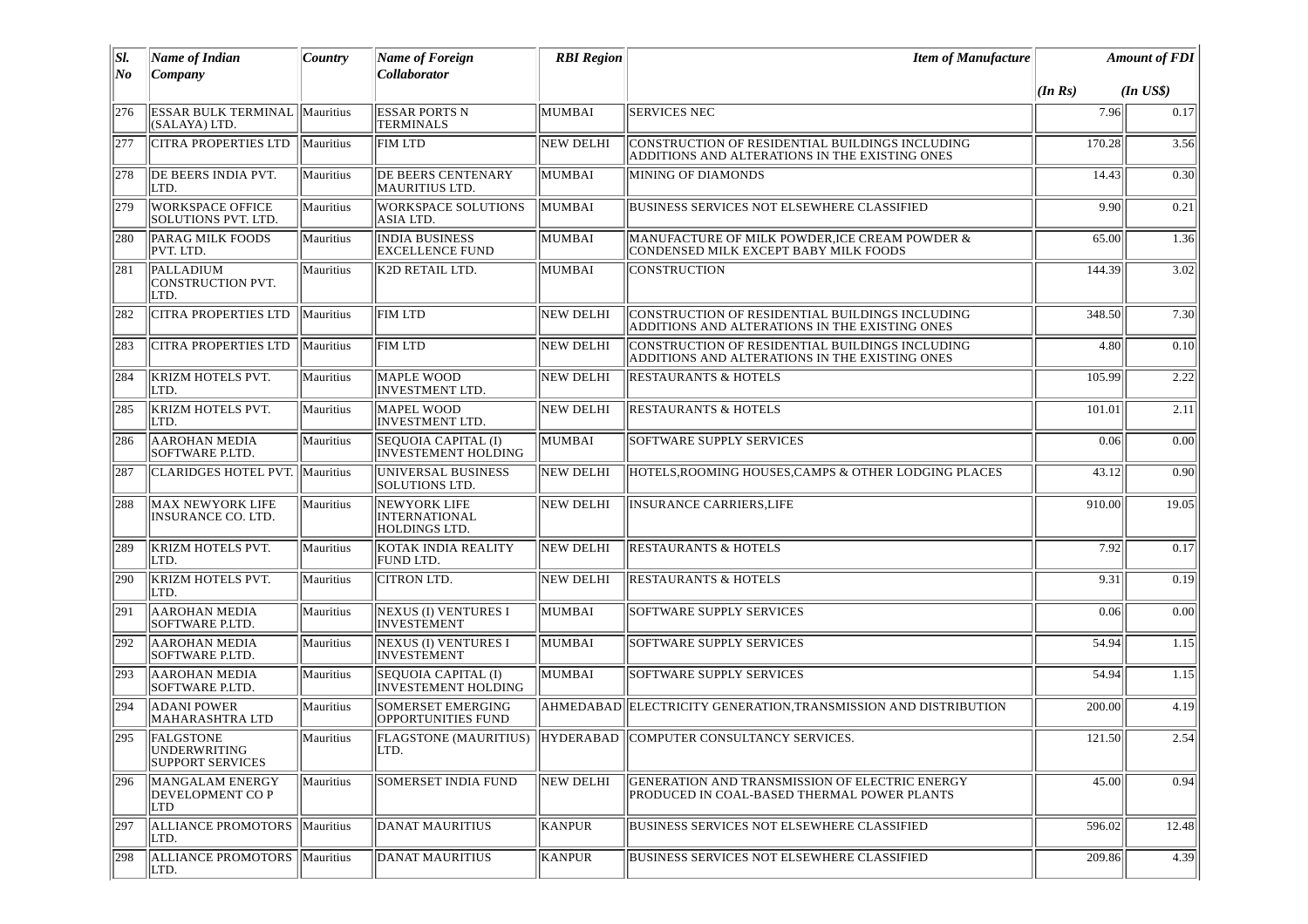| SI.<br>$N$ o | Name of Indian<br>Company                                   | Country   | <b>Name of Foreign</b><br>Collaborator                   | <b>RBI</b> Region | <b>Item of Manufacture</b>                                                                        |         | <b>Amount of FDI</b> |  |
|--------------|-------------------------------------------------------------|-----------|----------------------------------------------------------|-------------------|---------------------------------------------------------------------------------------------------|---------|----------------------|--|
|              |                                                             |           |                                                          |                   |                                                                                                   | (In Rs) | $(In$ $US$)$         |  |
| 276          | <b>ESSAR BULK TERMINAL   Mauritius</b><br>(SALAYA) LTD.     |           | ESSAR PORTS N<br><b>TERMINALS</b>                        | MUMBAI            | <b>SERVICES NEC</b>                                                                               | 7.96    | 0.17                 |  |
| 277          | <b>CITRA PROPERTIES LTD</b>                                 | Mauritius | <b>FIM LTD</b>                                           | NEW DELHI         | CONSTRUCTION OF RESIDENTIAL BUILDINGS INCLUDING<br>ADDITIONS AND ALTERATIONS IN THE EXISTING ONES | 170.28  | 3.56                 |  |
| 278          | DE BEERS INDIA PVT.<br>LTD.                                 | Mauritius | DE BEERS CENTENARY<br>MAURITIUS LTD.                     | MUMBAI            | MINING OF DIAMONDS                                                                                | 14.43   | 0.30                 |  |
| 279          | <b>WORKSPACE OFFICE</b><br>SOLUTIONS PVT. LTD.              | Mauritius | <b>WORKSPACE SOLUTIONS</b><br>ASIA LTD.                  | MUMBAI            | <b>BUSINESS SERVICES NOT ELSEWHERE CLASSIFIED</b>                                                 | 9.90    | 0.21                 |  |
| 280          | PARAG MILK FOODS<br>PVT. LTD.                               | Mauritius | <b>INDIA BUSINESS</b><br>EXCELLENCE FUND                 | MUMBAI            | MANUFACTURE OF MILK POWDER, ICE CREAM POWDER &<br>CONDENSED MILK EXCEPT BABY MILK FOODS           | 65.00   | 1.36                 |  |
| 281          | PALLADIUM<br>CONSTRUCTION PVT.<br>LTD.                      | Mauritius | K2D RETAIL LTD.                                          | <b>MUMBAI</b>     | CONSTRUCTION                                                                                      | 144.39  | 3.02                 |  |
| 282          | CITRA PROPERTIES LTD                                        | Mauritius | <b>FIM LTD</b>                                           | <b>NEW DELHI</b>  | CONSTRUCTION OF RESIDENTIAL BUILDINGS INCLUDING<br>ADDITIONS AND ALTERATIONS IN THE EXISTING ONES | 348.50  | 7.30                 |  |
| 283          | CITRA PROPERTIES LTD                                        | Mauritius | FIM LTD                                                  | <b>NEW DELHI</b>  | CONSTRUCTION OF RESIDENTIAL BUILDINGS INCLUDING<br>ADDITIONS AND ALTERATIONS IN THE EXISTING ONES | 4.80    | 0.10                 |  |
| 284          | KRIZM HOTELS PVT.<br>LTD.                                   | Mauritius | <b>MAPLE WOOD</b><br>INVESTMENT LTD.                     | <b>NEW DELHI</b>  | <b>RESTAURANTS &amp; HOTELS</b>                                                                   | 105.99  | 2.22                 |  |
| 285          | KRIZM HOTELS PVT.<br>LTD.                                   | Mauritius | <b>MAPEL WOOD</b><br><b>INVESTMENT LTD.</b>              | <b>NEW DELHI</b>  | <b>RESTAURANTS &amp; HOTELS</b>                                                                   | 101.01  | 2.11                 |  |
| 286          | <b>AAROHAN MEDIA</b><br>SOFTWARE P.LTD.                     | Mauritius | SEQUOIA CAPITAL (I)<br>INVESTEMENT HOLDING               | MUMBAI            | <b>SOFTWARE SUPPLY SERVICES</b>                                                                   | 0.06    | 0.00                 |  |
| 287          | <b>CLARIDGES HOTEL PVT. Mauritius</b>                       |           | <b>UNIVERSAL BUSINESS</b><br>SOLUTIONS LTD.              | NEW DELHI         | HOTELS, ROOMING HOUSES, CAMPS & OTHER LODGING PLACES                                              | 43.12   | 0.90                 |  |
| 288          | <b>MAX NEWYORK LIFE</b><br>INSURANCE CO. LTD.               | Mauritius | <b>NEWYORK LIFE</b><br>INTERNATIONAL<br>HOLDINGS LTD.    | <b>NEW DELHI</b>  | <b>INSURANCE CARRIERS, LIFE</b>                                                                   | 910.00  | 19.05                |  |
| 289          | KRIZM HOTELS PVT.<br>LTD.                                   | Mauritius | KOTAK INDIA REALITY<br>FUND LTD.                         | <b>NEW DELHI</b>  | <b>RESTAURANTS &amp; HOTELS</b>                                                                   | 7.92    | 0.17                 |  |
| 290          | <b>KRIZM HOTELS PVT.</b><br>LTD.                            | Mauritius | <b>CITRON LTD.</b>                                       | <b>NEW DELHI</b>  | <b>RESTAURANTS &amp; HOTELS</b>                                                                   | 9.31    | $\overline{0.19}$    |  |
| 291          | <b>AAROHAN MEDIA</b><br>SOFTWARE P.LTD.                     | Mauritius | <b>NEXUS (I) VENTURES I</b><br><b>INVESTEMENT</b>        | MUMBAI            | <b>SOFTWARE SUPPLY SERVICES</b>                                                                   | 0.06    | 0.00                 |  |
| 292          | <b>AAROHAN MEDIA</b><br>SOFTWARE P.LTD.                     | Mauritius | <b>NEXUS (I) VENTURES I</b><br><b>INVESTEMENT</b>        | MUMBAI            | <b>SOFTWARE SUPPLY SERVICES</b>                                                                   | 54.94   | 1.15                 |  |
| 293          | <b>AAROHAN MEDIA</b><br>SOFTWARE P.LTD.                     | Mauritius | <b>SEQUOIA CAPITAL (I)</b><br><b>INVESTEMENT HOLDING</b> | MUMBAI            | SOFTWARE SUPPLY SERVICES                                                                          | 54.94   | 1.15                 |  |
| 294          | <b>ADANI POWER</b><br><b>MAHARASHTRA LTD</b>                | Mauritius | <b>SOMERSET EMERGING</b><br><b>OPPORTUNITIES FUND</b>    |                   | AHMEDABAD ELECTRICITY GENERATION, TRANSMISSION AND DISTRIBUTION                                   | 200.00  | 4.19                 |  |
| 295          | <b>FALGSTONE</b><br>UNDERWRITING<br><b>SUPPORT SERVICES</b> | Mauritius | LTD.                                                     |                   | <b>FLAGSTONE (MAURITIUS) HYDERABAD COMPUTER CONSULTANCY SERVICES.</b>                             | 121.50  | 2.54                 |  |
| 296          | MANGALAM ENERGY<br>DEVELOPMENT CO P<br>LTD                  | Mauritius | SOMERSET INDIA FUND                                      | <b>NEW DELHI</b>  | GENERATION AND TRANSMISSION OF ELECTRIC ENERGY<br>PRODUCED IN COAL-BASED THERMAL POWER PLANTS     | 45.00   | 0.94                 |  |
| 297          | ALLIANCE PROMOTORS   Mauritius<br>LTD.                      |           | <b>DANAT MAURITIUS</b>                                   | <b>KANPUR</b>     | BUSINESS SERVICES NOT ELSEWHERE CLASSIFIED                                                        | 596.02  | 12.48                |  |
| 298          | ALLIANCE PROMOTORS<br>LTD.                                  | Mauritius | DANAT MAURITIUS                                          | KANPUR            | BUSINESS SERVICES NOT ELSEWHERE CLASSIFIED                                                        | 209.86  | 4.39                 |  |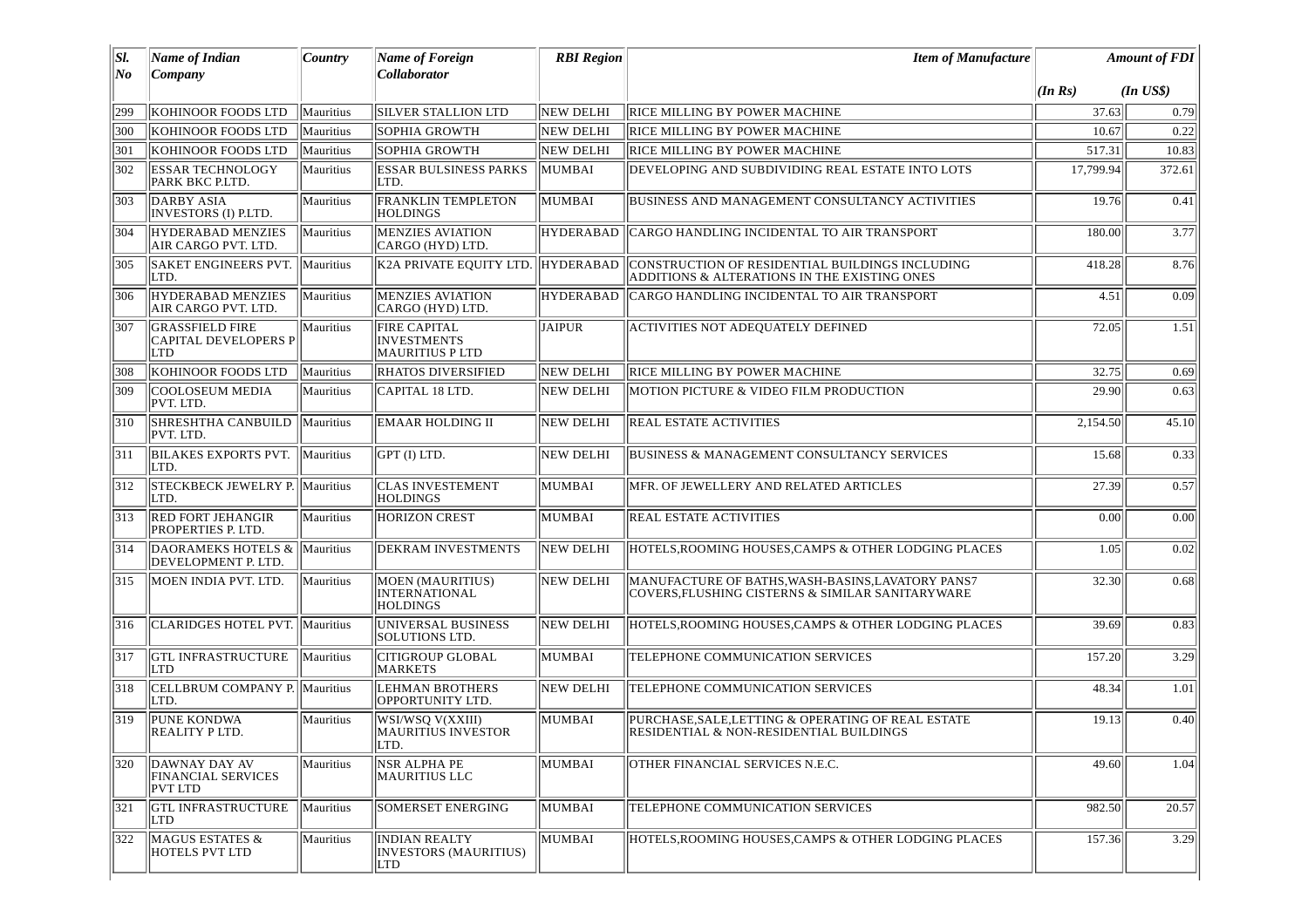| SI.<br>No | Name of Indian<br>$\lfloor$ <i>Company</i>                          | Country          | Name of Foreign<br>Collaborator                                     | <b>RBI</b> Region | <b>Item of Manufacture</b>                                                                            |           | <b>Amount of FDI</b> |
|-----------|---------------------------------------------------------------------|------------------|---------------------------------------------------------------------|-------------------|-------------------------------------------------------------------------------------------------------|-----------|----------------------|
|           |                                                                     |                  |                                                                     |                   |                                                                                                       | (In Rs)   | $(In$ US\$)          |
| 299       | KOHINOOR FOODS LTD                                                  | Mauritius        | <b>SILVER STALLION LTD</b>                                          | NEW DELHI         | RICE MILLING BY POWER MACHINE                                                                         | 37.63     | 0.79                 |
| 300       | KOHINOOR FOODS LTD                                                  | <b>Mauritius</b> | <b>SOPHIA GROWTH</b>                                                | NEW DELHI         | RICE MILLING BY POWER MACHINE                                                                         | 10.67     | 0.22                 |
| 301       | KOHINOOR FOODS LTD                                                  | Mauritius        | <b>SOPHIA GROWTH</b>                                                | <b>NEW DELHI</b>  | RICE MILLING BY POWER MACHINE                                                                         | 517.31    | 10.83                |
| 302       | <b>ESSAR TECHNOLOGY</b><br>PARK BKC P.LTD.                          | Mauritius        | <b>ESSAR BULSINESS PARKS</b><br>LTD.                                | MUMBAI            | DEVELOPING AND SUBDIVIDING REAL ESTATE INTO LOTS                                                      | 17,799.94 | 372.61               |
| 303       | DARBY ASIA<br>INVESTORS (I) P.LTD.                                  | Mauritius        | <b>FRANKLIN TEMPLETON</b><br><b>HOLDINGS</b>                        | MUMBAI            | BUSINESS AND MANAGEMENT CONSULTANCY ACTIVITIES                                                        | 19.76     | 0.41                 |
| 304       | HYDERABAD MENZIES<br>AIR CARGO PVT. LTD.                            | Mauritius        | <b>MENZIES AVIATION</b><br>CARGO (HYD) LTD.                         | <b>HYDERABAD</b>  | CARGO HANDLING INCIDENTAL TO AIR TRANSPORT                                                            | 180.00    | 3.77                 |
| 305       | <b>SAKET ENGINEERS PVT.</b><br>LTD.                                 | Mauritius        | K2A PRIVATE EOUITY LTD. HYDERABAD                                   |                   | CONSTRUCTION OF RESIDENTIAL BUILDINGS INCLUDING<br>ADDITIONS & ALTERATIONS IN THE EXISTING ONES       | 418.28    | 8.76                 |
| 306       | HYDERABAD MENZIES<br>AIR CARGO PVT. LTD.                            | Mauritius        | <b>MENZIES AVIATION</b><br>CARGO (HYD) LTD.                         | HYDERABAD         | CARGO HANDLING INCIDENTAL TO AIR TRANSPORT                                                            | 4.51      | 0.09                 |
| 307       | <b>GRASSFIELD FIRE</b><br><b>CAPITAL DEVELOPERS P</b><br><b>LTD</b> | Mauritius        | <b>FIRE CAPITAL</b><br><b>INVESTMENTS</b><br><b>MAURITIUS P LTD</b> | <b>JAIPUR</b>     | <b>ACTIVITIES NOT ADEQUATELY DEFINED</b>                                                              | 72.05     | 1.51                 |
| 308       | KOHINOOR FOODS LTD                                                  | Mauritius        | <b>RHATOS DIVERSIFIED</b>                                           | NEW DELHI         | RICE MILLING BY POWER MACHINE                                                                         | 32.75     | 0.69                 |
| 309       | COOLOSEUM MEDIA<br>PVT. LTD.                                        | Mauritius        | CAPITAL 18 LTD.                                                     | <b>NEW DELHI</b>  | MOTION PICTURE & VIDEO FILM PRODUCTION                                                                | 29.90     | 0.63                 |
| 310       | SHRESHTHA CANBUILD<br>PVT. LTD.                                     | Mauritius        | <b>EMAAR HOLDING II</b>                                             | NEW DELHI         | <b>REAL ESTATE ACTIVITIES</b>                                                                         | 2,154.50  | 45.10                |
| 311       | BILAKES EXPORTS PVT.<br>LTD.                                        | Mauritius        | GPT (I) LTD.                                                        | <b>NEW DELHI</b>  | <b>BUSINESS &amp; MANAGEMENT CONSULTANCY SERVICES</b>                                                 | 15.68     | 0.33                 |
| 312       | STECKBECK JEWELRY P. Mauritius<br>LTD.                              |                  | <b>CLAS INVESTEMENT</b><br><b>HOLDINGS</b>                          | MUMBAI            | MFR. OF JEWELLERY AND RELATED ARTICLES                                                                | 27.39     | 0.57                 |
| 313       | <b>RED FORT JEHANGIR</b><br>PROPERTIES P. LTD.                      | Mauritius        | <b>HORIZON CREST</b>                                                | MUMBAI            | <b>REAL ESTATE ACTIVITIES</b>                                                                         | 0.00      | 0.00                 |
| 1314      | DAORAMEKS HOTELS &   Mauritius<br>DEVELOPMENT P. LTD.               |                  | DEKRAM INVESTMENTS                                                  | NEW DELHI         | HOTELS, ROOMING HOUSES, CAMPS & OTHER LODGING PLACES                                                  | 1.05      | 0.02                 |
| 315       | MOEN INDIA PVT. LTD.                                                | Mauritius        | <b>MOEN (MAURITIUS)</b><br><b>INTERNATIONAL</b><br><b>HOLDINGS</b>  | NEW DELHI         | MANUFACTURE OF BATHS, WASH-BASINS, LAVATORY PANS7<br>COVERS, FLUSHING CISTERNS & SIMILAR SANITARYWARE | 32.30     | 0.68                 |
| 316       | <b>CLARIDGES HOTEL PVT. Mauritius</b>                               |                  | UNIVERSAL BUSINESS<br>SOLUTIONS LTD.                                | NEW DELHI         | HOTELS, ROOMING HOUSES, CAMPS & OTHER LODGING PLACES                                                  | 39.69     | 0.83                 |
| 317       | <b>GTL INFRASTRUCTURE</b><br>LTD                                    | Mauritius        | <b>CITIGROUP GLOBAL</b><br><b>MARKETS</b>                           | MUMBAI            | TELEPHONE COMMUNICATION SERVICES                                                                      | 157.20    | 3.29                 |
| 318       | CELLBRUM COMPANY P. Mauritius<br>LTD.                               |                  | <b>LEHMAN BROTHERS</b><br>OPPORTUNITY LTD.                          | NEW DELHI         | TELEPHONE COMMUNICATION SERVICES                                                                      | 48.34     | 1.01                 |
| 319       | <b>PUNE KONDWA</b><br><b>REALITY PLTD.</b>                          | Mauritius        | WSI/WSQ V(XXIII)<br><b>MAURITIUS INVESTOR</b><br>ILTD.              | MUMBAI            | PURCHASE, SALE, LETTING & OPERATING OF REAL ESTATE<br>RESIDENTIAL & NON-RESIDENTIAL BUILDINGS         | 19.13     | 0.40                 |
| 320       | DAWNAY DAY AV<br><b>FINANCIAL SERVICES</b><br>PVT LTD               | Mauritius        | <b>NSR ALPHAPE</b><br>MAURITIUS LLC                                 | MUMBAI            | OTHER FINANCIAL SERVICES N.E.C.                                                                       | 49.60     | 1.04                 |
| 321       | <b>GTL INFRASTRUCTURE</b><br>LTD                                    | Mauritius        | SOMERSET ENERGING                                                   | MUMBAI            | TELEPHONE COMMUNICATION SERVICES                                                                      | 982.50    | 20.57                |
| 322       | MAGUS ESTATES &<br><b>HOTELS PVT LTD</b>                            | Mauritius        | <b>INDIAN REALTY</b><br>INVESTORS (MAURITIUS)<br>LTD                | MUMBAI            | HOTELS.ROOMING HOUSES.CAMPS & OTHER LODGING PLACES                                                    | 157.36    | 3.29                 |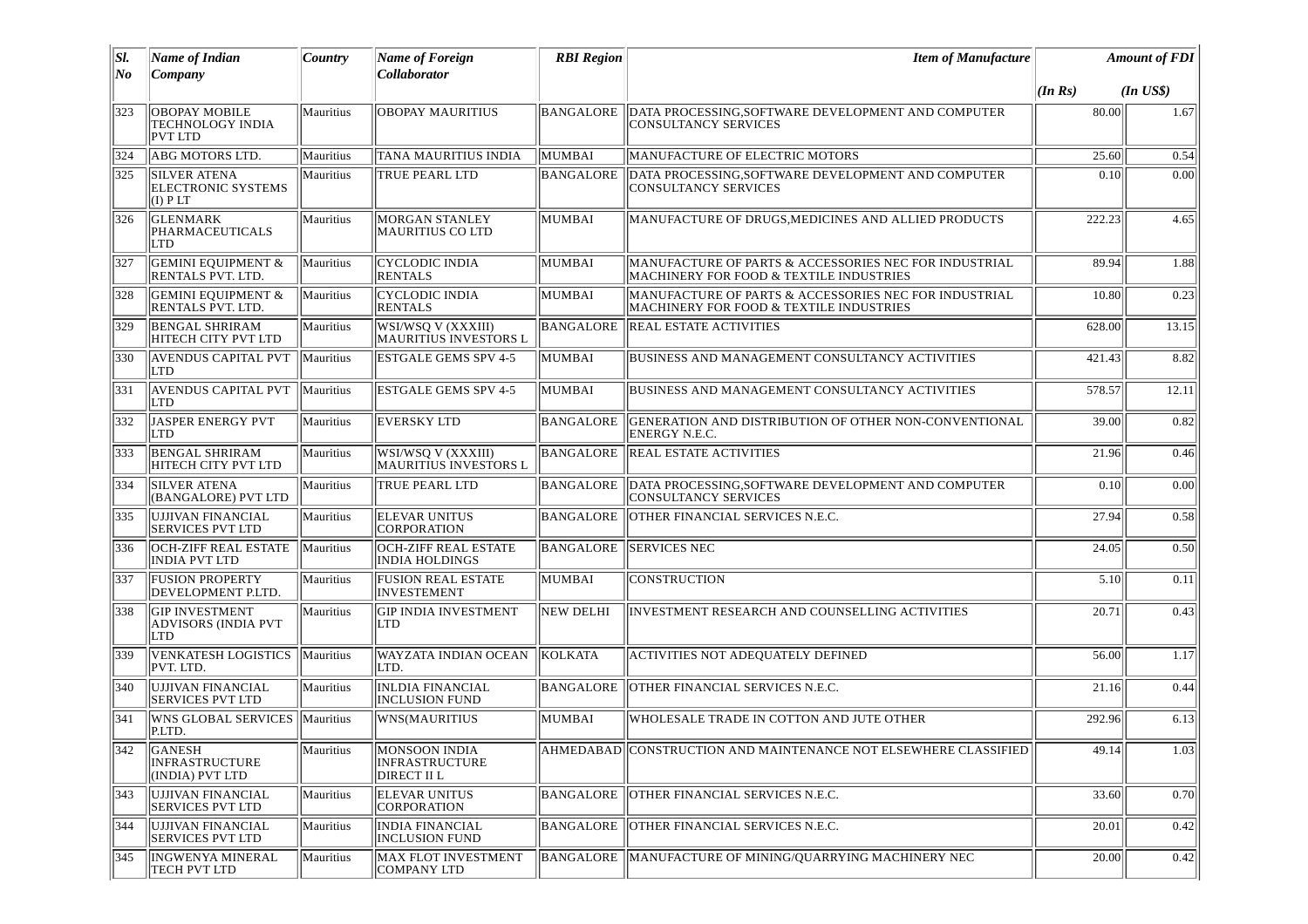| SI.   | Name of Indian                                               | Country          | <b>Name of Foreign</b>                                | <b>RBI</b> Region | <b>Item of Manufacture</b>                                                                       |         | <b>Amount of FDI</b> |
|-------|--------------------------------------------------------------|------------------|-------------------------------------------------------|-------------------|--------------------------------------------------------------------------------------------------|---------|----------------------|
| $N$ o | Company                                                      |                  | Collaborator                                          |                   |                                                                                                  | (In Rs) | $(In$ $US$)$         |
| 323   | <b>OBOPAY MOBILE</b><br>TECHNOLOGY INDIA<br><b>PVT LTD</b>   | Mauritius        | <b>OBOPAY MAURITIUS</b>                               | <b>BANGALORE</b>  | DATA PROCESSING, SOFTWARE DEVELOPMENT AND COMPUTER<br><b>CONSULTANCY SERVICES</b>                | 80.00   | 1.67                 |
| $324$ | ABG MOTORS LTD.                                              | Mauritius        | TANA MAURITIUS INDIA                                  | MUMBAI            | MANUFACTURE OF ELECTRIC MOTORS                                                                   | 25.60   | 0.54                 |
| 325   | <b>SILVER ATENA</b><br><b>ELECTRONIC SYSTEMS</b><br>(I) P LT | Mauritius        | TRUE PEARL LTD                                        | <b>BANGALORE</b>  | DATA PROCESSING, SOFTWARE DEVELOPMENT AND COMPUTER<br>CONSULTANCY SERVICES                       | 0.10    | 0.00                 |
| 326   | <b>GLENMARK</b><br>PHARMACEUTICALS<br>LTD                    | Mauritius        | <b>MORGAN STANLEY</b><br><b>MAURITIUS CO LTD</b>      | MUMBAI            | MANUFACTURE OF DRUGS.MEDICINES AND ALLIED PRODUCTS                                               | 222.23  | 4.65                 |
| 327   | <b>GEMINI EQUIPMENT &amp;</b><br>RENTALS PVT. LTD.           | Mauritius        | <b>CYCLODIC INDIA</b><br><b>RENTALS</b>               | MUMBAI            | MANUFACTURE OF PARTS & ACCESSORIES NEC FOR INDUSTRIAL<br>MACHINERY FOR FOOD & TEXTILE INDUSTRIES | 89.94   | 1.88                 |
| 328   | <b>GEMINI EQUIPMENT &amp;</b><br>RENTALS PVT. LTD.           | Mauritius        | <b>CYCLODIC INDIA</b><br><b>RENTALS</b>               | MUMBAI            | MANUFACTURE OF PARTS & ACCESSORIES NEC FOR INDUSTRIAL<br>MACHINERY FOR FOOD & TEXTILE INDUSTRIES | 10.80   | 0.23                 |
| 329   | <b>BENGAL SHRIRAM</b><br>HITECH CITY PVT LTD                 | Mauritius        | WSI/WSQ V (XXXIII)<br><b>MAURITIUS INVESTORS L</b>    | <b>BANGALORE</b>  | REAL ESTATE ACTIVITIES                                                                           | 628.00  | 13.15                |
| 330   | <b>AVENDUS CAPITAL PVT</b><br>LTD                            | Mauritius        | <b>ESTGALE GEMS SPV 4-5</b>                           | MUMBAI            | BUSINESS AND MANAGEMENT CONSULTANCY ACTIVITIES                                                   | 421.43  | 8.82                 |
| 331   | <b>AVENDUS CAPITAL PVT</b><br>LTD                            | <b>Mauritius</b> | <b>ESTGALE GEMS SPV 4-5</b>                           | MUMBAI            | BUSINESS AND MANAGEMENT CONSULTANCY ACTIVITIES                                                   | 578.57  | 12.11                |
| 332   | JASPER ENERGY PVT<br>LTD                                     | Mauritius        | <b>EVERSKY LTD</b>                                    | <b>BANGALORE</b>  | GENERATION AND DISTRIBUTION OF OTHER NON-CONVENTIONAL<br>ENERGY N.E.C.                           | 39.00   | $\overline{0.82}$    |
| 333   | <b>BENGAL SHRIRAM</b><br>HITECH CITY PVT LTD                 | Mauritius        | WSI/WSQ V (XXXIII)<br>MAURITIUS INVESTORS L           | BANGALORE         | <b>REAL ESTATE ACTIVITIES</b>                                                                    | 21.96   | 0.46                 |
| 334   | <b>SILVER ATENA</b><br>(BANGALORE) PVT LTD                   | Mauritius        | TRUE PEARL LTD                                        | <b>BANGALORE</b>  | DATA PROCESSING, SOFTWARE DEVELOPMENT AND COMPUTER<br><b>CONSULTANCY SERVICES</b>                | 0.10    | 0.00                 |
| 335   | UJJIVAN FINANCIAL<br><b>SERVICES PVT LTD</b>                 | Mauritius        | <b>ELEVAR UNITUS</b><br>CORPORATION                   | <b>BANGALORE</b>  | OTHER FINANCIAL SERVICES N.E.C.                                                                  | 27.94   | 0.58                 |
| 336   | OCH-ZIFF REAL ESTATE<br>INDIA PVT LTD                        | Mauritius        | OCH-ZIFF REAL ESTATE<br>INDIA HOLDINGS                | BANGALORE         | <b>SERVICES NEC</b>                                                                              | 24.05   | 0.50                 |
| 337   | <b>FUSION PROPERTY</b><br>DEVELOPMENT P.LTD.                 | Mauritius        | <b>FUSION REAL ESTATE</b><br>INVESTEMENT              | MUMBAI            | <b>CONSTRUCTION</b>                                                                              | 5.10    | 0.11                 |
| 338   | <b>GIP INVESTMENT</b><br><b>ADVISORS (INDIA PVT</b><br>LTD   | Mauritius        | <b>GIP INDIA INVESTMENT</b><br>LTD                    | NEW DELHI         | INVESTMENT RESEARCH AND COUNSELLING ACTIVITIES                                                   | 20.71   | 0.43                 |
| 339   | VENKATESH LOGISTICS<br>PVT. LTD.                             | Mauritius        | WAYZATA INDIAN OCEAN<br>LTD.                          | KOLKATA           | <b>ACTIVITIES NOT ADEQUATELY DEFINED</b>                                                         | 56.00   | 1.17                 |
| 340   | UJJIVAN FINANCIAL<br><b>SERVICES PVT LTD</b>                 | Mauritius        | <b>INLDIA FINANCIAL</b><br><b>INCLUSION FUND</b>      | BANGALORE         | OTHER FINANCIAL SERVICES N.E.C.                                                                  | 21.16   | 0.44                 |
| 341   | WNS GLOBAL SERVICES   Mauritius<br>P.LTD.                    |                  | <b>WNS(MAURITIUS</b>                                  | MUMBAI            | WHOLESALE TRADE IN COTTON AND JUTE OTHER                                                         | 292.96  | 6.13                 |
| 342   | GANESH<br><b>INFRASTRUCTURE</b><br>(INDIA) PVT LTD           | Mauritius        | <b>MONSOON INDIA</b><br>INFRASTRUCTURE<br>DIRECT II L |                   | AHMEDABAD  CONSTRUCTION AND MAINTENANCE NOT ELSEWHERE CLASSIFIED                                 | 49.14   | 1.03                 |
| 343   | UJJIVAN FINANCIAL<br><b>SERVICES PVT LTD</b>                 | Mauritius        | <b>ELEVAR UNITUS</b><br>CORPORATION                   | BANGALORE         | OTHER FINANCIAL SERVICES N.E.C.                                                                  | 33.60   | 0.70                 |
| 344   | UJJIVAN FINANCIAL<br><b>SERVICES PVT LTD</b>                 | Mauritius        | INDIA FINANCIAL<br><b>INCLUSION FUND</b>              | <b>BANGALORE</b>  | OTHER FINANCIAL SERVICES N.E.C.                                                                  | 20.01   | 0.42                 |
| 345   | <b>INGWENYA MINERAL</b><br><b>TECH PVT LTD</b>               | Mauritius        | MAX FLOT INVESTMENT<br>COMPANY LTD                    | BANGALORE         | MANUFACTURE OF MINING/QUARRYING MACHINERY NEC                                                    | 20.00   | 0.42                 |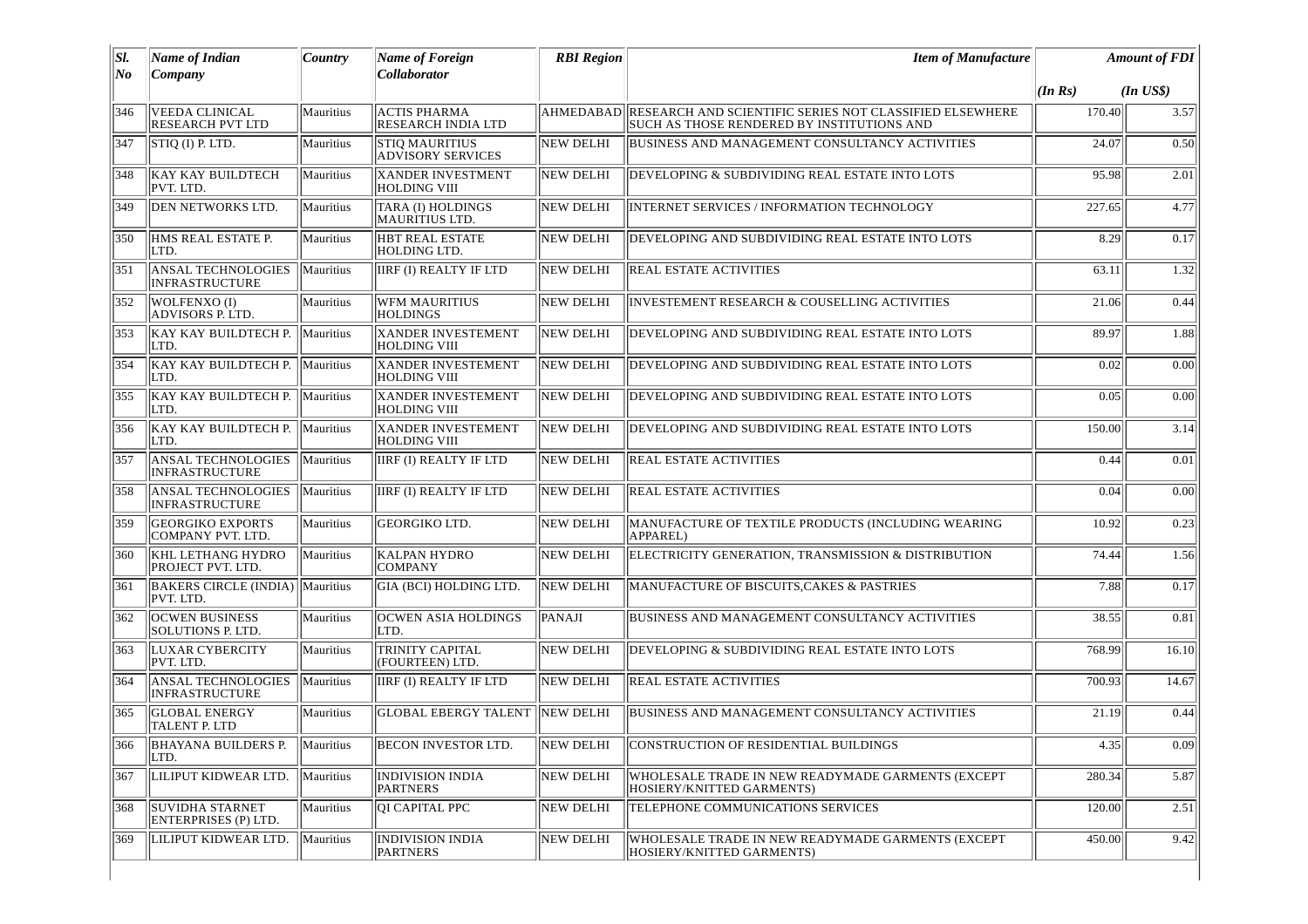| SI.<br>No | <b>Name of Indian</b><br>Company                   | Country   | <b>Name of Foreign</b><br>Collaborator            | <b>RBI</b> Region | <b>Item of Manufacture</b>                                                                            |         | <b>Amount of FDI</b> |
|-----------|----------------------------------------------------|-----------|---------------------------------------------------|-------------------|-------------------------------------------------------------------------------------------------------|---------|----------------------|
|           |                                                    |           |                                                   |                   |                                                                                                       | (In Rs) | $(In$ $US$)$         |
| 346       | <b>VEEDA CLINICAL</b><br><b>RESEARCH PVT LTD</b>   | Mauritius | <b>ACTIS PHARMA</b><br><b>RESEARCH INDIA LTD</b>  | AHMEDABAD         | RESEARCH AND SCIENTIFIC SERIES NOT CLASSIFIED ELSEWHERE<br>SUCH AS THOSE RENDERED BY INSTITUTIONS AND | 170.40  | 3.57                 |
| 347       | STIQ (I) P. LTD.                                   | Mauritius | <b>STIQ MAURITIUS</b><br><b>ADVISORY SERVICES</b> | <b>NEW DELHI</b>  | <b>BUSINESS AND MANAGEMENT CONSULTANCY ACTIVITIES</b>                                                 | 24.07   | 0.50                 |
| 348       | <b>KAY KAY BUILDTECH</b><br>PVT. LTD.              | Mauritius | <b>XANDER INVESTMENT</b><br>HOLDING VIII          | NEW DELHI         | DEVELOPING & SUBDIVIDING REAL ESTATE INTO LOTS                                                        | 95.98   | 2.01                 |
| 349       | DEN NETWORKS LTD.                                  | Mauritius | TARA (I) HOLDINGS<br><b>MAURITIUS LTD.</b>        | <b>NEW DELHI</b>  | INTERNET SERVICES / INFORMATION TECHNOLOGY                                                            | 227.65  | 4.77                 |
| 350       | HMS REAL ESTATE P.<br>LTD.                         | Mauritius | HBT REAL ESTATE<br><b>HOLDING LTD.</b>            | NEW DELHI         | DEVELOPING AND SUBDIVIDING REAL ESTATE INTO LOTS                                                      | 8.29    | 0.17                 |
| 351       | ANSAL TECHNOLOGIES<br>INFRASTRUCTURE               | Mauritius | <b>IIRF (I) REALTY IF LTD</b>                     | NEW DELHI         | <b>REAL ESTATE ACTIVITIES</b>                                                                         | 63.11   | 1.32                 |
| 352       | WOLFENXO(I)<br>ADVISORS P. LTD.                    | Mauritius | <b>WFM MAURITIUS</b><br><b>HOLDINGS</b>           | NEW DELHI         | <b>INVESTEMENT RESEARCH &amp; COUSELLING ACTIVITIES</b>                                               | 21.06   | 0.44                 |
| 353       | KAY KAY BUILDTECH P.<br>LTD.                       | Mauritius | <b>XANDER INVESTEMENT</b><br><b>HOLDING VIII</b>  | NEW DELHI         | DEVELOPING AND SUBDIVIDING REAL ESTATE INTO LOTS                                                      | 89.97   | 1.88                 |
| 354       | KAY KAY BUILDTECH P.<br>LTD.                       | Mauritius | <b>XANDER INVESTEMENT</b><br><b>HOLDING VIII</b>  | <b>NEW DELHI</b>  | DEVELOPING AND SUBDIVIDING REAL ESTATE INTO LOTS                                                      | 0.02    | 0.00                 |
| 355       | KAY KAY BUILDTECH P.<br>LTD.                       | Mauritius | <b>XANDER INVESTEMENT</b><br><b>HOLDING VIII</b>  | <b>NEW DELHI</b>  | DEVELOPING AND SUBDIVIDING REAL ESTATE INTO LOTS                                                      | 0.05    | 0.00                 |
| 356       | KAY KAY BUILDTECH P.<br>LTD.                       | Mauritius | <b>XANDER INVESTEMENT</b><br><b>HOLDING VIII</b>  | <b>NEW DELHI</b>  | DEVELOPING AND SUBDIVIDING REAL ESTATE INTO LOTS                                                      | 150.00  | 3.14                 |
| 357       | <b>ANSAL TECHNOLOGIES</b><br><b>INFRASTRUCTURE</b> | Mauritius | <b>IIRF (I) REALTY IF LTD</b>                     | NEW DELHI         | <b>REAL ESTATE ACTIVITIES</b>                                                                         | 0.44    | 0.01                 |
| 358       | <b>ANSAL TECHNOLOGIES</b><br><b>INFRASTRUCTURE</b> | Mauritius | IIRF (I) REALTY IF LTD                            | NEW DELHI         | <b>REAL ESTATE ACTIVITIES</b>                                                                         | 0.04    | 0.00                 |
| 359       | <b>GEORGIKO EXPORTS</b><br>COMPANY PVT. LTD.       | Mauritius | <b>GEORGIKO LTD.</b>                              | <b>NEW DELHI</b>  | MANUFACTURE OF TEXTILE PRODUCTS (INCLUDING WEARING<br>APPAREL)                                        | 10.92   | 0.23                 |
| 360       | <b>KHL LETHANG HYDRO</b><br>PROJECT PVT. LTD.      | Mauritius | <b>KALPAN HYDRO</b><br><b>COMPANY</b>             | <b>NEW DELHI</b>  | ELECTRICITY GENERATION, TRANSMISSION & DISTRIBUTION                                                   | 74.44   | 1.56                 |
| 361       | BAKERS CIRCLE (INDIA) Mauritius<br>PVT. LTD.       |           | GIA (BCI) HOLDING LTD.                            | <b>NEW DELHI</b>  | MANUFACTURE OF BISCUITS, CAKES & PASTRIES                                                             | 7.88    | 0.17                 |
| 362       | <b>OCWEN BUSINESS</b><br>SOLUTIONS P. LTD.         | Mauritius | <b>OCWEN ASIA HOLDINGS</b><br>LTD.                | PANAJI            | BUSINESS AND MANAGEMENT CONSULTANCY ACTIVITIES                                                        | 38.55   | 0.81                 |
| 363       | <b>LUXAR CYBERCITY</b><br>PVT. LTD.                | Mauritius | <b>TRINITY CAPITAL</b><br>(FOURTEEN) LTD.         | <b>NEW DELHI</b>  | DEVELOPING & SUBDIVIDING REAL ESTATE INTO LOTS                                                        | 768.99  | 16.10                |
| 364       | <b>ANSAL TECHNOLOGIES</b><br><b>INFRASTRUCTURE</b> | Mauritius | <b>IIRF (I) REALTY IF LTD</b>                     | <b>NEW DELHI</b>  | <b>REAL ESTATE ACTIVITIES</b>                                                                         | 700.93  | 14.67                |
| 365       | <b>GLOBAL ENERGY</b><br>TALENT P. LTD              | Mauritius | <b>GLOBAL EBERGY TALENT</b>                       | NEW DELHI         | <b>BUSINESS AND MANAGEMENT CONSULTANCY ACTIVITIES</b>                                                 | 21.19   | 0.44                 |
| 366       | BHAYANA BUILDERS P. Mauritius<br>LTD.              |           | <b>BECON INVESTOR LTD.</b>                        |                   | NEW DELHI CONSTRUCTION OF RESIDENTIAL BUILDINGS                                                       | 4.35    | 0.09                 |
| 367       | LILIPUT KIDWEAR LTD.                               | Mauritius | <b>INDIVISION INDIA</b><br><b>PARTNERS</b>        | NEW DELHI         | WHOLESALE TRADE IN NEW READYMADE GARMENTS (EXCEPT<br>HOSIERY/KNITTED GARMENTS)                        | 280.34  | 5.87                 |
| 368       | <b>SUVIDHA STARNET</b><br>ENTERPRISES (P) LTD.     | Mauritius | <b>QI CAPITAL PPC</b>                             | NEW DELHI         | TELEPHONE COMMUNICATIONS SERVICES                                                                     | 120.00  | 2.51                 |
| 369       | LILIPUT KIDWEAR LTD.                               | Mauritius | <b>INDIVISION INDIA</b><br><b>PARTNERS</b>        | NEW DELHI         | WHOLESALE TRADE IN NEW READYMADE GARMENTS (EXCEPT<br>HOSIERY/KNITTED GARMENTS)                        | 450.00  | 9.42                 |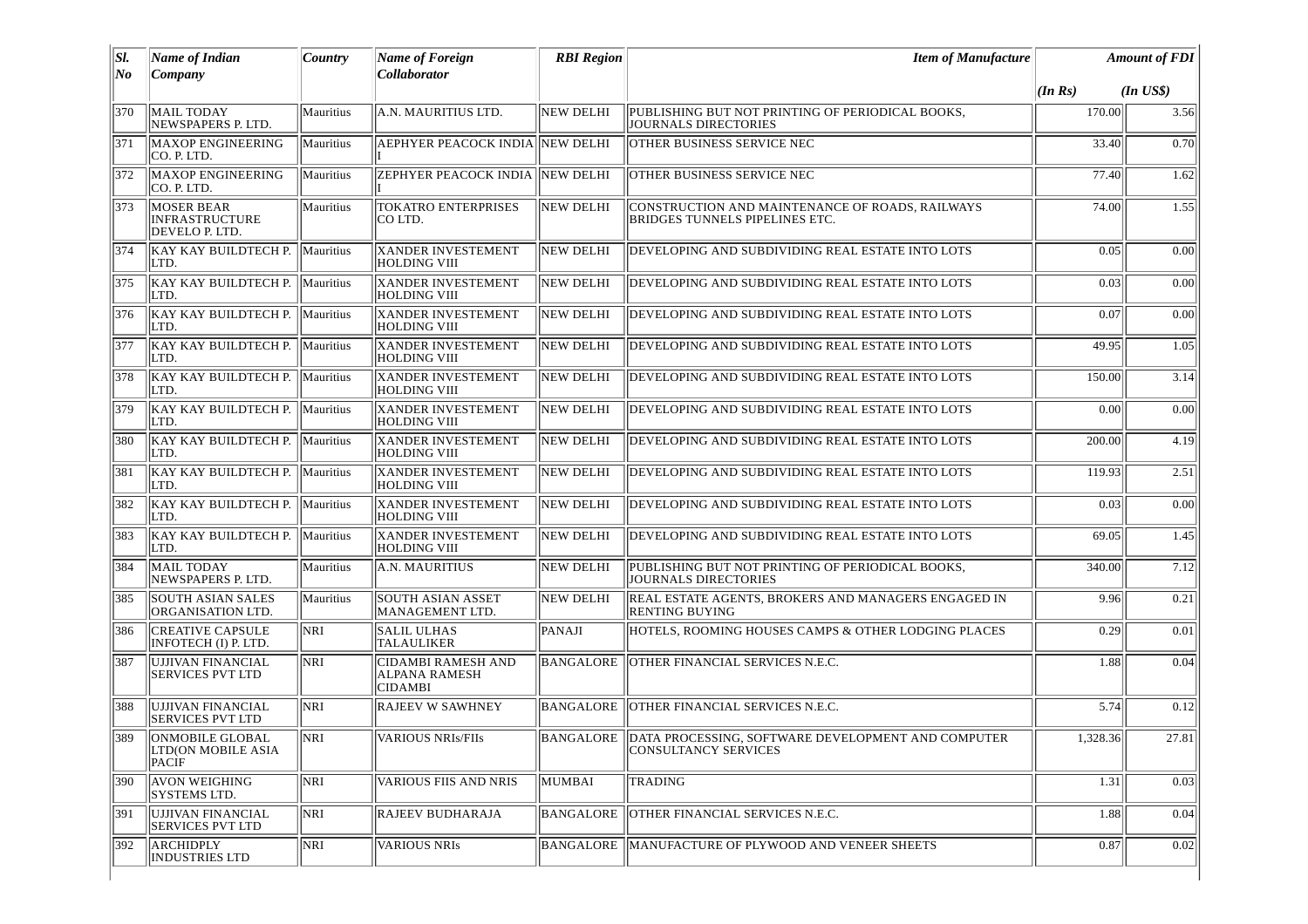| SI.  | <b>Name of Indian</b>                                        | Country    | <b>Name of Foreign</b>                                              | <b>RBI</b> Region | <b>Item of Manufacture</b>                                                           |          | <b>Amount of FDI</b> |
|------|--------------------------------------------------------------|------------|---------------------------------------------------------------------|-------------------|--------------------------------------------------------------------------------------|----------|----------------------|
| No   | Company                                                      |            | Collaborator                                                        |                   |                                                                                      | (In Rs)  | $(In$ $US$)$         |
| 370  | MAIL TODAY<br>NEWSPAPERS P. LTD.                             | Mauritius  | A.N. MAURITIUS LTD.                                                 | <b>NEW DELHI</b>  | PUBLISHING BUT NOT PRINTING OF PERIODICAL BOOKS,<br><b>JOURNALS DIRECTORIES</b>      | 170.00   | 3.56                 |
| 371  | <b>MAXOP ENGINEERING</b><br>CO. P. LTD.                      | Mauritius  | AEPHYER PEACOCK INDIA NEW DELHI                                     |                   | OTHER BUSINESS SERVICE NEC                                                           | 33.40    | 0.70                 |
| 372  | <b>MAXOP ENGINEERING</b><br>CO. P. LTD.                      | Mauritius  | <b>ZEPHYER PEACOCK INDIA NEW DELHI</b>                              |                   | OTHER BUSINESS SERVICE NEC                                                           | 77.40    | 1.62                 |
| 373  | <b>MOSER BEAR</b><br><b>INFRASTRUCTURE</b><br>DEVELO P. LTD. | Mauritius  | <b>TOKATRO ENTERPRISES</b><br>CO LTD.                               | <b>NEW DELHI</b>  | CONSTRUCTION AND MAINTENANCE OF ROADS, RAILWAYS<br>BRIDGES TUNNELS PIPELINES ETC.    | 74.00    | 1.55                 |
| 374  | KAY KAY BUILDTECH P. Mauritius<br>LTD.                       |            | <b>XANDER INVESTEMENT</b><br><b>HOLDING VIII</b>                    | <b>NEW DELHI</b>  | DEVELOPING AND SUBDIVIDING REAL ESTATE INTO LOTS                                     | 0.05     | 0.00                 |
| 375  | KAY KAY BUILDTECH P. Mauritius<br>LTD.                       |            | <b>XANDER INVESTEMENT</b><br>HOLDING VIII                           | <b>NEW DELHI</b>  | DEVELOPING AND SUBDIVIDING REAL ESTATE INTO LOTS                                     | 0.03     | 0.00                 |
| 376  | KAY KAY BUILDTECH P. Mauritius<br>LTD.                       |            | <b>XANDER INVESTEMENT</b><br><b>HOLDING VIII</b>                    | NEW DELHI         | DEVELOPING AND SUBDIVIDING REAL ESTATE INTO LOTS                                     | 0.07     | 0.00                 |
| 377  | KAY KAY BUILDTECH P.<br>LTD.                                 | Mauritius  | <b>XANDER INVESTEMENT</b><br><b>HOLDING VIII</b>                    | <b>NEW DELHI</b>  | DEVELOPING AND SUBDIVIDING REAL ESTATE INTO LOTS                                     | 49.95    | 1.05                 |
| 378  | KAY KAY BUILDTECH P. Mauritius<br>LTD.                       |            | <b>XANDER INVESTEMENT</b><br>HOLDING VIII                           | <b>NEW DELHI</b>  | DEVELOPING AND SUBDIVIDING REAL ESTATE INTO LOTS                                     | 150.00   | 3.14                 |
| 379  | KAY KAY BUILDTECH P. Mauritius<br>LTD.                       |            | <b>XANDER INVESTEMENT</b><br><b>HOLDING VIII</b>                    | <b>NEW DELHI</b>  | DEVELOPING AND SUBDIVIDING REAL ESTATE INTO LOTS                                     | 0.00     | 0.00                 |
| 380  | KAY KAY BUILDTECH P.<br>LTD.                                 | Mauritius  | <b>XANDER INVESTEMENT</b><br><b>HOLDING VIII</b>                    | <b>NEW DELHI</b>  | DEVELOPING AND SUBDIVIDING REAL ESTATE INTO LOTS                                     | 200.00   | 4.19                 |
| 381  | KAY KAY BUILDTECH P. Mauritius<br>LTD.                       |            | <b>XANDER INVESTEMENT</b><br><b>HOLDING VIII</b>                    | NEW DELHI         | DEVELOPING AND SUBDIVIDING REAL ESTATE INTO LOTS                                     | 119.93   | 2.51                 |
| 382  | KAY KAY BUILDTECH P. Mauritius<br>LTD.                       |            | <b>XANDER INVESTEMENT</b><br><b>HOLDING VIII</b>                    | NEW DELHI         | DEVELOPING AND SUBDIVIDING REAL ESTATE INTO LOTS                                     | 0.03     | 0.00                 |
| 383  | KAY KAY BUILDTECH P. Mauritius<br>LTD.                       |            | <b>XANDER INVESTEMENT</b><br><b>HOLDING VIII</b>                    | <b>NEW DELHI</b>  | DEVELOPING AND SUBDIVIDING REAL ESTATE INTO LOTS                                     | 69.05    | 1.45                 |
| 384  | <b>MAIL TODAY</b><br>NEWSPAPERS P. LTD.                      | Mauritius  | A.N. MAURITIUS                                                      | <b>NEW DELHI</b>  | PUBLISHING BUT NOT PRINTING OF PERIODICAL BOOKS,<br><b>JOURNALS DIRECTORIES</b>      | 340.00   | 7.12                 |
| 385  | <b>SOUTH ASIAN SALES</b><br>ORGANISATION LTD.                | Mauritius  | <b>SOUTH ASIAN ASSET</b><br>MANAGEMENT LTD.                         | <b>NEW DELHI</b>  | REAL ESTATE AGENTS, BROKERS AND MANAGERS ENGAGED IN<br>RENTING BUYING                | 9.96     | 0.21                 |
| 386  | <b>CREATIVE CAPSULE</b><br>INFOTECH (I) P. LTD.              | <b>NRI</b> | <b>SALIL ULHAS</b><br><b>TALAULIKER</b>                             | PANAJI            | HOTELS, ROOMING HOUSES CAMPS & OTHER LODGING PLACES                                  | 0.29     | 0.01                 |
| 387  | UJJIVAN FINANCIAL<br>SERVICES PVT LTD                        | <b>NRI</b> | <b>CIDAMBI RAMESH AND</b><br><b>ALPANA RAMESH</b><br><b>CIDAMBI</b> | <b>BANGALORE</b>  | <b>OTHER FINANCIAL SERVICES N.E.C.</b>                                               | 1.88     | 0.04                 |
| 388  | UJJIVAN FINANCIAL<br><b>SERVICES PVT LTD</b>                 | <b>NRI</b> | <b>RAJEEV W SAWHNEY</b>                                             |                   | BANGALORE   OTHER FINANCIAL SERVICES N.E.C.                                          | 5.74     | 0.12                 |
| 1389 | ONMOBILE GLOBAL<br>LTD(ON MOBILE ASIA<br>PACIF               | <b>NRI</b> | VARIOUS NRIs/FIIs                                                   |                   | BANGALORE DATA PROCESSING, SOFTWARE DEVELOPMENT AND COMPUTER<br>CONSULTANCY SERVICES | 1,328.36 | 27.81                |
| 390  | <b>AVON WEIGHING</b><br><b>SYSTEMS LTD.</b>                  | <b>NRI</b> | VARIOUS FIIS AND NRIS                                               | MUMBAI            | <b>TRADING</b>                                                                       | 1.31     | $\overline{0.03}$    |
| 391  | UJJIVAN FINANCIAL<br><b>SERVICES PVT LTD</b>                 | <b>NRI</b> | RAJEEV BUDHARAJA                                                    | BANGALORE         | OTHER FINANCIAL SERVICES N.E.C.                                                      | 1.88     | 0.04                 |
| 392  | <b>ARCHIDPLY</b><br><b>INDUSTRIES LTD</b>                    | NRI        | <b>VARIOUS NRIS</b>                                                 | BANGALORE         | MANUFACTURE OF PLYWOOD AND VENEER SHEETS                                             | 0.87     | 0.02                 |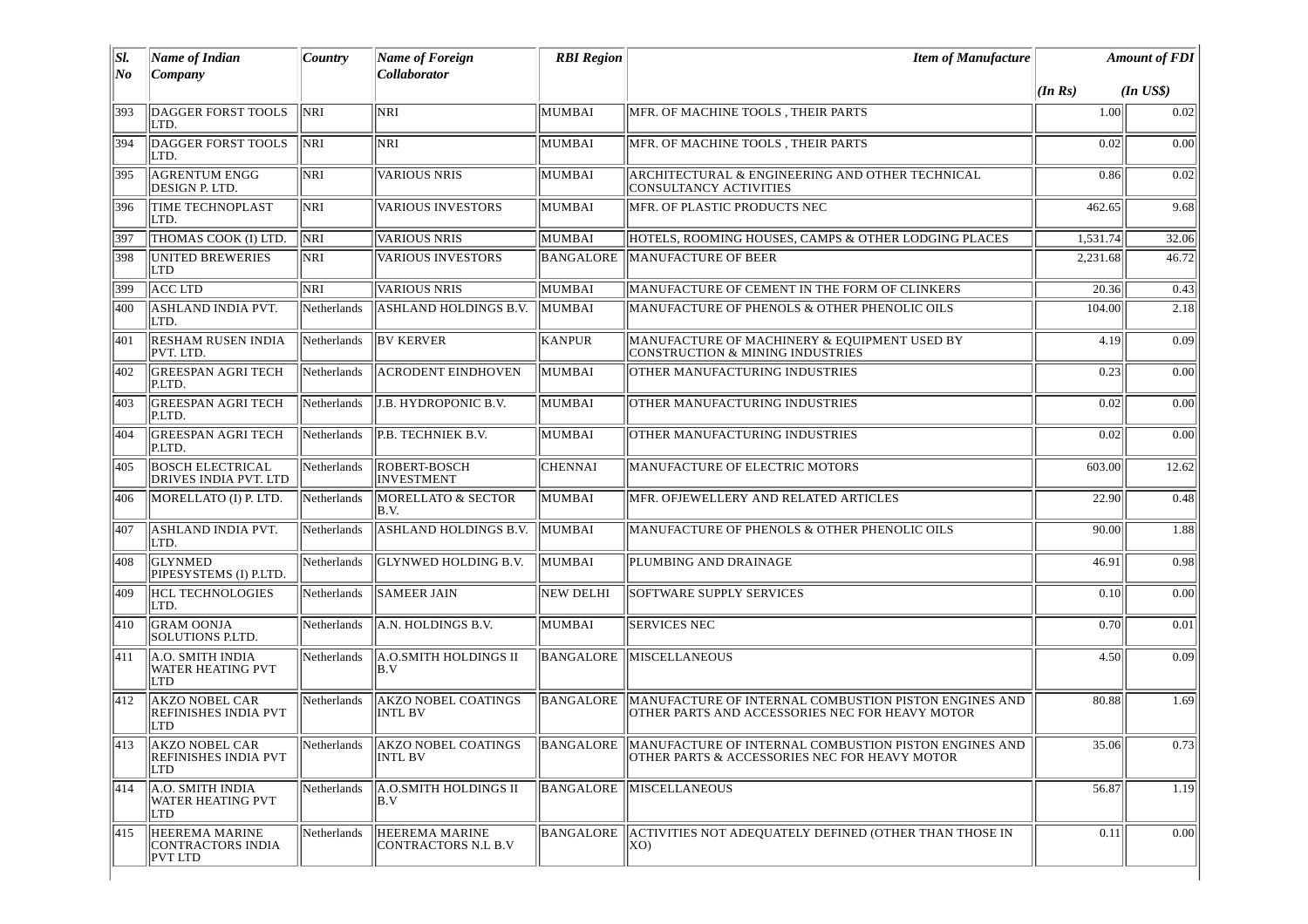| SI.<br>No | <b>Name of Indian</b><br>Company                                | Country            | Name of Foreign<br><b>Collaborator</b>              | <b>RBI</b> Region | <b>Item of Manufacture</b>                                                                                                                       |          | <b>Amount of FDI</b> |
|-----------|-----------------------------------------------------------------|--------------------|-----------------------------------------------------|-------------------|--------------------------------------------------------------------------------------------------------------------------------------------------|----------|----------------------|
|           |                                                                 |                    |                                                     |                   |                                                                                                                                                  | (In Rs)  | $(In$ $US$)$         |
| 393       | DAGGER FORST TOOLS<br>LTD.                                      | NRI                | NRI                                                 | <b>MUMBAI</b>     | MFR. OF MACHINE TOOLS, THEIR PARTS                                                                                                               | 1.00     | 0.02                 |
| 394       | DAGGER FORST TOOLS<br>LTD.                                      | <b>NRI</b>         | <b>NRI</b>                                          | <b>MUMBAI</b>     | MFR. OF MACHINE TOOLS, THEIR PARTS                                                                                                               | 0.02     | 0.00                 |
| 395       | <b>AGRENTUM ENGG</b><br>DESIGN P. LTD.                          | NRI                | <b>VARIOUS NRIS</b>                                 | MUMBAI            | ARCHITECTURAL & ENGINEERING AND OTHER TECHNICAL<br><b>CONSULTANCY ACTIVITIES</b>                                                                 | 0.86     | 0.02                 |
| 396       | <b>TIME TECHNOPLAST</b><br>LTD.                                 | NRI                | <b>VARIOUS INVESTORS</b>                            | MUMBAI            | MFR. OF PLASTIC PRODUCTS NEC                                                                                                                     | 462.65   | 9.68                 |
| 397       | THOMAS COOK (I) LTD.                                            | <b>NRI</b>         | <b>VARIOUS NRIS</b>                                 | MUMBAI            | HOTELS, ROOMING HOUSES, CAMPS & OTHER LODGING PLACES                                                                                             | 1,531.74 | 32.06                |
| 398       | <b>UNITED BREWERIES</b><br>LTD                                  | NRI                | <b>VARIOUS INVESTORS</b>                            | <b>BANGALORE</b>  | MANUFACTURE OF BEER                                                                                                                              | 2,231.68 | 46.72                |
| 399       | <b>ACC LTD</b>                                                  | <b>NRI</b>         | <b>VARIOUS NRIS</b>                                 | MUMBAI            | MANUFACTURE OF CEMENT IN THE FORM OF CLINKERS                                                                                                    | 20.36    | 0.43                 |
| 400       | ASHLAND INDIA PVT.<br>LTD.                                      | <b>Netherlands</b> | ASHLAND HOLDINGS B.V.                               | MUMBAI            | MANUFACTURE OF PHENOLS & OTHER PHENOLIC OILS                                                                                                     | 104.00   | 2.18                 |
| 401       | <b>RESHAM RUSEN INDIA</b><br>PVT. LTD.                          | Netherlands        | <b>BV KERVER</b>                                    | <b>KANPUR</b>     | MANUFACTURE OF MACHINERY & EQUIPMENT USED BY<br>CONSTRUCTION & MINING INDUSTRIES                                                                 | 4.19     | 0.09                 |
| 402       | <b>GREESPAN AGRI TECH</b><br>P.LTD.                             | Netherlands        | ACRODENT EINDHOVEN                                  | MUMBAI            | OTHER MANUFACTURING INDUSTRIES                                                                                                                   | 0.23     | 0.00                 |
| 403       | <b>GREESPAN AGRI TECH</b><br>P.LTD.                             | Netherlands        | J.B. HYDROPONIC B.V.                                | MUMBAI            | OTHER MANUFACTURING INDUSTRIES                                                                                                                   | 0.02     | 0.00                 |
| 404       | <b>GREESPAN AGRI TECH</b><br>P.LTD.                             | Netherlands        | P.B. TECHNIEK B.V.                                  | MUMBAI            | OTHER MANUFACTURING INDUSTRIES                                                                                                                   | 0.02     | 0.00                 |
| 405       | <b>BOSCH ELECTRICAL</b><br>DRIVES INDIA PVT. LTD                | Netherlands        | ROBERT-BOSCH<br><b>INVESTMENT</b>                   | <b>CHENNAI</b>    | MANUFACTURE OF ELECTRIC MOTORS                                                                                                                   | 603.00   | 12.62                |
| 406       | MORELLATO (I) P. LTD.                                           | Netherlands        | <b>MORELLATO &amp; SECTOR</b><br>B.V.               | MUMBAI            | MFR. OFJEWELLERY AND RELATED ARTICLES                                                                                                            | 22.90    | 0.48                 |
| 407       | <b>ASHLAND INDIA PVT.</b><br>LTD.                               | Netherlands        | ASHLAND HOLDINGS B.V.                               | MUMBAI            | MANUFACTURE OF PHENOLS & OTHER PHENOLIC OILS                                                                                                     | 90.00    | 1.88                 |
| 408       | <b>GLYNMED</b><br>PIPESYSTEMS (I) P.LTD.                        | Netherlands        | GLYNWED HOLDING B.V.                                | MUMBAI            | PLUMBING AND DRAINAGE                                                                                                                            | 46.91    | 0.98                 |
| 409       | <b>HCL TECHNOLOGIES</b><br>LTD.                                 | Netherlands        | <b>SAMEER JAIN</b>                                  | <b>NEW DELHI</b>  | <b>SOFTWARE SUPPLY SERVICES</b>                                                                                                                  | 0.10     | 0.00                 |
| 410       | <b>GRAM OONJA</b><br>SOLUTIONS P.LTD.                           | Netherlands        | A.N. HOLDINGS B.V.                                  | MUMBAI            | <b>SERVICES NEC</b>                                                                                                                              | 0.70     | 0.01                 |
| 411       | A.O. SMITH INDIA<br><b>WATER HEATING PVT</b><br><b>LTD</b>      | Netherlands        | A.O.SMITH HOLDINGS II<br>lB.V                       | <b>BANGALORE</b>  | <b>MISCELLANEOUS</b>                                                                                                                             | 4.50     | 0.09                 |
| 412       | <b>AKZO NOBEL CAR</b><br>REFINISHES INDIA PVT<br>LTD            | Netherlands        | <b>AKZO NOBEL COATINGS</b><br><b>INTL BV</b>        | <b>BANGALORE</b>  | MANUFACTURE OF INTERNAL COMBUSTION PISTON ENGINES AND<br>OTHER PARTS AND ACCESSORIES NEC FOR HEAVY MOTOR                                         | 80.88    | 1.69                 |
|           | 413 AKZO NOBEL CAR<br><b>REFINISHES INDIA PVT</b><br><b>LTD</b> |                    | <b>INTL BV</b>                                      |                   | Netherlands AKZO NOBEL COATINGS BANGALORE MANUFACTURE OF INTERNAL COMBUSTION PISTON ENGINES AND<br>OTHER PARTS & ACCESSORIES NEC FOR HEAVY MOTOR | 35.06    | 0.73                 |
| 414       | $\ $ A.O. SMITH INDIA<br><b>WATER HEATING PVT</b><br><b>LTD</b> | <b>Netherlands</b> | <b>A.O.SMITH HOLDINGS II</b><br>B.V                 | BANGALORE         | <b>MISCELLANEOUS</b>                                                                                                                             | 56.87    | 1.19                 |
| 415       | HEEREMA MARINE<br>CONTRACTORS INDIA<br>PVT LTD                  | Netherlands        | <b>HEEREMA MARINE</b><br><b>CONTRACTORS N.L B.V</b> |                   | BANGALORE ACTIVITIES NOT ADEQUATELY DEFINED (OTHER THAN THOSE IN<br>(XO                                                                          | 0.11     | 0.00                 |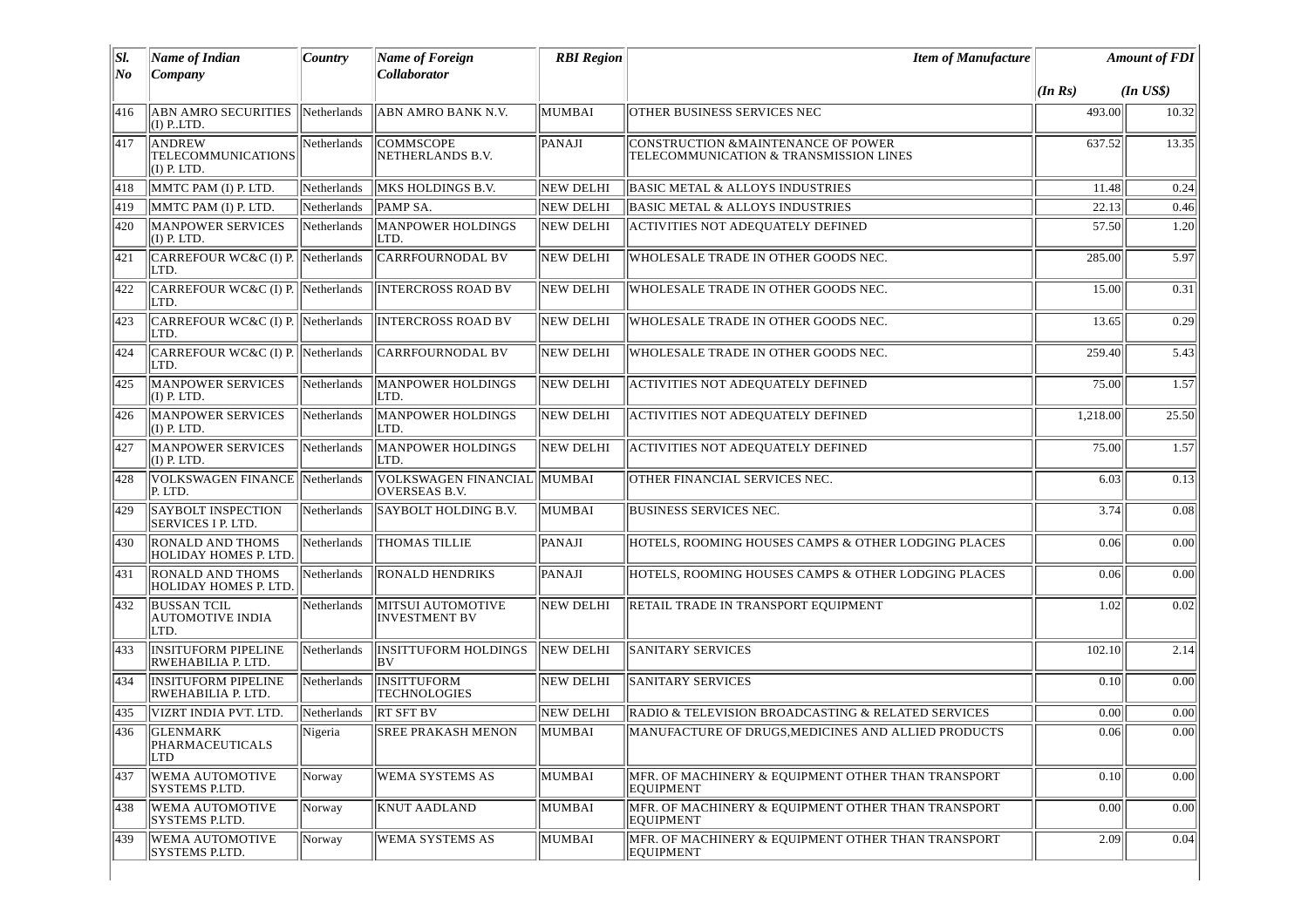| SI.<br>No | <b>Name of Indian</b><br>Company                       | Country     | <b>Name of Foreign</b><br>Collaborator              | <b>RBI</b> Region | <b>Item of Manufacture</b>                                                    | <b>Amount of FDI</b> |              |
|-----------|--------------------------------------------------------|-------------|-----------------------------------------------------|-------------------|-------------------------------------------------------------------------------|----------------------|--------------|
|           |                                                        |             |                                                     |                   |                                                                               | $(\ln \text{Rs})$    | $(In$ $US$)$ |
| 416       | <b>ABN AMRO SECURITIES</b><br>$(I)$ PLTD.              | Netherlands | ABN AMRO BANK N.V.                                  | MUMBAI            | <b>OTHER BUSINESS SERVICES NEC</b>                                            | 493.00               | 10.32        |
| 417       | ANDREW<br><b>TELECOMMUNICATIONS</b><br>$(I)$ P. LTD.   | Netherlands | <b>COMMSCOPE</b><br>NETHERLANDS B.V.                | PANAJI            | CONSTRUCTION & MAINTENANCE OF POWER<br>TELECOMMUNICATION & TRANSMISSION LINES | 637.52               | 13.35        |
| 418       | MMTC PAM (I) P. LTD.                                   | Netherlands | MKS HOLDINGS B.V.                                   | <b>NEW DELHI</b>  | <b>BASIC METAL &amp; ALLOYS INDUSTRIES</b>                                    | 11.48                | 0.24         |
| 419       | MMTC PAM (I) P. LTD.                                   | Netherlands | PAMP SA.                                            | <b>NEW DELHI</b>  | BASIC METAL & ALLOYS INDUSTRIES                                               | 22.13                | 0.46         |
| 420       | <b>MANPOWER SERVICES</b><br>$(I)$ P. LTD.              | Netherlands | MANPOWER HOLDINGS<br>LTD.                           | NEW DELHI         | <b>ACTIVITIES NOT ADEQUATELY DEFINED</b>                                      | 57.50                | 1.20         |
| 421       | CARREFOUR WC&C (I) P. Netherlands<br>LTD.              |             | <b>CARRFOURNODAL BV</b>                             | <b>NEW DELHI</b>  | WHOLESALE TRADE IN OTHER GOODS NEC.                                           | 285.00               | 5.97         |
| 422       | CARREFOUR WC&C (I) P. Netherlands<br>LTD.              |             | <b>INTERCROSS ROAD BV</b>                           | <b>NEW DELHI</b>  | WHOLESALE TRADE IN OTHER GOODS NEC.                                           | 15.00                | 0.31         |
| 423       | CARREFOUR WC&C (I) P. Netherlands<br>LTD.              |             | <b>INTERCROSS ROAD BV</b>                           | <b>NEW DELHI</b>  | WHOLESALE TRADE IN OTHER GOODS NEC.                                           | 13.65                | 0.29         |
| 424       | CARREFOUR WC&C (I) P. Netherlands<br>LTD.              |             | <b>CARRFOURNODAL BV</b>                             | NEW DELHI         | WHOLESALE TRADE IN OTHER GOODS NEC.                                           | 259.40               | 5.43         |
| 425       | <b>MANPOWER SERVICES</b><br>$(I)$ P. LTD.              | Netherlands | <b>MANPOWER HOLDINGS</b><br>LTD.                    | NEW DELHI         | <b>ACTIVITIES NOT ADEQUATELY DEFINED</b>                                      | 75.00                | 1.57         |
| 426       | <b>MANPOWER SERVICES</b><br>$(I)$ P. LTD.              | Netherlands | <b>MANPOWER HOLDINGS</b><br>LTD.                    | <b>NEW DELHI</b>  | <b>ACTIVITIES NOT ADEQUATELY DEFINED</b>                                      | 1,218.00             | 25.50        |
| 427       | MANPOWER SERVICES<br>$(I)$ P. LTD.                     | Netherlands | <b>MANPOWER HOLDINGS</b><br>LTD.                    | <b>NEW DELHI</b>  | <b>ACTIVITIES NOT ADEQUATELY DEFINED</b>                                      | 75.00                | 1.57         |
| 428       | <b>VOLKSWAGEN FINANCE</b><br>P. LTD.                   | Netherlands | VOLKSWAGEN FINANCIAL MUMBAI<br><b>OVERSEAS B.V.</b> |                   | OTHER FINANCIAL SERVICES NEC.                                                 | 6.03                 | 0.13         |
| 429       | <b>SAYBOLT INSPECTION</b><br><b>SERVICES I P. LTD.</b> | Netherlands | SAYBOLT HOLDING B.V.                                | MUMBAI            | <b>BUSINESS SERVICES NEC.</b>                                                 | 3.74                 | 0.08         |
| 430       | <b>RONALD AND THOMS</b><br>HOLIDAY HOMES P. LTD.       | Netherlands | <b>THOMAS TILLIE</b>                                | PANAJI            | HOTELS, ROOMING HOUSES CAMPS & OTHER LODGING PLACES                           | 0.06                 | 0.00         |
| 431       | <b>RONALD AND THOMS</b><br>HOLIDAY HOMES P. LTD.       | Netherlands | <b>RONALD HENDRIKS</b>                              | PANAJI            | HOTELS, ROOMING HOUSES CAMPS & OTHER LODGING PLACES                           | 0.06                 | 0.00         |
| 432       | <b>BUSSAN TCIL</b><br><b>AUTOMOTIVE INDIA</b><br>LTD.  | Netherlands | MITSUI AUTOMOTIVE<br><b>INVESTMENT BV</b>           | <b>NEW DELHI</b>  | RETAIL TRADE IN TRANSPORT EQUIPMENT                                           | 1.02                 | 0.02         |
| 433       | <b>INSITUFORM PIPELINE</b><br>RWEHABILIA P. LTD.       | Netherlands | <b>INSITTUFORM HOLDINGS</b><br>lBV.                 | <b>NEW DELHI</b>  | <b>SANITARY SERVICES</b>                                                      | 102.10               | 2.14         |
| 434       | <b>INSITUFORM PIPELINE</b><br>RWEHABILIA P. LTD.       | Netherlands | <b>INSITTUFORM</b><br><b>TECHNOLOGIES</b>           | NEW DELHI         | <b>SANITARY SERVICES</b>                                                      | 0.10                 | 0.00         |
| 435       | VIZRT INDIA PVT. LTD.                                  | Netherlands | <b>RT SFT BV</b>                                    | NEW DELHI         | RADIO & TELEVISION BROADCASTING & RELATED SERVICES                            | 0.00                 | 0.00         |
| 436       | <b>GLENMARK</b><br>PHARMACEUTICALS<br>LTD              | Nigeria     | <b>SREE PRAKASH MENON</b>                           | MUMBAI            | MANUFACTURE OF DRUGS, MEDICINES AND ALLIED PRODUCTS                           | 0.06                 | 0.00         |
| 437       | <b>WEMA AUTOMOTIVE</b><br>SYSTEMS P.LTD.               | Norway      | <b>WEMA SYSTEMS AS</b>                              | MUMBAI            | MFR. OF MACHINERY & EQUIPMENT OTHER THAN TRANSPORT<br><b>EQUIPMENT</b>        | 0.10                 | 0.00         |
| 438       | <b>WEMA AUTOMOTIVE</b><br>SYSTEMS P.LTD.               | Norway      | <b>KNUT AADLAND</b>                                 | MUMBAI            | MFR. OF MACHINERY & EOUIPMENT OTHER THAN TRANSPORT<br><b>EQUIPMENT</b>        | 0.00                 | 0.00         |
| 439       | <b>WEMA AUTOMOTIVE</b><br>SYSTEMS P.LTD.               | Norway      | <b>WEMA SYSTEMS AS</b>                              | MUMBAI            | MFR. OF MACHINERY & EQUIPMENT OTHER THAN TRANSPORT<br>EQUIPMENT               | 2.09                 | 0.04         |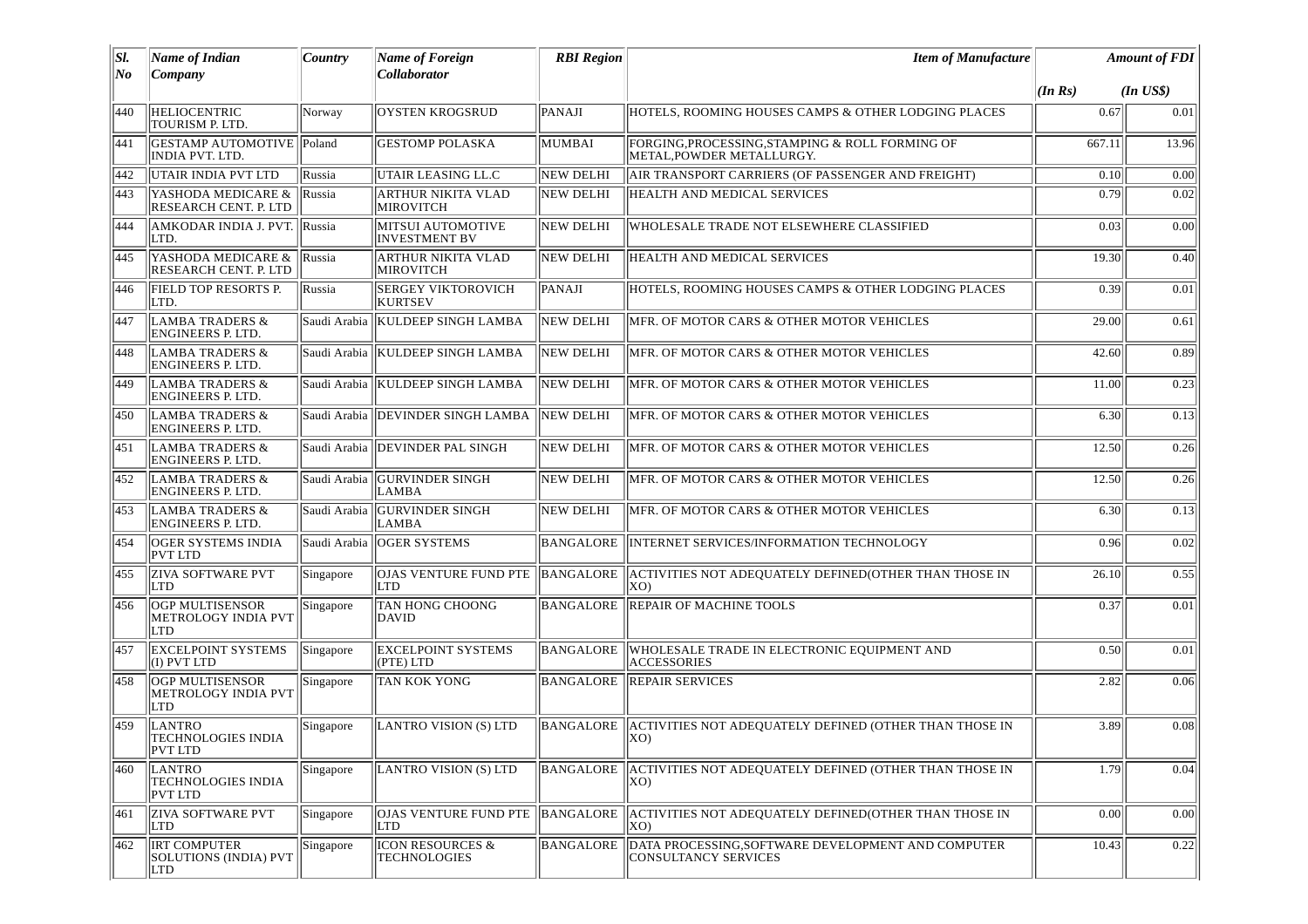| SI. | Name of Indian                                         | Country   | Name of Foreign                                    | <b>RBI</b> Region | <b>Item of Manufacture</b>                                                        |         | <b>Amount of FDI</b> |
|-----|--------------------------------------------------------|-----------|----------------------------------------------------|-------------------|-----------------------------------------------------------------------------------|---------|----------------------|
| No  | Company                                                |           | <b>Collaborator</b>                                |                   |                                                                                   | (In Rs) | $(In$ $USS)$         |
| 440 | <b>HELIOCENTRIC</b><br>TOURISM P. LTD.                 | Norway    | <b>OYSTEN KROGSRUD</b>                             | PANAJI            | HOTELS, ROOMING HOUSES CAMPS & OTHER LODGING PLACES                               | 0.67    | 0.01                 |
| 441 | GESTAMP AUTOMOTIVE Poland<br>INDIA PVT. LTD.           |           | <b>GESTOMP POLASKA</b>                             | MUMBAI            | FORGING, PROCESSING, STAMPING & ROLL FORMING OF<br>METAL, POWDER METALLURGY.      | 667.11  | 13.96                |
| 442 | UTAIR INDIA PVT LTD                                    | Russia    | UTAIR LEASING LL.C                                 | NEW DELHI         | AIR TRANSPORT CARRIERS (OF PASSENGER AND FREIGHT)                                 | 0.10    | 0.00                 |
| 443 | YASHODA MEDICARE &<br>RESEARCH CENT. P. LTD            | Russia    | <b>ARTHUR NIKITA VLAD</b><br><b>MIROVITCH</b>      | NEW DELHI         | HEALTH AND MEDICAL SERVICES                                                       | 0.79    | 0.02                 |
| 444 | AMKODAR INDIA J. PVT. Russia<br>LTD.                   |           | MITSUI AUTOMOTIVE<br><b>INVESTMENT BV</b>          | <b>NEW DELHI</b>  | WHOLESALE TRADE NOT ELSEWHERE CLASSIFIED                                          | 0.03    | 0.00                 |
| 445 | YASHODA MEDICARE &<br>RESEARCH CENT. P. LTD            | Russia    | <b>ARTHUR NIKITA VLAD</b><br><b>MIROVITCH</b>      | NEW DELHI         | <b>HEALTH AND MEDICAL SERVICES</b>                                                | 19.30   | 0.40                 |
| 446 | FIELD TOP RESORTS P.<br>LTD.                           | Russia    | <b>SERGEY VIKTOROVICH</b><br>KURTSEV               | PANAJI            | HOTELS, ROOMING HOUSES CAMPS & OTHER LODGING PLACES                               | 0.39    | 0.01                 |
| 447 | <b>LAMBA TRADERS &amp;</b><br><b>ENGINEERS P. LTD.</b> |           | Saudi Arabia KULDEEP SINGH LAMBA                   | NEW DELHI         | MFR. OF MOTOR CARS & OTHER MOTOR VEHICLES                                         | 29.00   | 0.61                 |
| 448 | <b>LAMBA TRADERS &amp;</b><br>ENGINEERS P. LTD.        |           | Saudi Arabia   KULDEEP SINGH LAMBA                 | NEW DELHI         | MFR. OF MOTOR CARS & OTHER MOTOR VEHICLES                                         | 42.60   | 0.89                 |
| 449 | <b>LAMBA TRADERS &amp;</b><br><b>ENGINEERS P. LTD.</b> |           | Saudi Arabia   KULDEEP SINGH LAMBA                 | <b>NEW DELHI</b>  | MFR. OF MOTOR CARS & OTHER MOTOR VEHICLES                                         | 11.00   | 0.23                 |
| 450 | <b>LAMBA TRADERS &amp;</b><br><b>ENGINEERS P. LTD.</b> |           | Saudi Arabia   DEVINDER SINGH LAMBA                | NEW DELHI         | MFR. OF MOTOR CARS & OTHER MOTOR VEHICLES                                         | 6.30    | 0.13                 |
| 451 | <b>LAMBA TRADERS &amp;</b><br>ENGINEERS P. LTD.        |           | Saudi Arabia   DEVINDER PAL SINGH                  | <b>NEW DELHI</b>  | MFR. OF MOTOR CARS & OTHER MOTOR VEHICLES                                         | 12.50   | 0.26                 |
| 452 | <b>LAMBA TRADERS &amp;</b><br><b>ENGINEERS P. LTD.</b> |           | Saudi Arabia GURVINDER SINGH<br>LAMBA              | NEW DELHI         | MFR. OF MOTOR CARS & OTHER MOTOR VEHICLES                                         | 12.50   | 0.26                 |
| 453 | <b>LAMBA TRADERS &amp;</b><br><b>ENGINEERS P. LTD.</b> |           | Saudi Arabia   GURVINDER SINGH<br><b>LAMBA</b>     | NEW DELHI         | MFR. OF MOTOR CARS & OTHER MOTOR VEHICLES                                         | 6.30    | 0.13                 |
| 454 | <b>OGER SYSTEMS INDIA</b><br>PVT LTD                   |           | Saudi Arabia   OGER SYSTEMS                        | BANGALORE         | INTERNET SERVICES/INFORMATION TECHNOLOGY                                          | 0.96    | 0.02                 |
| 455 | <b>ZIVA SOFTWARE PVT</b><br>LTD                        | Singapore | OJAS VENTURE FUND PTE<br>LTD                       | BANGALORE         | ACTIVITIES NOT ADEQUATELY DEFINED(OTHER THAN THOSE IN<br>(XO                      | 26.10   | 0.55                 |
| 456 | OGP MULTISENSOR<br>METROLOGY INDIA PVT<br><b>LTD</b>   | Singapore | <b>TAN HONG CHOONG</b><br><b>DAVID</b>             | <b>BANGALORE</b>  | REPAIR OF MACHINE TOOLS                                                           | 0.37    | 0.01                 |
| 457 | <b>EXCELPOINT SYSTEMS</b><br>$(I)$ PVT LTD             | Singapore | <b>EXCELPOINT SYSTEMS</b><br>$($ PTE $)$ LTD       | <b>BANGALORE</b>  | WHOLESALE TRADE IN ELECTRONIC EQUIPMENT AND<br><b>ACCESSORIES</b>                 | 0.50    | 0.01                 |
| 458 | OGP MULTISENSOR<br>METROLOGY INDIA PVT<br>LTD          | Singapore | <b>TAN KOK YONG</b>                                | BANGALORE         | <b>REPAIR SERVICES</b>                                                            | 2.82    | 0.06                 |
| 459 | LANTRO<br><b>TECHNOLOGIES INDIA</b><br><b>PVT LTD</b>  | Singapore | LANTRO VISION (S) LTD                              | BANGALORE         | ACTIVITIES NOT ADEQUATELY DEFINED (OTHER THAN THOSE IN<br>IXO)                    | 3.89    | 0.08                 |
| 460 | LANTRO<br><b>TECHNOLOGIES INDIA</b><br><b>PVT LTD</b>  | Singapore | LANTRO VISION (S) LTD                              | BANGALORE         | ACTIVITIES NOT ADEQUATELY DEFINED (OTHER THAN THOSE IN<br>(XO                     | 1.79    | 0.04                 |
| 461 | <b>ZIVA SOFTWARE PVT</b><br>LTD                        | Singapore | OJAS VENTURE FUND PTE<br>LTD                       | BANGALORE         | ACTIVITIES NOT ADEQUATELY DEFINED(OTHER THAN THOSE IN<br>(XO                      | 0.00    | 0.00                 |
| 462 | <b>IRT COMPUTER</b><br>SOLUTIONS (INDIA) PVT<br>LTD    | Singapore | <b>ICON RESOURCES &amp;</b><br><b>TECHNOLOGIES</b> | BANGALORE         | DATA PROCESSING, SOFTWARE DEVELOPMENT AND COMPUTER<br><b>CONSULTANCY SERVICES</b> | 10.43   | 0.22                 |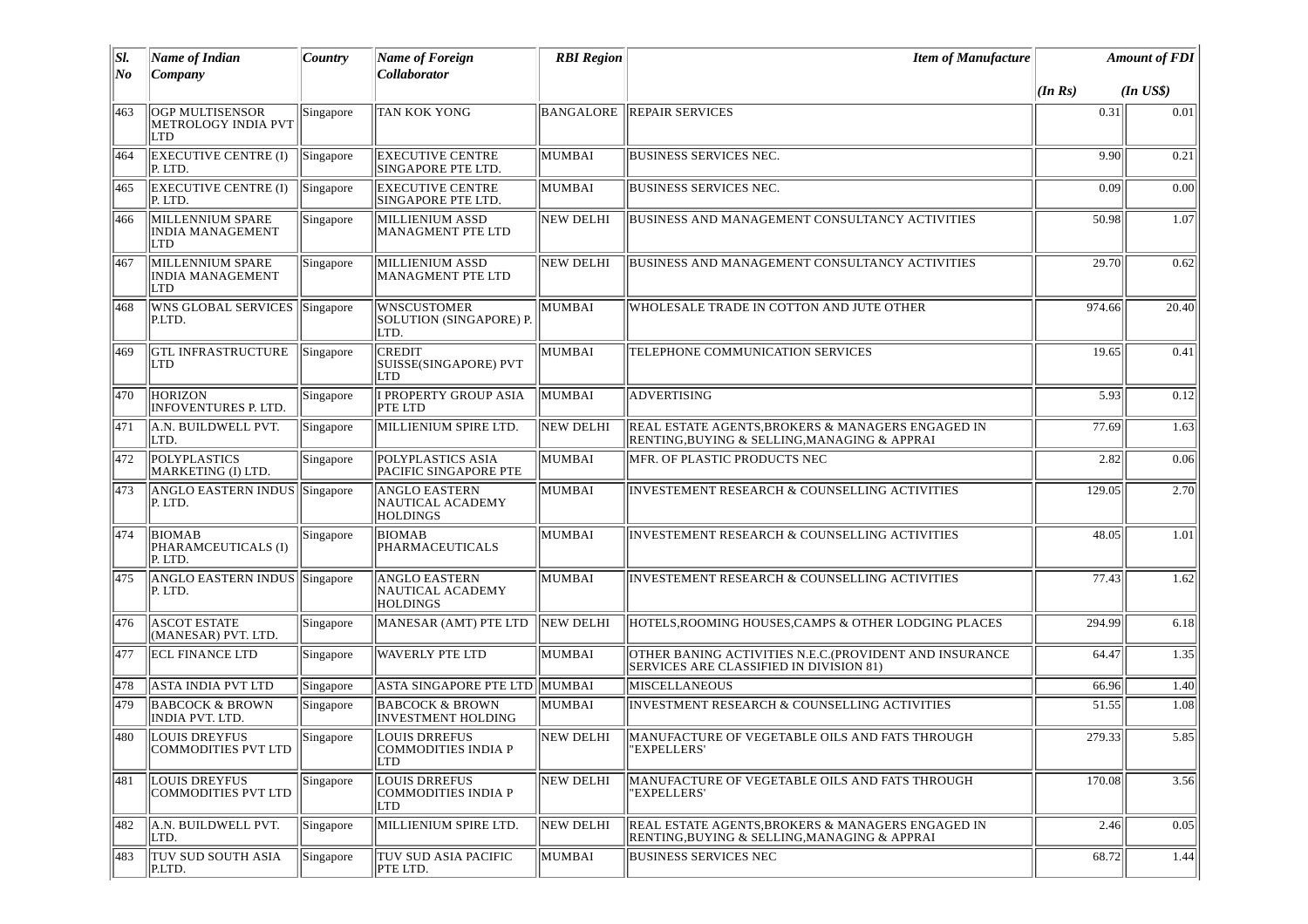| SI. | <b>Name of Indian</b>                                       | Country   | <b>Name of Foreign</b>                                           | <b>RBI</b> Region | <b>Item of Manufacture</b>                                                                                |         | <b>Amount of FDI</b> |
|-----|-------------------------------------------------------------|-----------|------------------------------------------------------------------|-------------------|-----------------------------------------------------------------------------------------------------------|---------|----------------------|
| No  | Company                                                     |           | Collaborator                                                     |                   |                                                                                                           | (In Rs) | $(In$ $US$)$         |
| 463 | <b>OGP MULTISENSOR</b><br>METROLOGY INDIA PVT<br><b>LTD</b> | Singapore | TAN KOK YONG                                                     | <b>BANGALORE</b>  | <b>REPAIR SERVICES</b>                                                                                    | 0.31    | 0.01                 |
| 464 | <b>EXECUTIVE CENTRE (I)</b><br>P. LTD.                      | Singapore | <b>EXECUTIVE CENTRE</b><br>SINGAPORE PTE LTD.                    | MUMBAI            | <b>BUSINESS SERVICES NEC.</b>                                                                             | 9.90    | 0.21                 |
| 465 | <b>EXECUTIVE CENTRE (I)</b><br>P. LTD.                      | Singapore | <b>EXECUTIVE CENTRE</b><br>SINGAPORE PTE LTD.                    | <b>MUMBAI</b>     | <b>BUSINESS SERVICES NEC.</b>                                                                             | 0.09    | 0.00                 |
| 466 | MILLENNIUM SPARE<br><b>INDIA MANAGEMENT</b><br><b>LTD</b>   | Singapore | MILLIENIUM ASSD<br>MANAGMENT PTE LTD                             | <b>NEW DELHI</b>  | BUSINESS AND MANAGEMENT CONSULTANCY ACTIVITIES                                                            | 50.98   | 1.07                 |
| 467 | MILLENNIUM SPARE<br><b>INDIA MANAGEMENT</b><br><b>LTD</b>   | Singapore | MILLIENIUM ASSD<br>MANAGMENT PTE LTD                             | <b>NEW DELHI</b>  | <b>BUSINESS AND MANAGEMENT CONSULTANCY ACTIVITIES</b>                                                     | 29.70   | 0.62                 |
| 468 | <b>WNS GLOBAL SERVICES</b><br>P.LTD.                        | Singapore | <b>WNSCUSTOMER</b><br>SOLUTION (SINGAPORE) P.<br>LTD.            | <b>MUMBAI</b>     | WHOLESALE TRADE IN COTTON AND JUTE OTHER                                                                  | 974.66  | 20.40                |
| 469 | <b>GTL INFRASTRUCTURE</b><br>LTD                            | Singapore | <b>CREDIT</b><br>SUISSE(SINGAPORE) PVT<br><b>LTD</b>             | <b>MUMBAI</b>     | TELEPHONE COMMUNICATION SERVICES                                                                          | 19.65   | 0.41                 |
| 470 | <b>HORIZON</b><br><b>INFOVENTURES P. LTD.</b>               | Singapore | I PROPERTY GROUP ASIA<br>PTE LTD                                 | <b>MUMBAI</b>     | <b>ADVERTISING</b>                                                                                        | 5.93    | 0.12                 |
| 471 | A.N. BUILDWELL PVT.<br>LTD.                                 | Singapore | MILLIENIUM SPIRE LTD.                                            | <b>NEW DELHI</b>  | REAL ESTATE AGENTS, BROKERS & MANAGERS ENGAGED IN<br>RENTING,BUYING & SELLING,MANAGING & APPRAI           | 77.69   | 1.63                 |
| 472 | POLYPLASTICS<br>MARKETING (I) LTD.                          | Singapore | POLYPLASTICS ASIA<br>PACIFIC SINGAPORE PTE                       | MUMBAI            | MFR. OF PLASTIC PRODUCTS NEC                                                                              | 2.82    | 0.06                 |
| 473 | ANGLO EASTERN INDUS Singapore<br>P. LTD.                    |           | <b>ANGLO EASTERN</b><br>NAUTICAL ACADEMY<br><b>HOLDINGS</b>      | MUMBAI            | INVESTEMENT RESEARCH & COUNSELLING ACTIVITIES                                                             | 129.05  | 2.70                 |
| 474 | <b>BIOMAB</b><br>PHARAMCEUTICALS (I)<br>P. LTD.             | Singapore | <b>BIOMAB</b><br>PHARMACEUTICALS                                 | <b>MUMBAI</b>     | <b>INVESTEMENT RESEARCH &amp; COUNSELLING ACTIVITIES</b>                                                  | 48.05   | 1.01                 |
| 475 | ANGLO EASTERN INDUS Singapore<br>P. LTD.                    |           | <b>ANGLO EASTERN</b><br>NAUTICAL ACADEMY<br><b>HOLDINGS</b>      | <b>MUMBAI</b>     | <b>INVESTEMENT RESEARCH &amp; COUNSELLING ACTIVITIES</b>                                                  | 77.43   | 1.62                 |
| 476 | <b>ASCOT ESTATE</b><br>(MANESAR) PVT. LTD.                  | Singapore | MANESAR (AMT) PTE LTD                                            | <b>NEW DELHI</b>  | HOTELS, ROOMING HOUSES, CAMPS & OTHER LODGING PLACES                                                      | 294.99  | 6.18                 |
| 477 | <b>ECL FINANCE LTD</b>                                      | Singapore | <b>WAVERLY PTE LTD</b>                                           | <b>MUMBAI</b>     | OTHER BANING ACTIVITIES N.E.C. (PROVIDENT AND INSURANCE<br><b>SERVICES ARE CLASSIFIED IN DIVISION 81)</b> | 64.47   | 1.35                 |
| 478 | ASTA INDIA PVT LTD                                          | Singapore | ASTA SINGAPORE PTE LTD MUMBAI                                    |                   | <b>MISCELLANEOUS</b>                                                                                      | 66.96   | 1.40                 |
| 479 | <b>BABCOCK &amp; BROWN</b><br>INDIA PVT. LTD.               | Singapore | <b>BABCOCK &amp; BROWN</b><br><b>INVESTMENT HOLDING</b>          | MUMBAI            | INVESTMENT RESEARCH & COUNSELLING ACTIVITIES                                                              | 51.55   | 1.08                 |
| 480 | LOUIS DREYFUS<br>COMMODITIES PVT LTD                        | Singapore | <b>LOUIS DRREFUS</b><br><b>COMMODITIES INDIA P</b><br><b>LTD</b> | NEW DELHI         | MANUFACTURE OF VEGETABLE OILS AND FATS THROUGH<br>'EXPELLERS'                                             | 279.33  | 5.85                 |
| 481 | LOUIS DREYFUS<br>COMMODITIES PVT LTD                        | Singapore | <b>LOUIS DRREFUS</b><br>COMMODITIES INDIA P<br><b>LTD</b>        | <b>NEW DELHI</b>  | MANUFACTURE OF VEGETABLE OILS AND FATS THROUGH<br>"EXPELLERS'                                             | 170.08  | $\overline{3.56}$    |
| 482 | A.N. BUILDWELL PVT.<br>LTD.                                 | Singapore | MILLIENIUM SPIRE LTD.                                            | <b>NEW DELHI</b>  | REAL ESTATE AGENTS, BROKERS & MANAGERS ENGAGED IN<br>RENTING, BUYING & SELLING, MANAGING & APPRAI         | 2.46    | 0.05                 |
| 483 | <b>TUV SUD SOUTH ASIA</b><br>P.LTD.                         | Singapore | <b>TUV SUD ASIA PACIFIC</b><br>PTE LTD.                          | MUMBAI            | <b>BUSINESS SERVICES NEC</b>                                                                              | 68.72   | 1.44                 |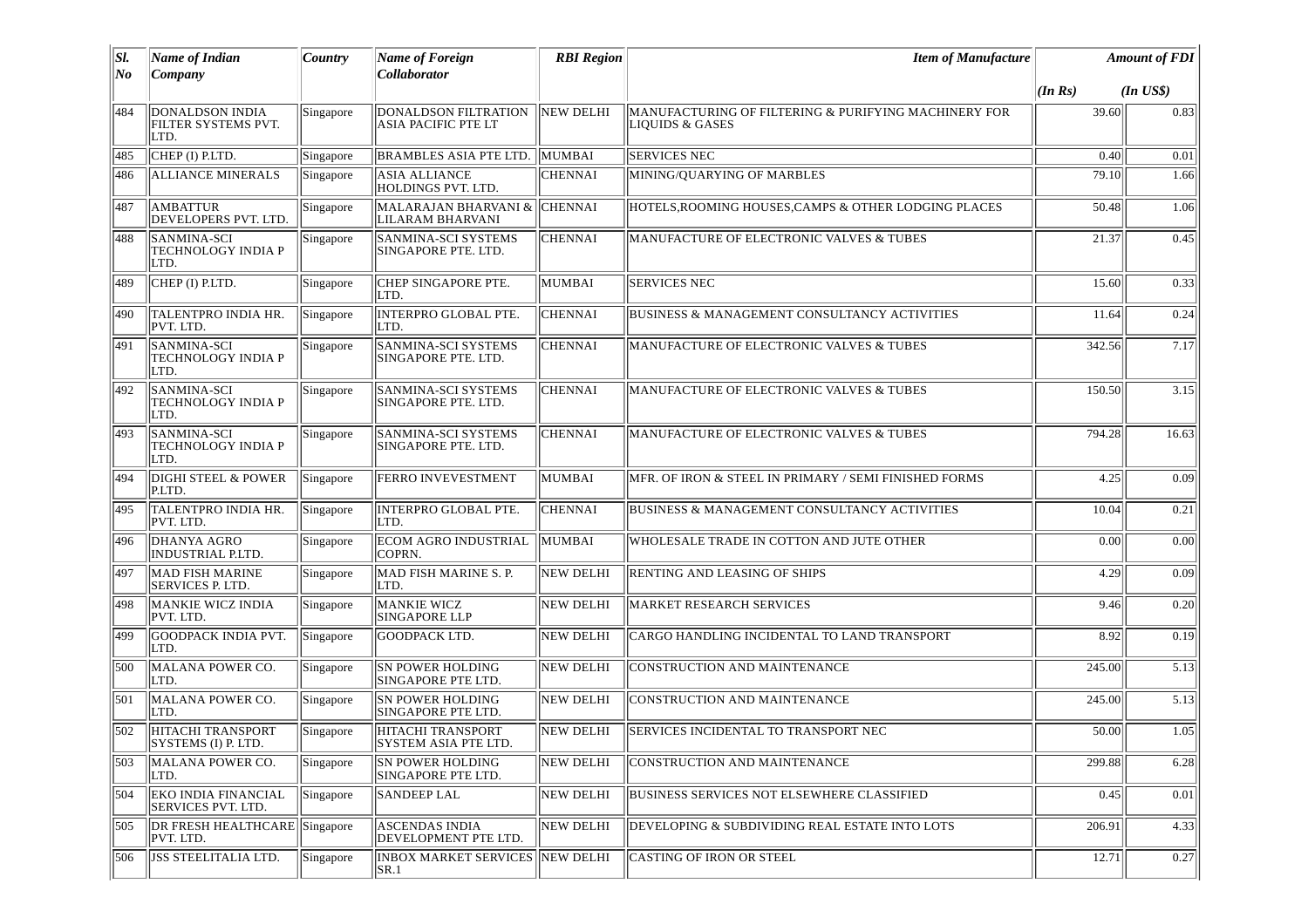| $ S $ . | <b>Name of Indian</b>                                 | Country   | <b>Name of Foreign</b>                               | <b>RBI</b> Region | <b>Item of Manufacture</b>                                              |         | <b>Amount of FDI</b> |
|---------|-------------------------------------------------------|-----------|------------------------------------------------------|-------------------|-------------------------------------------------------------------------|---------|----------------------|
| No      | Company                                               |           | Collaborator                                         |                   |                                                                         | (In Rs) | $(In$ $USS)$         |
| 484     | <b>DONALDSON INDIA</b><br>FILTER SYSTEMS PVT.<br>LTD. | Singapore | DONALDSON FILTRATION<br><b>ASIA PACIFIC PTE LT</b>   | <b>NEW DELHI</b>  | MANUFACTURING OF FILTERING & PURIFYING MACHINERY FOR<br>LIOUIDS & GASES | 39.60   | 0.83                 |
| 485     | CHEP (I) P.LTD.                                       | Singapore | <b>BRAMBLES ASIA PTE LTD.</b>                        | MUMBAI            | <b>SERVICES NEC</b>                                                     | 0.40    | 0.01                 |
| 486     | <b>ALLIANCE MINERALS</b>                              | Singapore | <b>ASIA ALLIANCE</b><br>HOLDINGS PVT. LTD.           | CHENNAI           | MINING/QUARYING OF MARBLES                                              | 79.10   | 1.66                 |
| 487     | AMBATTUR<br>DEVELOPERS PVT. LTD.                      | Singapore | MALARAJAN BHARVANI &<br>LILARAM BHARVANI             | <b>CHENNAI</b>    | HOTELS, ROOMING HOUSES, CAMPS & OTHER LODGING PLACES                    | 50.48   | 1.06                 |
| 488     | SANMINA-SCI<br>TECHNOLOGY INDIA P<br>LTD.             | Singapore | <b>SANMINA-SCI SYSTEMS</b><br>SINGAPORE PTE. LTD.    | CHENNAI           | MANUFACTURE OF ELECTRONIC VALVES & TUBES                                | 21.37   | 0.45                 |
| 489     | CHEP (I) P.LTD.                                       | Singapore | CHEP SINGAPORE PTE.<br>LTD.                          | <b>MUMBAI</b>     | <b>SERVICES NEC</b>                                                     | 15.60   | 0.33                 |
| 490     | <b>TALENTPRO INDIA HR.</b><br>PVT. LTD.               | Singapore | <b>INTERPRO GLOBAL PTE.</b><br>LTD.                  | <b>CHENNAI</b>    | <b>BUSINESS &amp; MANAGEMENT CONSULTANCY ACTIVITIES</b>                 | 11.64   | 0.24                 |
| 491     | SANMINA-SCI<br>TECHNOLOGY INDIA P<br>LTD.             | Singapore | SANMINA-SCI SYSTEMS<br>SINGAPORE PTE. LTD.           | CHENNAI           | MANUFACTURE OF ELECTRONIC VALVES & TUBES                                | 342.56  | 7.17                 |
| 492     | SANMINA-SCI<br>TECHNOLOGY INDIA P<br>LTD.             | Singapore | SANMINA-SCI SYSTEMS<br>SINGAPORE PTE. LTD.           | CHENNAI           | MANUFACTURE OF ELECTRONIC VALVES & TUBES                                | 150.50  | 3.15                 |
| 493     | <b>SANMINA-SCI</b><br>TECHNOLOGY INDIA P<br>LTD.      | Singapore | SANMINA-SCI SYSTEMS<br>SINGAPORE PTE. LTD.           | CHENNAI           | MANUFACTURE OF ELECTRONIC VALVES & TUBES                                | 794.28  | 16.63                |
| 494     | DIGHI STEEL & POWER<br>P.LTD.                         | Singapore | <b>FERRO INVEVESTMENT</b>                            | <b>MUMBAI</b>     | MFR. OF IRON & STEEL IN PRIMARY / SEMI FINISHED FORMS                   | 4.25    | 0.09                 |
| 495     | TALENTPRO INDIA HR.<br>PVT. LTD.                      | Singapore | <b>INTERPRO GLOBAL PTE.</b><br>LTD.                  | CHENNAI           | <b>BUSINESS &amp; MANAGEMENT CONSULTANCY ACTIVITIES</b>                 | 10.04   | 0.21                 |
| 496     | <b>DHANYA AGRO</b><br><b>INDUSTRIAL P.LTD.</b>        | Singapore | <b>ECOM AGRO INDUSTRIAL</b><br><b>COPRN.</b>         | <b>MUMBAI</b>     | WHOLESALE TRADE IN COTTON AND JUTE OTHER                                | 0.00    | 0.00                 |
| 497     | <b>MAD FISH MARINE</b><br>SERVICES P. LTD.            | Singapore | MAD FISH MARINE S. P.<br>LTD.                        | NEW DELHI         | <b>RENTING AND LEASING OF SHIPS</b>                                     | 4.29    | 0.09                 |
| 498     | <b>MANKIE WICZ INDIA</b><br>PVT. LTD.                 | Singapore | <b>MANKIE WICZ</b><br><b>SINGAPORE LLP</b>           | NEW DELHI         | <b>MARKET RESEARCH SERVICES</b>                                         | 9.46    | 0.20                 |
| 499     | GOODPACK INDIA PVT.<br>LTD.                           | Singapore | <b>GOODPACK LTD.</b>                                 | <b>NEW DELHI</b>  | CARGO HANDLING INCIDENTAL TO LAND TRANSPORT                             | 8.92    | 0.19                 |
| 500     | MALANA POWER CO.<br>LTD.                              | Singapore | <b>SN POWER HOLDING</b><br>SINGAPORE PTE LTD.        | <b>NEW DELHI</b>  | CONSTRUCTION AND MAINTENANCE                                            | 245.00  | 5.13                 |
| 501     | MALANA POWER CO.<br>LTD.                              | Singapore | <b>SN POWER HOLDING</b><br><b>SINGAPORE PTE LTD.</b> | NEW DELHI         | <b>CONSTRUCTION AND MAINTENANCE</b>                                     | 245.00  | 5.13                 |
| 502     | HITACHI TRANSPORT<br>SYSTEMS (I) P. LTD.              | Singapore | HITACHI TRANSPORT<br>SYSTEM ASIA PTE LTD.            | <b>NEW DELHI</b>  | <b>SERVICES INCIDENTAL TO TRANSPORT NEC</b>                             | 50.00   | 1.05                 |
| 503     | MALANA POWER CO.<br>LTD.                              | Singapore | <b>SN POWER HOLDING</b><br>SINGAPORE PTE LTD.        | <b>NEW DELHI</b>  | <b>CONSTRUCTION AND MAINTENANCE</b>                                     | 299.88  | 6.28                 |
| 504     | <b>EKO INDIA FINANCIAL</b><br>SERVICES PVT. LTD.      | Singapore | <b>SANDEEP LAL</b>                                   | <b>NEW DELHI</b>  | BUSINESS SERVICES NOT ELSEWHERE CLASSIFIED                              | 0.45    | 0.01                 |
| 505     | <b>DR FRESH HEALTHCARE</b> Singapore<br>PVT. LTD.     |           | <b>ASCENDAS INDIA</b><br>DEVELOPMENT PTE LTD.        | <b>NEW DELHI</b>  | DEVELOPING & SUBDIVIDING REAL ESTATE INTO LOTS                          | 206.91  | 4.33                 |
| 506     | <b>JSS STEELITALIA LTD.</b>                           | Singapore | <b>INBOX MARKET SERVICES</b><br> SR.1                | <b>NEW DELHI</b>  | <b>CASTING OF IRON OR STEEL</b>                                         | 12.71   | 0.27                 |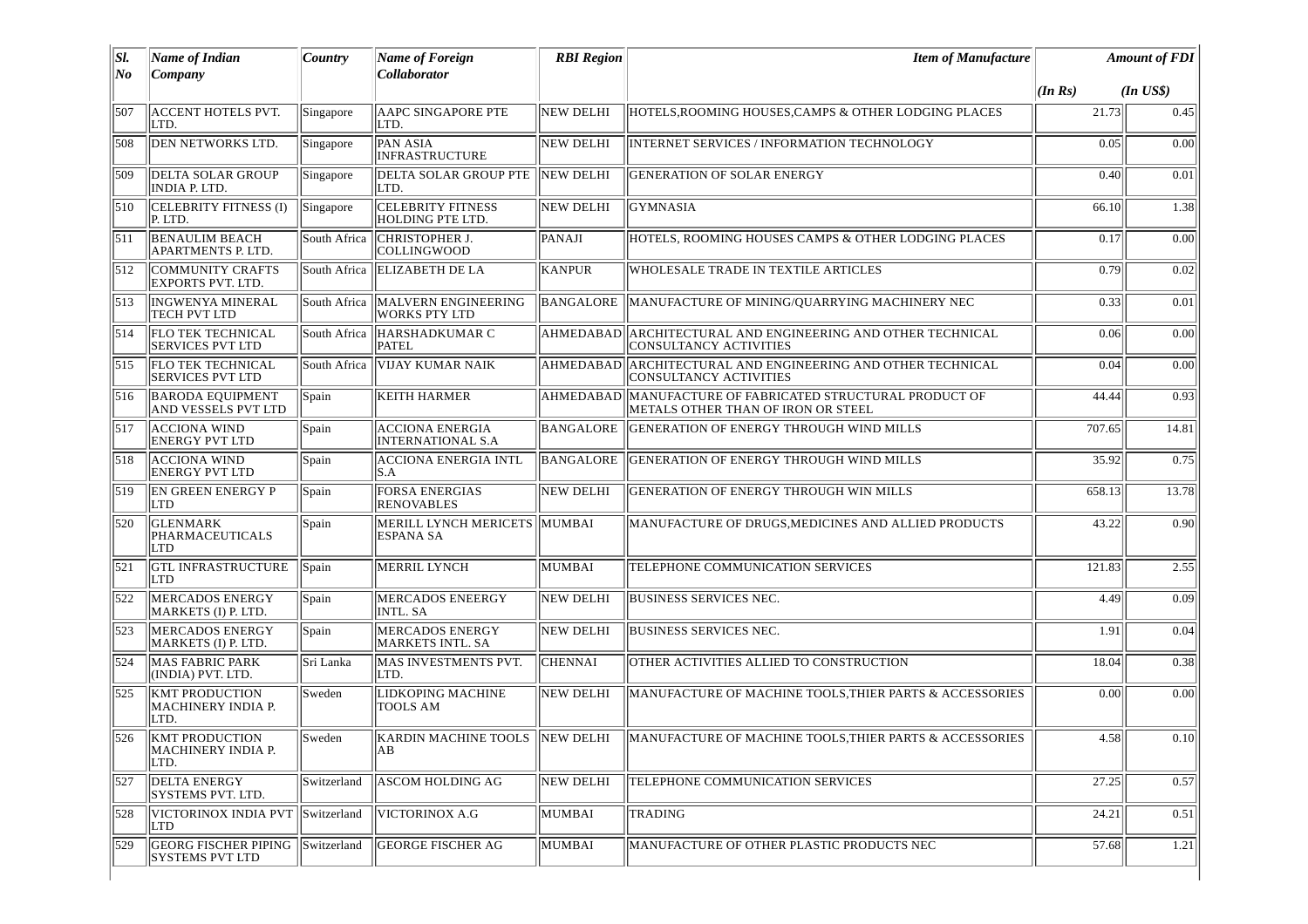| SI. | Name of Indian                                      | Country       | Name of Foreign                                    | <b>RBI</b> Region | <b>Item of Manufacture</b>                                                                       |         | <b>Amount of FDI</b> |
|-----|-----------------------------------------------------|---------------|----------------------------------------------------|-------------------|--------------------------------------------------------------------------------------------------|---------|----------------------|
| No  | Company                                             |               | Collaborator                                       |                   |                                                                                                  | (In Rs) | $(In$ $US$)$         |
| 507 | <b>ACCENT HOTELS PVT.</b><br>LTD.                   | Singapore     | <b>AAPC SINGAPORE PTE</b><br>LTD.                  | <b>NEW DELHI</b>  | HOTELS, ROOMING HOUSES, CAMPS & OTHER LODGING PLACES                                             | 21.73   | 0.45                 |
| 508 | DEN NETWORKS LTD.                                   | Singapore     | <b>PAN ASIA</b><br><b>INFRASTRUCTURE</b>           | <b>NEW DELHI</b>  | INTERNET SERVICES / INFORMATION TECHNOLOGY                                                       | 0.05    | 0.00                 |
| 509 | <b>DELTA SOLAR GROUP</b><br>INDIA P. LTD.           | Singapore     | <b>DELTA SOLAR GROUP PTE</b><br>LTD.               | NEW DELHI         | <b>GENERATION OF SOLAR ENERGY</b>                                                                | 0.40    | 0.01                 |
| 510 | CELEBRITY FITNESS (I)<br>P. LTD.                    | Singapore     | <b>CELEBRITY FITNESS</b><br>HOLDING PTE LTD.       | <b>NEW DELHI</b>  | <b>GYMNASIA</b>                                                                                  | 66.10   | 1.38                 |
| 511 | <b>BENAULIM BEACH</b><br>APARTMENTS P. LTD.         | South Africa  | CHRISTOPHER J.<br><b>COLLINGWOOD</b>               | PANAJI            | HOTELS. ROOMING HOUSES CAMPS & OTHER LODGING PLACES                                              | 0.17    | 0.00                 |
| 512 | <b>COMMUNITY CRAFTS</b><br><b>EXPORTS PVT. LTD.</b> | South Africa  | <b>ELIZABETH DE LA</b>                             | KANPUR            | WHOLESALE TRADE IN TEXTILE ARTICLES                                                              | 0.79    | 0.02                 |
| 513 | <b>INGWENYA MINERAL</b><br>TECH PVT LTD             | South Africa  | MALVERN ENGINEERING<br><b>WORKS PTY LTD</b>        | <b>BANGALORE</b>  | MANUFACTURE OF MINING/QUARRYING MACHINERY NEC                                                    | 0.33    | 0.01                 |
| 514 | <b>FLO TEK TECHNICAL</b><br><b>SERVICES PVT LTD</b> |               | South Africa  HARSHADKUMAR C<br><b>PATEL</b>       |                   | AHMEDABAD ARCHITECTURAL AND ENGINEERING AND OTHER TECHNICAL<br><b>CONSULTANCY ACTIVITIES</b>     | 0.06    | 0.00                 |
| 515 | <b>FLO TEK TECHNICAL</b><br><b>SERVICES PVT LTD</b> | South Africa  | <b>VIJAY KUMAR NAIK</b>                            |                   | AHMEDABAD ARCHITECTURAL AND ENGINEERING AND OTHER TECHNICAL<br><b>CONSULTANCY ACTIVITIES</b>     | 0.04    | 0.00                 |
| 516 | <b>BARODA EQUIPMENT</b><br>AND VESSELS PVT LTD      | Spain         | <b>KEITH HARMER</b>                                |                   | AHMEDABAD  MANUFACTURE OF FABRICATED STRUCTURAL PRODUCT OF<br>METALS OTHER THAN OF IRON OR STEEL | 44.44   | 0.93                 |
| 517 | <b>ACCIONA WIND</b><br><b>ENERGY PVT LTD</b>        | Spain         | <b>ACCIONA ENERGIA</b><br><b>INTERNATIONAL S.A</b> | BANGALORE         | IGENERATION OF ENERGY THROUGH WIND MILLS                                                         | 707.65  | 14.81                |
| 518 | <b>ACCIONA WIND</b><br><b>ENERGY PVT LTD</b>        | Spain         | <b>ACCIONA ENERGIA INTL</b><br>S.A                 | <b>BANGALORE</b>  | <b>GENERATION OF ENERGY THROUGH WIND MILLS</b>                                                   | 35.92   | 0.75                 |
| 519 | <b>EN GREEN ENERGY P</b><br> LTD                    | Spain         | <b>FORSA ENERGIAS</b><br><b>RENOVABLES</b>         | NEW DELHI         | <b>GENERATION OF ENERGY THROUGH WIN MILLS</b>                                                    | 658.13  | 13.78                |
| 520 | <b>GLENMARK</b><br><b>PHARMACEUTICALS</b><br>LTD    | Spain         | MERILL LYNCH MERICETS MUMBAI<br><b>ESPANA SA</b>   |                   | MANUFACTURE OF DRUGS, MEDICINES AND ALLIED PRODUCTS                                              | 43.22   | 0.90                 |
| 521 | <b>GTL INFRASTRUCTURE</b><br><b>LTD</b>             | Spain         | MERRIL LYNCH                                       | MUMBAI            | TELEPHONE COMMUNICATION SERVICES                                                                 | 121.83  | 2.55                 |
| 522 | <b>MERCADOS ENERGY</b><br>MARKETS (I) P. LTD.       | Spain         | MERCADOS ENEERGY<br><b>INTL. SA</b>                | <b>NEW DELHI</b>  | <b>BUSINESS SERVICES NEC.</b>                                                                    | 4.49    | 0.09                 |
| 523 | <b>MERCADOS ENERGY</b><br>MARKETS (I) P. LTD.       | Spain         | <b>MERCADOS ENERGY</b><br>MARKETS INTL. SA         | <b>NEW DELHI</b>  | <b>BUSINESS SERVICES NEC.</b>                                                                    | 1.91    | 0.04                 |
| 524 | <b>MAS FABRIC PARK</b><br>(INDIA) PVT. LTD.         | Sri Lanka     | MAS INVESTMENTS PVT.<br>LTD.                       | <b>CHENNAI</b>    | OTHER ACTIVITIES ALLIED TO CONSTRUCTION                                                          | 18.04   | 0.38                 |
| 525 | <b>KMT PRODUCTION</b><br>MACHINERY INDIA P.<br>LTD. | Sweden        | LIDKOPING MACHINE<br><b>TOOLS AM</b>               | <b>NEW DELHI</b>  | MANUFACTURE OF MACHINE TOOLS, THIER PARTS & ACCESSORIES                                          | 0.00    | 0.00                 |
| 526 | <b>KMT PRODUCTION</b><br>MACHINERY INDIA P.<br>LTD. | <b>Sweden</b> | AB                                                 |                   | KARDIN MACHINE TOOLS NEW DELHI MANUFACTURE OF MACHINE TOOLS, THIER PARTS & ACCESSORIES           | 4.58    | 0.10                 |
| 527 | <b>DELTA ENERGY</b><br><b>SYSTEMS PVT. LTD.</b>     | Switzerland   | <b>ASCOM HOLDING AG</b>                            | <b>NEW DELHI</b>  | TELEPHONE COMMUNICATION SERVICES                                                                 | 27.25   | 0.57                 |
| 528 | VICTORINOX INDIA PVT<br>LTD                         | Switzerland   | VICTORINOX A.G                                     | MUMBAI            | <b>TRADING</b>                                                                                   | 24.21   | 0.51                 |
| 529 | GEORG FISCHER PIPING<br><b>SYSTEMS PVT LTD</b>      | Switzerland   | <b>GEORGE FISCHER AG</b>                           | MUMBAI            | MANUFACTURE OF OTHER PLASTIC PRODUCTS NEC                                                        | 57.68   | 1.21                 |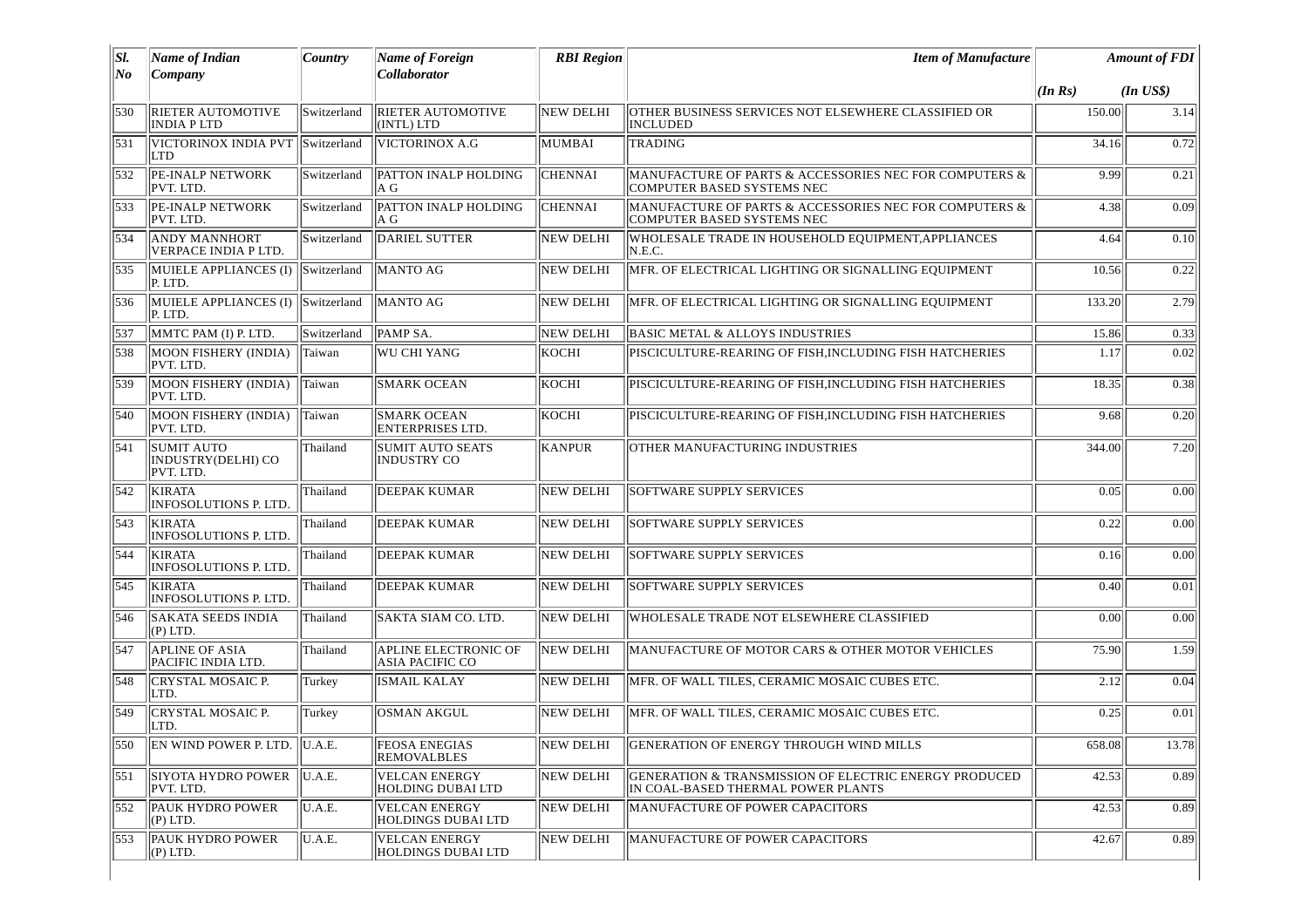| SI.<br>No | <b>Name of Indian</b><br>Company                     | Country     | <b>Name of Foreign</b><br>Collaborator                | <b>RBI</b> Region | <b>Item of Manufacture</b>                                                                  | <b>Amount of FDI</b> |              |
|-----------|------------------------------------------------------|-------------|-------------------------------------------------------|-------------------|---------------------------------------------------------------------------------------------|----------------------|--------------|
|           |                                                      |             |                                                       |                   |                                                                                             | (In Rs)              | $(In$ $US$)$ |
| 530       | RIETER AUTOMOTIVE<br><b>INDIA PLTD</b>               | Switzerland | <b>RIETER AUTOMOTIVE</b><br>(INTL) LTD                | <b>NEW DELHI</b>  | OTHER BUSINESS SERVICES NOT ELSEWHERE CLASSIFIED OR<br>INCLUDED                             | 150.00               | 3.14         |
| 531       | VICTORINOX INDIA PVT<br>LTD                          | Switzerland | VICTORINOX A.G                                        | MUMBAI            | TRADING                                                                                     | 34.16                | 0.72         |
| 532       | <b>PE-INALP NETWORK</b><br>PVT. LTD.                 | Switzerland | PATTON INALP HOLDING<br>A G                           | <b>CHENNAI</b>    | MANUFACTURE OF PARTS & ACCESSORIES NEC FOR COMPUTERS &<br>COMPUTER BASED SYSTEMS NEC        | 9.99                 | 0.21         |
| 533       | <b>PE-INALP NETWORK</b><br>PVT. LTD.                 | Switzerland | PATTON INALP HOLDING<br>IA G                          | <b>CHENNAI</b>    | MANUFACTURE OF PARTS & ACCESSORIES NEC FOR COMPUTERS &<br>COMPUTER BASED SYSTEMS NEC        | 4.38                 | 0.09         |
| 534       | <b>ANDY MANNHORT</b><br>VERPACE INDIA P LTD.         | Switzerland | <b>DARIEL SUTTER</b>                                  | <b>NEW DELHI</b>  | WHOLESALE TRADE IN HOUSEHOLD EQUIPMENT, APPLIANCES<br>N.E.C.                                | 4.64                 | 0.10         |
| 1535      | MUIELE APPLIANCES (I)<br>P. LTD.                     | Switzerland | <b>MANTO AG</b>                                       | <b>NEW DELHI</b>  | MFR. OF ELECTRICAL LIGHTING OR SIGNALLING EQUIPMENT                                         | 10.56                | 0.22         |
| 536       | MUIELE APPLIANCES (I)<br>P. LTD.                     | Switzerland | <b>MANTO AG</b>                                       | <b>NEW DELHI</b>  | MFR. OF ELECTRICAL LIGHTING OR SIGNALLING EQUIPMENT                                         | 133.20               | 2.79         |
| 537       | MMTC PAM (I) P. LTD.                                 | Switzerland | <b>PAMP SA.</b>                                       | NEW DELHI         | <b>BASIC METAL &amp; ALLOYS INDUSTRIES</b>                                                  | 15.86                | 0.33         |
| 538       | MOON FISHERY (INDIA)<br>PVT. LTD.                    | Taiwan      | <b>WU CHI YANG</b>                                    | KOCHI             | PISCICULTURE-REARING OF FISH, INCLUDING FISH HATCHERIES                                     | 1.17                 | 0.02         |
| 539       | MOON FISHERY (INDIA)<br>PVT. LTD.                    | Taiwan      | <b>SMARK OCEAN</b>                                    | KOCHI             | PISCICULTURE-REARING OF FISH.INCLUDING FISH HATCHERIES                                      | 18.35                | 0.38         |
| 540       | MOON FISHERY (INDIA)<br>PVT. LTD.                    | Taiwan      | <b>SMARK OCEAN</b><br><b>ENTERPRISES LTD.</b>         | KOCHI             | PISCICULTURE-REARING OF FISH, INCLUDING FISH HATCHERIES                                     | 9.68                 | 0.20         |
| 541       | <b>SUMIT AUTO</b><br>INDUSTRY(DELHI) CO<br>PVT. LTD. | Thailand    | <b>SUMIT AUTO SEATS</b><br><b>INDUSTRY CO</b>         | <b>KANPUR</b>     | OTHER MANUFACTURING INDUSTRIES                                                              | 344.00               | 7.20         |
| 542       | <b>KIRATA</b><br>INFOSOLUTIONS P. LTD.               | Thailand    | <b>DEEPAK KUMAR</b>                                   | <b>NEW DELHI</b>  | <b>SOFTWARE SUPPLY SERVICES</b>                                                             | 0.05                 | 0.00         |
| 543       | <b>KIRATA</b><br>INFOSOLUTIONS P. LTD.               | Thailand    | <b>DEEPAK KUMAR</b>                                   | <b>NEW DELHI</b>  | SOFTWARE SUPPLY SERVICES                                                                    | 0.22                 | 0.00         |
| 544       | <b>KIRATA</b><br>INFOSOLUTIONS P. LTD.               | Thailand    | <b>DEEPAK KUMAR</b>                                   | <b>NEW DELHI</b>  | <b>SOFTWARE SUPPLY SERVICES</b>                                                             | 0.16                 | 0.00         |
| 1545      | <b>KIRATA</b><br>INFOSOLUTIONS P. LTD.               | Thailand    | <b>DEEPAK KUMAR</b>                                   | <b>NEW DELHI</b>  | <b>SOFTWARE SUPPLY SERVICES</b>                                                             | 0.40                 | 0.01         |
| 546       | <b>SAKATA SEEDS INDIA</b><br>$(P)$ LTD.              | Thailand    | SAKTA SIAM CO. LTD.                                   | <b>NEW DELHI</b>  | WHOLESALE TRADE NOT ELSEWHERE CLASSIFIED                                                    | 0.00                 | 0.00         |
| 547       | <b>APLINE OF ASIA</b><br>PACIFIC INDIA LTD.          | Thailand    | <b>APLINE ELECTRONIC OF</b><br><b>ASIA PACIFIC CO</b> | NEW DELHI         | MANUFACTURE OF MOTOR CARS & OTHER MOTOR VEHICLES                                            | 75.90                | 1.59         |
| 548       | <b>CRYSTAL MOSAIC P.</b><br>LTD.                     | Turkey      | <b>ISMAIL KALAY</b>                                   | <b>NEW DELHI</b>  | MFR. OF WALL TILES, CERAMIC MOSAIC CUBES ETC.                                               | 2.12                 | 0.04         |
| 549       | <b>CRYSTAL MOSAIC P.</b><br>LTD.                     | Turkey      | OSMAN AKGUL                                           | <b>NEW DELHI</b>  | MFR. OF WALL TILES, CERAMIC MOSAIC CUBES ETC.                                               | 0.25                 | 0.01         |
|           | 550 EN WIND POWER P. LTD. U.A.E.                     |             | <b>FEOSA ENEGIAS</b><br><b>REMOVALBLES</b>            |                   | NEW DELHI GENERATION OF ENERGY THROUGH WIND MILLS                                           | 658.08               | 13.78        |
| 551       | <b>SIYOTA HYDRO POWER</b><br>PVT. LTD.               | U.A.E.      | <b>VELCAN ENERGY</b><br>HOLDING DUBAI LTD             | NEW DELHI         | GENERATION & TRANSMISSION OF ELECTRIC ENERGY PRODUCED<br>IN COAL-BASED THERMAL POWER PLANTS | 42.53                | 0.89         |
| 552       | <b>PAUK HYDRO POWER</b><br>(P) LTD.                  | U.A.E.      | <b>VELCAN ENERGY</b><br>HOLDINGS DUBAI LTD            | <b>NEW DELHI</b>  | MANUFACTURE OF POWER CAPACITORS                                                             | 42.53                | 0.89         |
| 553       | <b>PAUK HYDRO POWER</b><br>$(P)$ LTD.                | U.A.E.      | VELCAN ENERGY<br>HOLDINGS DUBAI LTD                   | NEW DELHI         | MANUFACTURE OF POWER CAPACITORS                                                             | 42.67                | 0.89         |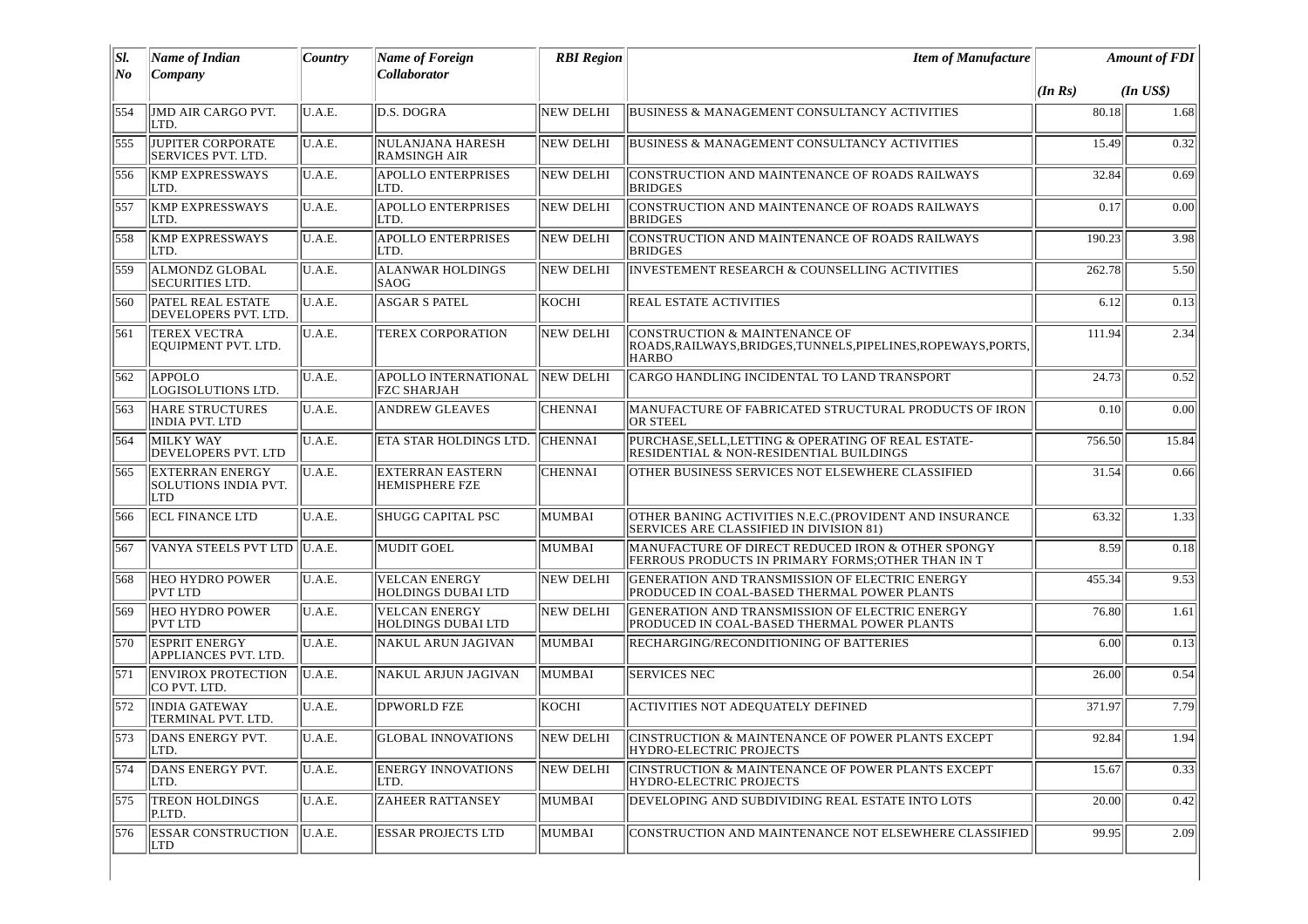| SI.              | Name of Indian                                        | Country | <b>Name of Foreign</b>                            | <b>RBI</b> Region | <b>Item of Manufacture</b>                                                                                      |                         | <b>Amount of FDI</b> |
|------------------|-------------------------------------------------------|---------|---------------------------------------------------|-------------------|-----------------------------------------------------------------------------------------------------------------|-------------------------|----------------------|
| No               | Company                                               |         | Collaborator                                      |                   |                                                                                                                 | $(In$ $US$)$<br>(In Rs) |                      |
| 554              | JMD AIR CARGO PVT.<br>LTD.                            | U.A.E.  | D.S. DOGRA                                        | <b>NEW DELHI</b>  | BUSINESS & MANAGEMENT CONSULTANCY ACTIVITIES                                                                    | 80.18                   | 1.68                 |
| 555              | JUPITER CORPORATE<br>SERVICES PVT. LTD.               | U.A.E.  | <b>NULANJANA HARESH</b><br><b>RAMSINGH AIR</b>    | <b>NEW DELHI</b>  | BUSINESS & MANAGEMENT CONSULTANCY ACTIVITIES                                                                    | 15.49                   | 0.32                 |
| 556              | <b>KMP EXPRESSWAYS</b><br>LTD.                        | U.A.E.  | <b>APOLLO ENTERPRISES</b><br>LTD.                 | NEW DELHI         | CONSTRUCTION AND MAINTENANCE OF ROADS RAILWAYS<br><b>BRIDGES</b>                                                | 32.84                   | 0.69                 |
| 557              | <b>KMP EXPRESSWAYS</b><br>LTD.                        | U.A.E.  | <b>APOLLO ENTERPRISES</b><br>LTD.                 | <b>NEW DELHI</b>  | CONSTRUCTION AND MAINTENANCE OF ROADS RAILWAYS<br><b>BRIDGES</b>                                                | 0.17                    | 0.00                 |
| 558              | <b>KMP EXPRESSWAYS</b><br>LTD.                        | U.A.E.  | <b>APOLLO ENTERPRISES</b><br>LTD.                 | <b>NEW DELHI</b>  | CONSTRUCTION AND MAINTENANCE OF ROADS RAILWAYS<br><b>BRIDGES</b>                                                | 190.23                  | 3.98                 |
| 559              | <b>ALMONDZ GLOBAL</b><br>SECURITIES LTD.              | U.A.E.  | <b>ALANWAR HOLDINGS</b><br>SAOG                   | NEW DELHI         | INVESTEMENT RESEARCH & COUNSELLING ACTIVITIES                                                                   | 262.78                  | 5.50                 |
| 560              | <b>PATEL REAL ESTATE</b><br>DEVELOPERS PVT. LTD.      | U.A.E.  | <b>ASGAR S PATEL</b>                              | KOCHI             | <b>REAL ESTATE ACTIVITIES</b>                                                                                   | 6.12                    | 0.13                 |
| 561              | <b>TEREX VECTRA</b><br>EQUIPMENT PVT. LTD.            | U.A.E.  | TEREX CORPORATION                                 | <b>NEW DELHI</b>  | CONSTRUCTION & MAINTENANCE OF<br>ROADS, RAILWAYS, BRIDGES, TUNNELS, PIPELINES, ROPEWAYS, PORTS,<br><b>HARBO</b> | 111.94                  | 2.34                 |
| 562              | APPOLO<br>LOGISOLUTIONS LTD.                          | U.A.E.  | APOLLO INTERNATIONAL<br>FZC SHARJAH               | NEW DELHI         | CARGO HANDLING INCIDENTAL TO LAND TRANSPORT                                                                     | 24.73                   | 0.52                 |
| 563              | <b>HARE STRUCTURES</b><br><b>INDIA PVT, LTD</b>       | U.A.E.  | <b>ANDREW GLEAVES</b>                             | <b>CHENNAI</b>    | MANUFACTURE OF FABRICATED STRUCTURAL PRODUCTS OF IRON<br>OR STEEL                                               | 0.10                    | 0.00                 |
| 564              | MILKY WAY<br>DEVELOPERS PVT. LTD                      | U.A.E.  | ETA STAR HOLDINGS LTD.                            | <b>CHENNAI</b>    | PURCHASE,SELL,LETTING & OPERATING OF REAL ESTATE-<br>RESIDENTIAL & NON-RESIDENTIAL BUILDINGS                    | 756.50                  | 15.84                |
| 565              | <b>EXTERRAN ENERGY</b><br>SOLUTIONS INDIA PVT.<br>LTD | U.A.E.  | EXTERRAN EASTERN<br>HEMISPHERE FZE                | <b>CHENNAI</b>    | OTHER BUSINESS SERVICES NOT ELSEWHERE CLASSIFIED                                                                | 31.54                   | 0.66                 |
| 566              | <b>ECL FINANCE LTD</b>                                | U.A.E.  | <b>SHUGG CAPITAL PSC</b>                          | MUMBAI            | OTHER BANING ACTIVITIES N.E.C. (PROVIDENT AND INSURANCE<br><b>SERVICES ARE CLASSIFIED IN DIVISION 81)</b>       | 63.32                   | 1.33                 |
| 567              | VANYA STEELS PVT LTD                                  | U.A.E.  | <b>MUDIT GOEL</b>                                 | MUMBAI            | MANUFACTURE OF DIRECT REDUCED IRON & OTHER SPONGY<br>FERROUS PRODUCTS IN PRIMARY FORMS;OTHER THAN IN T          | 8.59                    | 0.18                 |
| 568              | HEO HYDRO POWER<br>PVT LTD                            | U.A.E.  | <b>VELCAN ENERGY</b><br>HOLDINGS DUBAI LTD        | <b>NEW DELHI</b>  | GENERATION AND TRANSMISSION OF ELECTRIC ENERGY<br>PRODUCED IN COAL-BASED THERMAL POWER PLANTS                   | 455.34                  | 9.53                 |
| 569              | <b>HEO HYDRO POWER</b><br>PVT LTD                     | U.A.E.  | <b>VELCAN ENERGY</b><br><b>HOLDINGS DUBAI LTD</b> | <b>NEW DELHI</b>  | GENERATION AND TRANSMISSION OF ELECTRIC ENERGY<br>PRODUCED IN COAL-BASED THERMAL POWER PLANTS                   | 76.80                   | 1.61                 |
| 570              | <b>ESPRIT ENERGY</b><br>APPLIANCES PVT. LTD.          | U.A.E.  | NAKUL ARUN JAGIVAN                                | MUMBAI            | RECHARGING/RECONDITIONING OF BATTERIES                                                                          | 6.00                    | 0.13                 |
| 571              | <b>ENVIROX PROTECTION</b><br>CO PVT. LTD.             | U.A.E.  | <b>NAKUL ARJUN JAGIVAN</b>                        | MUMBAI            | <b>SERVICES NEC</b>                                                                                             | 26.00                   | 0.54                 |
| 572              | <b>INDIA GATEWAY</b><br>TERMINAL PVT. LTD.            | U.A.E.  | <b>DPWORLD FZE</b>                                | lkocht.           | <b>ACTIVITIES NOT ADEQUATELY DEFINED</b>                                                                        | 371.97                  | 7.79                 |
| 573              | DANS ENERGY PVT.<br>LTD.                              | U.A.E.  | <b>GLOBAL INNOVATIONS</b>                         | NEW DELHI         | CINSTRUCTION & MAINTENANCE OF POWER PLANTS EXCEPT<br>HYDRO-ELECTRIC PROJECTS                                    | 92.84                   | 1.94                 |
| $\overline{574}$ | DANS ENERGY PVT.<br>LTD.                              | U.A.E.  | <b>ENERGY INNOVATIONS</b><br>LTD.                 | <b>NEW DELHI</b>  | CINSTRUCTION & MAINTENANCE OF POWER PLANTS EXCEPT<br>HYDRO-ELECTRIC PROJECTS                                    | 15.67                   | 0.33                 |
| 575              | TREON HOLDINGS<br>P.LTD.                              | U.A.E.  | <b>ZAHEER RATTANSEY</b>                           | MUMBAI            | DEVELOPING AND SUBDIVIDING REAL ESTATE INTO LOTS                                                                | 20.00                   | 0.42                 |
| 576              | <b>ESSAR CONSTRUCTION</b><br>LTD                      | U.A.E.  | <b>ESSAR PROJECTS LTD</b>                         | MUMBAI            | CONSTRUCTION AND MAINTENANCE NOT ELSEWHERE CLASSIFIED                                                           | 99.95                   | 2.09                 |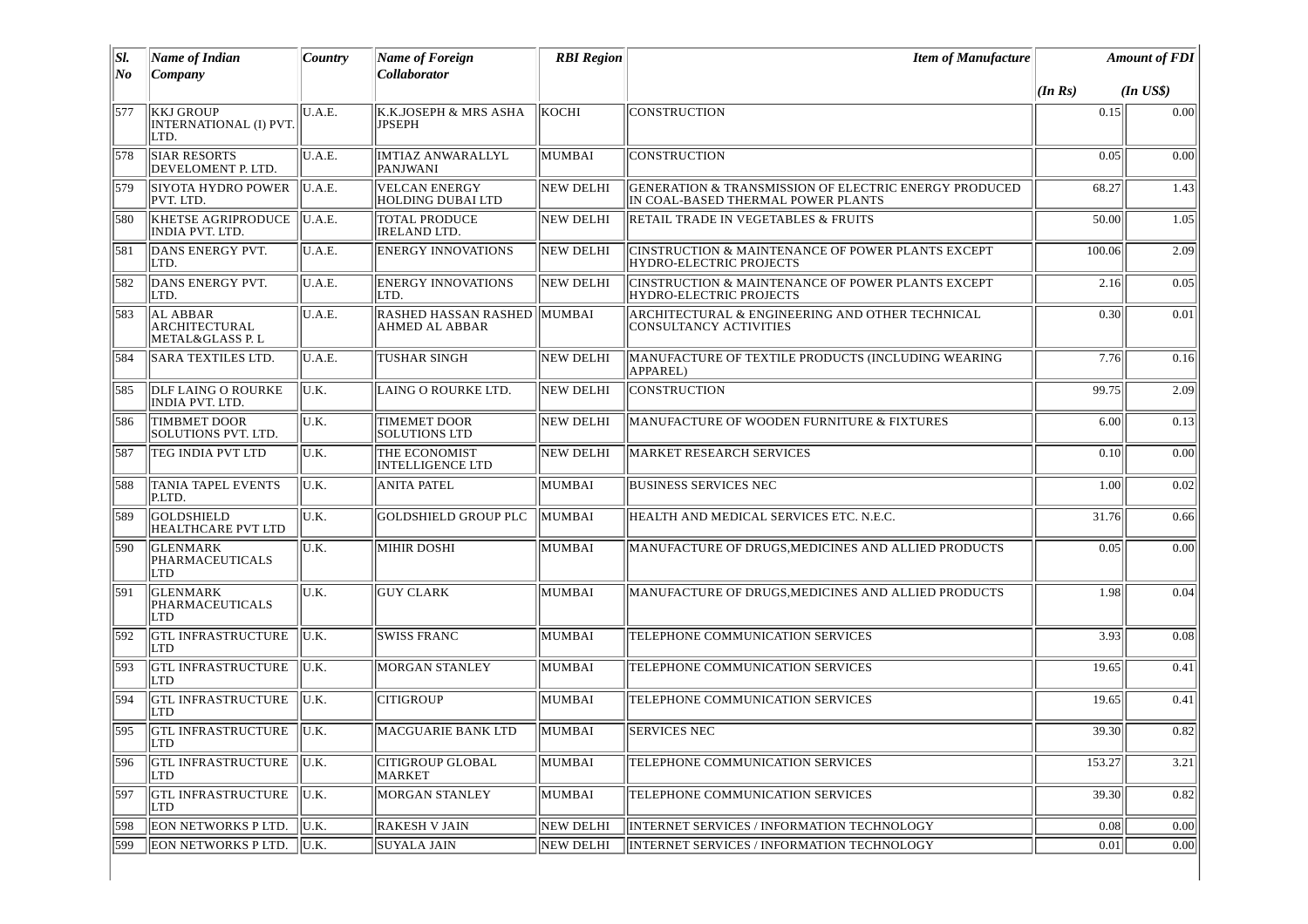| SI.   | <b>Name of Indian</b>                                       | Country | <b>Name of Foreign</b>                               | <b>RBI</b> Region | <b>Item of Manufacture</b>                                                                  | <b>Amount of FDI</b> |              |
|-------|-------------------------------------------------------------|---------|------------------------------------------------------|-------------------|---------------------------------------------------------------------------------------------|----------------------|--------------|
| $N$ o | Company                                                     |         | Collaborator                                         |                   |                                                                                             | (In Rs)              | $(In$ $US$)$ |
| 577   | <b>KKJ GROUP</b><br>INTERNATIONAL (I) PVT.<br>LTD.          | U.A.E.  | K.K.JOSEPH & MRS ASHA<br><b>JPSEPH</b>               | KOCHI             | CONSTRUCTION                                                                                | 0.15                 | 0.00         |
| 578   | <b>SIAR RESORTS</b><br>DEVELOMENT P. LTD.                   | U.A.E.  | <b>IMTIAZ ANWARALLYL</b><br>PANJWANI                 | MUMBAI            | <b>CONSTRUCTION</b>                                                                         | 0.05                 | 0.00         |
| 579   | <b>SIYOTA HYDRO POWER</b><br>PVT. LTD.                      | U.A.E.  | <b>VELCAN ENERGY</b><br>HOLDING DUBAI LTD            | <b>NEW DELHI</b>  | GENERATION & TRANSMISSION OF ELECTRIC ENERGY PRODUCED<br>IN COAL-BASED THERMAL POWER PLANTS | 68.27                | 1.43         |
| 580   | <b>KHETSE AGRIPRODUCE</b><br>INDIA PVT. LTD.                | U.A.E.  | <b>TOTAL PRODUCE</b><br><b>IRELAND LTD.</b>          | <b>NEW DELHI</b>  | RETAIL TRADE IN VEGETABLES & FRUITS                                                         | 50.00                | 1.05         |
| 581   | DANS ENERGY PVT.<br>LTD.                                    | U.A.E.  | <b>ENERGY INNOVATIONS</b>                            | <b>NEW DELHI</b>  | CINSTRUCTION & MAINTENANCE OF POWER PLANTS EXCEPT<br>HYDRO-ELECTRIC PROJECTS                | 100.06               | 2.09         |
| 582   | DANS ENERGY PVT.<br>LTD.                                    | U.A.E.  | <b>ENERGY INNOVATIONS</b><br>LTD.                    | NEW DELHI         | CINSTRUCTION & MAINTENANCE OF POWER PLANTS EXCEPT<br><b>HYDRO-ELECTRIC PROJECTS</b>         | 2.16                 | 0.05         |
| 583   | <b>AL ABBAR</b><br><b>ARCHITECTURAL</b><br>METAL&GLASS P. L | U.A.E.  | RASHED HASSAN RASHED MUMBAI<br><b>AHMED AL ABBAR</b> |                   | ARCHITECTURAL & ENGINEERING AND OTHER TECHNICAL<br>CONSULTANCY ACTIVITIES                   | 0.30                 | 0.01         |
| 584   | <b>SARA TEXTILES LTD.</b>                                   | U.A.E.  | <b>TUSHAR SINGH</b>                                  | <b>NEW DELHI</b>  | MANUFACTURE OF TEXTILE PRODUCTS (INCLUDING WEARING<br>APPAREL)                              | 7.76                 | 0.16         |
| 585   | <b>DLF LAING O ROURKE</b><br>INDIA PVT. LTD.                | U.K.    | LAING O ROURKE LTD.                                  | <b>NEW DELHI</b>  | CONSTRUCTION                                                                                | 99.75                | 2.09         |
| 586   | <b>TIMBMET DOOR</b><br><b>SOLUTIONS PVT. LTD.</b>           | U.K.    | TIMEMET DOOR<br><b>SOLUTIONS LTD</b>                 | NEW DELHI         | MANUFACTURE OF WOODEN FURNITURE & FIXTURES                                                  | 6.00                 | 0.13         |
| 587   | TEG INDIA PVT LTD                                           | U.K.    | <b>THE ECONOMIST</b><br><b>INTELLIGENCE LTD</b>      | <b>NEW DELHI</b>  | <b>MARKET RESEARCH SERVICES</b>                                                             | 0.10                 | 0.00         |
| 588   | <b>TANIA TAPEL EVENTS</b><br>P.LTD.                         | U.K.    | <b>ANITA PATEL</b>                                   | <b>MUMBAI</b>     | <b>BUSINESS SERVICES NEC</b>                                                                | 1.00                 | 0.02         |
| 589   | <b>GOLDSHIELD</b><br>HEALTHCARE PVT LTD                     | U.K.    | <b>GOLDSHIELD GROUP PLC</b>                          | MUMBAI            | HEALTH AND MEDICAL SERVICES ETC. N.E.C.                                                     | 31.76                | 0.66         |
| 590   | <b>GLENMARK</b><br>PHARMACEUTICALS<br>LTD                   | U.K.    | <b>MIHIR DOSHI</b>                                   | <b>MUMBAI</b>     | MANUFACTURE OF DRUGS, MEDICINES AND ALLIED PRODUCTS                                         | 0.05                 | 0.00         |
| 591   | <b>GLENMARK</b><br>PHARMACEUTICALS<br><b>LTD</b>            | U.K.    | <b>GUY CLARK</b>                                     | <b>MUMBAI</b>     | MANUFACTURE OF DRUGS, MEDICINES AND ALLIED PRODUCTS                                         | 1.98                 | 0.04         |
| 592   | <b>GTL INFRASTRUCTURE</b><br>LTD                            | U.K.    | <b>SWISS FRANC</b>                                   | <b>MUMBAI</b>     | TELEPHONE COMMUNICATION SERVICES                                                            | 3.93                 | 0.08         |
| 593   | <b>GTL INFRASTRUCTURE</b><br><b>LTD</b>                     | IU.K.   | <b>MORGAN STANLEY</b>                                | MUMBAI            | TELEPHONE COMMUNICATION SERVICES                                                            | 19.65                | 0.41         |
| 594   | <b>GTL INFRASTRUCTURE</b><br><b>LTD</b>                     | U.K.    | <b>CITIGROUP</b>                                     | MUMBAI            | TELEPHONE COMMUNICATION SERVICES                                                            | 19.65                | 0.41         |
| 595   | <b>GTL INFRASTRUCTURE</b><br>  LTD                          | IU.K.   | <b>MACGUARIE BANK LTD</b>                            | MUMBAI            | <b>SERVICES NEC</b>                                                                         | 39.30                | 0.82         |
| 596   | <b>GTL INFRASTRUCTURE</b><br>LTD                            | U.K.    | <b>CITIGROUP GLOBAL</b><br><b>MARKET</b>             | MUMBAI            | TELEPHONE COMMUNICATION SERVICES                                                            | 153.27               | 3.21         |
| 597   | <b>GTL INFRASTRUCTURE</b><br>LTD                            | U.K.    | <b>MORGAN STANLEY</b>                                | MUMBAI            | TELEPHONE COMMUNICATION SERVICES                                                            | 39.30                | 0.82         |
| 598   | <b>EON NETWORKS P LTD.</b>                                  | U.K.    | <b>RAKESH V JAIN</b>                                 | <b>NEW DELHI</b>  | INTERNET SERVICES / INFORMATION TECHNOLOGY                                                  | 0.08                 | 0.00         |
| 599   | <b>EON NETWORKS P LTD.</b>                                  | IU.K.   | <b>SUYALA JAIN</b>                                   | <b>NEW DELHI</b>  | INTERNET SERVICES / INFORMATION TECHNOLOGY                                                  | 0.01                 | 0.00         |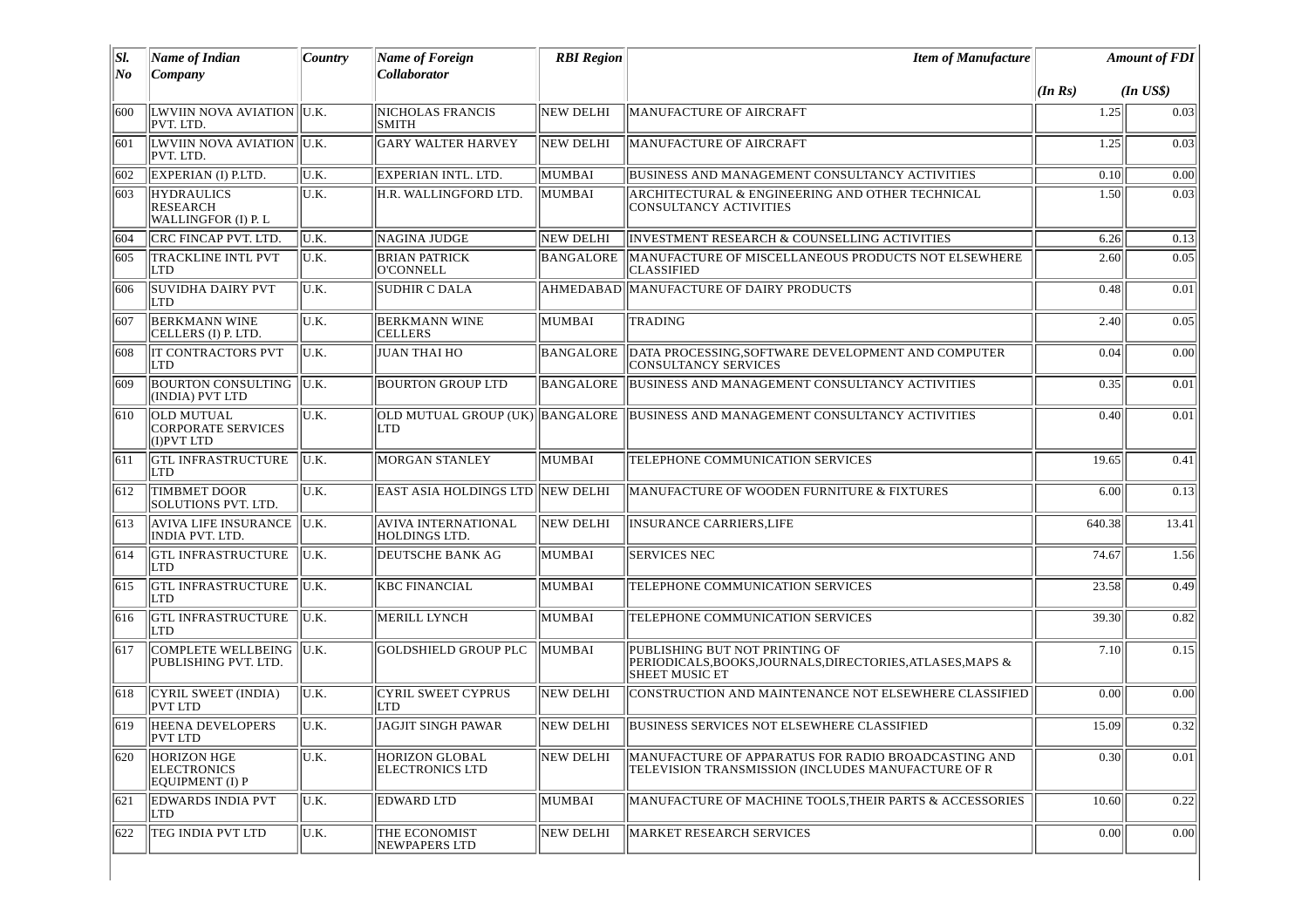| SI. | Name of Indian                                               | <b>Country</b>   | Name of Foreign                               | <b>RBI</b> Region | <b>Item of Manufacture</b>                                                                                            | <b>Amount of FDI</b>    |       |
|-----|--------------------------------------------------------------|------------------|-----------------------------------------------|-------------------|-----------------------------------------------------------------------------------------------------------------------|-------------------------|-------|
| No  | Company                                                      |                  | <b>Collaborator</b>                           |                   |                                                                                                                       | $(In$ $USS)$<br>(In Rs) |       |
| 600 | LWVIIN NOVA AVIATION   U.K.<br>PVT. LTD.                     |                  | <b>NICHOLAS FRANCIS</b><br><b>SMITH</b>       | <b>NEW DELHI</b>  | MANUFACTURE OF AIRCRAFT                                                                                               | 1.25                    | 0.03  |
| 601 | LWVIIN NOVA AVIATION U.K.<br>PVT. LTD.                       |                  | <b>GARY WALTER HARVEY</b>                     | NEW DELHI         | MANUFACTURE OF AIRCRAFT                                                                                               | 1.25                    | 0.03  |
| 602 | EXPERIAN (I) P.LTD.                                          | U.K.             | EXPERIAN INTL. LTD.                           | MUMBAI            | BUSINESS AND MANAGEMENT CONSULTANCY ACTIVITIES                                                                        | 0.10                    | 0.00  |
| 603 | <b>HYDRAULICS</b><br>RESEARCH<br>WALLINGFOR (I) P. L         | U.K.             | H.R. WALLINGFORD LTD.                         | MUMBAI            | ARCHITECTURAL & ENGINEERING AND OTHER TECHNICAL<br><b>CONSULTANCY ACTIVITIES</b>                                      | 1.50                    | 0.03  |
| 604 | CRC FINCAP PVT. LTD.                                         | U.K.             | <b>NAGINA JUDGE</b>                           | NEW DELHI         | INVESTMENT RESEARCH & COUNSELLING ACTIVITIES                                                                          | 6.26                    | 0.13  |
| 605 | TRACKLINE INTL PVT<br>LTD                                    | U.K.             | <b>BRIAN PATRICK</b><br><b>O'CONNELL</b>      | BANGALORE         | MANUFACTURE OF MISCELLANEOUS PRODUCTS NOT ELSEWHERE<br><b>CLASSIFIED</b>                                              | 2.60                    | 0.05  |
| 606 | <b>SUVIDHA DAIRY PVT</b><br><b>LTD</b>                       | IU.K.            | <b>SUDHIR C DALA</b>                          |                   | AHMEDABAD MANUFACTURE OF DAIRY PRODUCTS                                                                               | 0.48                    | 0.01  |
| 607 | <b>BERKMANN WINE</b><br>CELLERS (I) P. LTD.                  | U.K.             | <b>BERKMANN WINE</b><br><b>CELLERS</b>        | MUMBAI            | <b>TRADING</b>                                                                                                        | 2.40                    | 0.05  |
| 608 | <b>IT CONTRACTORS PVT</b><br>LTD                             | lu.k.            | <b>JUAN THAI HO</b>                           | BANGALORE         | DATA PROCESSING, SOFTWARE DEVELOPMENT AND COMPUTER<br><b>CONSULTANCY SERVICES</b>                                     | 0.04                    | 0.00  |
| 609 | <b>BOURTON CONSULTING U.K.</b><br>(INDIA) PVT LTD            |                  | <b>BOURTON GROUP LTD</b>                      | BANGALORE         | BUSINESS AND MANAGEMENT CONSULTANCY ACTIVITIES                                                                        | 0.35                    | 0.01  |
| 610 | <b>OLD MUTUAL</b><br><b>CORPORATE SERVICES</b><br>(I)PVT LTD | U.K.             | OLD MUTUAL GROUP (UK) BANGALORE<br><b>LTD</b> |                   | BUSINESS AND MANAGEMENT CONSULTANCY ACTIVITIES                                                                        | 0.40                    | 0.01  |
| 611 | <b>GTL INFRASTRUCTURE</b><br>LTD                             | IU.K.            | <b>MORGAN STANLEY</b>                         | MUMBAI            | TELEPHONE COMMUNICATION SERVICES                                                                                      | 19.65                   | 0.41  |
| 612 | <b>TIMBMET DOOR</b><br><b>SOLUTIONS PVT. LTD.</b>            | U.K.             | <b>EAST ASIA HOLDINGS LTD NEW DELHI</b>       |                   | MANUFACTURE OF WOODEN FURNITURE & FIXTURES                                                                            | 6.00                    | 0.13  |
| 613 | AVIVA LIFE INSURANCE  U.K.<br><b>INDIA PVT. LTD.</b>         |                  | <b>AVIVA INTERNATIONAL</b><br>HOLDINGS LTD.   | NEW DELHI         | <b>INSURANCE CARRIERS, LIFE</b>                                                                                       | 640.38                  | 13.41 |
| 614 | <b>GTL INFRASTRUCTURE</b><br>LTD                             | llu.k.           | DEUTSCHE BANK AG                              | MUMBAI            | <b>SERVICES NEC</b>                                                                                                   | 74.67                   | 1.56  |
| 615 | <b>GTL INFRASTRUCTURE</b><br>LTD                             | $\parallel$ U.K. | <b>KBC FINANCIAL</b>                          | MUMBAI            | TELEPHONE COMMUNICATION SERVICES                                                                                      | 23.58                   | 0.49  |
| 616 | <b>GTL INFRASTRUCTURE</b><br>LTD                             | IU.K.            | MERILL LYNCH                                  | MUMBAI            | TELEPHONE COMMUNICATION SERVICES                                                                                      | 39.30                   | 0.82  |
| 617 | COMPLETE WELLBEING U.K.<br>PUBLISHING PVT. LTD.              |                  | <b>GOLDSHIELD GROUP PLC</b>                   | MUMBAI            | PUBLISHING BUT NOT PRINTING OF<br>PERIODICALS, BOOKS, JOURNALS, DIRECTORIES, ATLASES, MAPS &<br><b>SHEET MUSIC ET</b> | 7.10                    | 0.15  |
| 618 | CYRIL SWEET (INDIA)<br><b>PVT LTD</b>                        | U.K.             | <b>CYRIL SWEET CYPRUS</b><br>LTD              | NEW DELHI         | CONSTRUCTION AND MAINTENANCE NOT ELSEWHERE CLASSIFIED                                                                 | 0.00                    | 0.00  |
| 619 | <b>HEENA DEVELOPERS</b><br>PVT LTD                           | IU.K.            | JAGJIT SINGH PAWAR                            | NEW DELHI         | <b>BUSINESS SERVICES NOT ELSEWHERE CLASSIFIED</b>                                                                     | 15.09                   | 0.32  |
| 620 | <b>HORIZON HGE</b><br>ELECTRONICS<br>EQUIPMENT (I) P         | U.K.             | <b>HORIZON GLOBAL</b><br>ELECTRONICS LTD      | NEW DELHI         | MANUFACTURE OF APPARATUS FOR RADIO BROADCASTING AND<br>TELEVISION TRANSMISSION (INCLUDES MANUFACTURE OF R             | 0.30                    | 0.01  |
| 621 | <b>EDWARDS INDIA PVT</b><br><b>LTD</b>                       | lu.k.            | <b>EDWARD LTD</b>                             | MUMBAI            | MANUFACTURE OF MACHINE TOOLS, THEIR PARTS & ACCESSORIES                                                               | 10.60                   | 0.22  |
| 622 | TEG INDIA PVT LTD                                            | U.K.             | THE ECONOMIST<br>NEWPAPERS LTD                | NEW DELHI         | MARKET RESEARCH SERVICES                                                                                              | 0.00                    | 0.00  |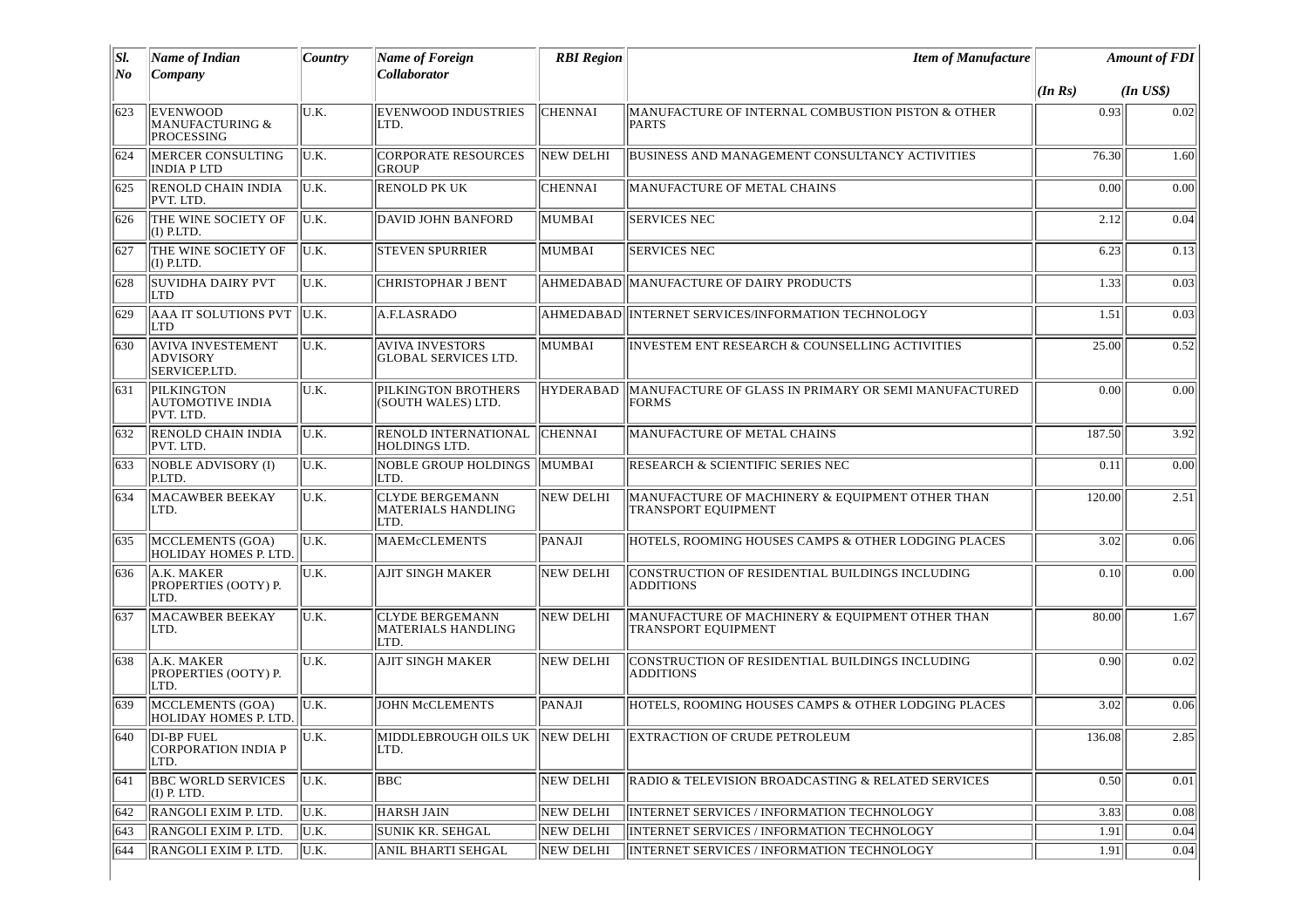| $ S $ . | Name of Indian                                               | Country | <b>Name of Foreign</b>                                      | <b>RBI Region</b> | <b>Item of Manufacture</b>                                             |             | <b>Amount of FDI</b> |
|---------|--------------------------------------------------------------|---------|-------------------------------------------------------------|-------------------|------------------------------------------------------------------------|-------------|----------------------|
| No      | $\Gamma$ Company                                             |         | <b>Collaborator</b>                                         |                   |                                                                        | $ $ (In Rs) | $(In$ $US$)$         |
| 623     | <b>EVENWOOD</b><br><b>MANUFACTURING &amp;</b><br>PROCESSING  | U.K.    | <b>EVENWOOD INDUSTRIES</b><br>LTD.                          | <b>CHENNAI</b>    | MANUFACTURE OF INTERNAL COMBUSTION PISTON & OTHER<br>PARTS             | 0.93        | 0.02                 |
| 624     | MERCER CONSULTING<br><b>INDIA PLTD</b>                       | U.K.    | <b>CORPORATE RESOURCES</b><br><b>GROUP</b>                  | <b>NEW DELHI</b>  | <b>BUSINESS AND MANAGEMENT CONSULTANCY ACTIVITIES</b>                  | 76.30       | 1.60                 |
| 625     | <b>RENOLD CHAIN INDIA</b><br>PVT. LTD.                       | U.K.    | <b>RENOLD PK UK</b>                                         | CHENNAI           | MANUFACTURE OF METAL CHAINS                                            | 0.00        | 0.00                 |
| 626     | THE WINE SOCIETY OF<br>(I) P.LTD.                            | IU.K.   | DAVID JOHN BANFORD                                          | MUMBAI            | <b>SERVICES NEC</b>                                                    | 2.12        | 0.04                 |
| 627     | THE WINE SOCIETY OF<br>$(I)$ P.LTD.                          | U.K.    | <b>STEVEN SPURRIER</b>                                      | MUMBAI            | <b>SERVICES NEC</b>                                                    | 6.23        | 0.13                 |
| 628     | <b>SUVIDHA DAIRY PVT</b><br><b>LTD</b>                       | U.K.    | <b>CHRISTOPHAR J BENT</b>                                   | AHMEDABAD         | MANUFACTURE OF DAIRY PRODUCTS                                          | 1.33        | 0.03                 |
| 629     | AAA IT SOLUTIONS PVT  U.K.<br> LTD                           |         | A.F.LASRADO                                                 |                   | AHMEDABAD INTERNET SERVICES/INFORMATION TECHNOLOGY                     | 1.51        | 0.03                 |
| 630     | <b>AVIVA INVESTEMENT</b><br><b>ADVISORY</b><br>SERVICEP.LTD. | U.K.    | <b>AVIVA INVESTORS</b><br><b>GLOBAL SERVICES LTD.</b>       | MUMBAI            | INVESTEM ENT RESEARCH & COUNSELLING ACTIVITIES                         | 25.00       | 0.52                 |
| 631     | PILKINGTON<br><b>AUTOMOTIVE INDIA</b><br>PVT. LTD.           | U.K.    | PILKINGTON BROTHERS<br>(SOUTH WALES) LTD.                   | <b>HYDERABAD</b>  | MANUFACTURE OF GLASS IN PRIMARY OR SEMI MANUFACTURED<br><b>FORMS</b>   | 0.00        | 0.00                 |
| 632     | <b>RENOLD CHAIN INDIA</b><br>PVT. LTD.                       | IU.K.   | RENOLD INTERNATIONAL<br><b>HOLDINGS LTD.</b>                | <b>CHENNAI</b>    | MANUFACTURE OF METAL CHAINS                                            | 187.50      | 3.92                 |
| 633     | NOBLE ADVISORY (I)<br>P.LTD.                                 | U.K.    | NOBLE GROUP HOLDINGS MUMBAI<br>LTD.                         |                   | <b>RESEARCH &amp; SCIENTIFIC SERIES NEC</b>                            | 0.11        | 0.00                 |
| 634     | <b>MACAWBER BEEKAY</b><br>LTD.                               | U.K.    | <b>CLYDE BERGEMANN</b><br><b>MATERIALS HANDLING</b><br>LTD. | <b>NEW DELHI</b>  | MANUFACTURE OF MACHINERY & EQUIPMENT OTHER THAN<br>TRANSPORT EQUIPMENT | 120.00      | 2.51                 |
| 635     | MCCLEMENTS (GOA)<br>HOLIDAY HOMES P. LTD.                    | U.K.    | <b>MAEMcCLEMENTS</b>                                        | PANAJI            | HOTELS, ROOMING HOUSES CAMPS & OTHER LODGING PLACES                    | 3.02        | 0.06                 |
| 636     | A.K. MAKER<br>PROPERTIES (OOTY) P.<br>LTD.                   | U.K.    | <b>AJIT SINGH MAKER</b>                                     | <b>NEW DELHI</b>  | CONSTRUCTION OF RESIDENTIAL BUILDINGS INCLUDING<br><b>ADDITIONS</b>    | 0.10        | 0.00                 |
| 637     | <b>MACAWBER BEEKAY</b><br>LTD.                               | U.K.    | <b>CLYDE BERGEMANN</b><br><b>MATERIALS HANDLING</b><br>LTD. | <b>NEW DELHI</b>  | MANUFACTURE OF MACHINERY & EQUIPMENT OTHER THAN<br>TRANSPORT EQUIPMENT | 80.00       | 1.67                 |
| 638     | A.K. MAKER<br>PROPERTIES (OOTY) P.<br>LTD.                   | U.K.    | AJIT SINGH MAKER                                            | NEW DELHI         | CONSTRUCTION OF RESIDENTIAL BUILDINGS INCLUDING<br><b>ADDITIONS</b>    | 0.90        | 0.02                 |
| 639     | MCCLEMENTS (GOA)<br><b>HOLIDAY HOMES P. LTD</b>              | U.K.    | <b>JOHN McCLEMENTS</b>                                      | <b>PANAJI</b>     | HOTELS, ROOMING HOUSES CAMPS & OTHER LODGING PLACES                    | 3.02        | 0.06                 |
| 1640    | DI-BP FUEL<br>CORPORATION INDIA P<br>LTD.                    | lu.k.   | MIDDLEBROUGH OILS UK  NEW DELHI<br>LTD.                     |                   | EXTRACTION OF CRUDE PETROLEUM                                          | 136.08      | 2.85                 |
| 641     | <b>BBC WORLD SERVICES</b><br>$(I)$ P. LTD.                   | U.K.    | <b>BBC</b>                                                  | NEW DELHI         | RADIO & TELEVISION BROADCASTING & RELATED SERVICES                     | 0.50        | 0.01                 |
| 642     | RANGOLI EXIM P. LTD.                                         | U.K.    | <b>HARSH JAIN</b>                                           | NEW DELHI         | <b>INTERNET SERVICES / INFORMATION TECHNOLOGY</b>                      | 3.83        | 0.08                 |
| 643     | RANGOLI EXIM P. LTD.                                         | U.K.    | SUNIK KR. SEHGAL                                            | NEW DELHI         | <b>INTERNET SERVICES / INFORMATION TECHNOLOGY</b>                      | 1.91        | 0.04                 |
| 644     | RANGOLI EXIM P. LTD.                                         | U.K.    | ANIL BHARTI SEHGAL                                          | <b>NEW DELHI</b>  | INTERNET SERVICES / INFORMATION TECHNOLOGY                             | 1.91        | 0.04                 |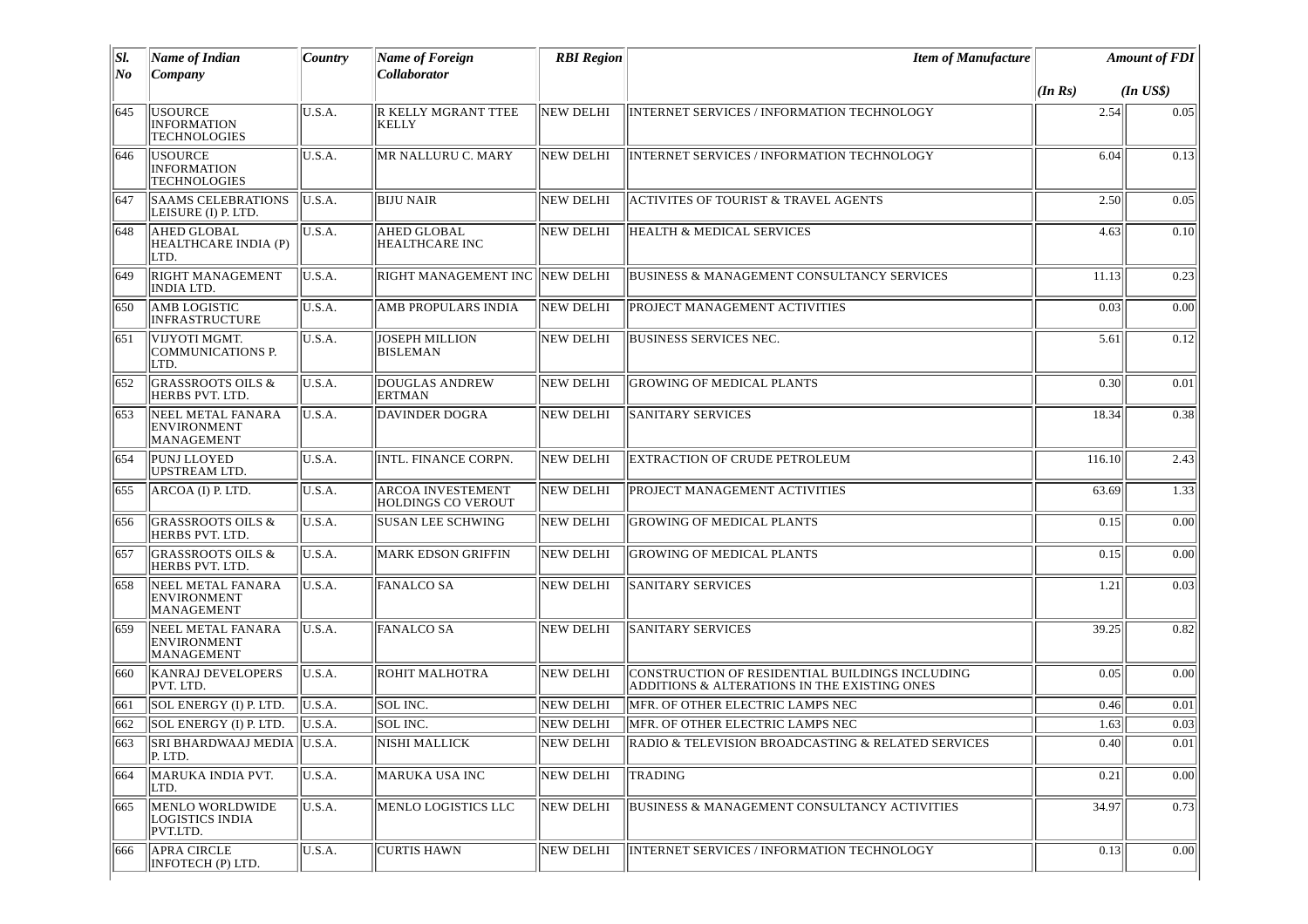| SI.<br>No | Name of Indian<br>Company                                   | Country<br>Name of Foreign<br>Collaborator |                                                       | <b>RBI</b> Region | <b>Item of Manufacture</b>                                                                      |         | <b>Amount of FDI</b> |
|-----------|-------------------------------------------------------------|--------------------------------------------|-------------------------------------------------------|-------------------|-------------------------------------------------------------------------------------------------|---------|----------------------|
|           |                                                             |                                            |                                                       |                   |                                                                                                 | (In Rs) | $(In$ $US$)$         |
| 645       | <b>USOURCE</b><br><b>INFORMATION</b><br><b>TECHNOLOGIES</b> | U.S.A.                                     | R KELLY MGRANT TTEE<br><b>KELLY</b>                   | NEW DELHI         | INTERNET SERVICES / INFORMATION TECHNOLOGY                                                      | 2.54    | 0.05                 |
| 646       | <b>USOURCE</b><br><b>INFORMATION</b><br><b>TECHNOLOGIES</b> | U.S.A.                                     | MR NALLURU C. MARY                                    | <b>NEW DELHI</b>  | <b>INTERNET SERVICES / INFORMATION TECHNOLOGY</b>                                               | 6.04    | 0.13                 |
| 647       | <b>SAAMS CELEBRATIONS</b><br>LEISURE (I) P. LTD.            | U.S.A.                                     | <b>BIJU NAIR</b>                                      | <b>NEW DELHI</b>  | <b>ACTIVITES OF TOURIST &amp; TRAVEL AGENTS</b>                                                 | 2.50    | 0.05                 |
| 648       | <b>AHED GLOBAL</b><br>HEALTHCARE INDIA (P)<br>ILTD.         | U.S.A.                                     | <b>AHED GLOBAL</b><br>HEALTHCARE INC                  | NEW DELHI         | <b>HEALTH &amp; MEDICAL SERVICES</b>                                                            | 4.63    | 0.10                 |
| 649       | <b>RIGHT MANAGEMENT</b><br>INDIA LTD.                       | U.S.A.                                     | RIGHT MANAGEMENT INC   NEW DELHI                      |                   | <b>BUSINESS &amp; MANAGEMENT CONSULTANCY SERVICES</b>                                           | 11.13   | 0.23                 |
| 650       | AMB LOGISTIC<br><b>INFRASTRUCTURE</b>                       | U.S.A.                                     | AMB PROPULARS INDIA                                   | <b>NEW DELHI</b>  | PROJECT MANAGEMENT ACTIVITIES                                                                   | 0.03    | 0.00                 |
| 651       | VIJYOTI MGMT.<br>COMMUNICATIONS P.<br>LTD.                  | U.S.A.                                     | <b>JOSEPH MILLION</b><br><b>BISLEMAN</b>              | NEW DELHI         | <b>BUSINESS SERVICES NEC.</b>                                                                   | 5.61    | 0.12                 |
| 652       | <b>GRASSROOTS OILS &amp;</b><br>HERBS PVT. LTD.             | U.S.A.                                     | <b>DOUGLAS ANDREW</b><br><b>ERTMAN</b>                | <b>NEW DELHI</b>  | <b>GROWING OF MEDICAL PLANTS</b>                                                                | 0.30    | 0.01                 |
| 653       | NEEL METAL FANARA<br><b>ENVIRONMENT</b><br>MANAGEMENT       | U.S.A.                                     | <b>DAVINDER DOGRA</b>                                 | <b>NEW DELHI</b>  | <b>SANITARY SERVICES</b>                                                                        | 18.34   | 0.38                 |
| 654       | PUNJ LLOYED<br>UPSTREAM LTD.                                | U.S.A.                                     | INTL. FINANCE CORPN.                                  | <b>NEW DELHI</b>  | EXTRACTION OF CRUDE PETROLEUM                                                                   | 116.10  | 2.43                 |
| 655       | ARCOA (I) P. LTD.                                           | U.S.A.                                     | <b>ARCOA INVESTEMENT</b><br><b>HOLDINGS CO VEROUT</b> | NEW DELHI         | PROJECT MANAGEMENT ACTIVITIES                                                                   | 63.69   | 1.33                 |
| 1656      | <b>GRASSROOTS OILS &amp;</b><br>HERBS PVT. LTD.             | U.S.A.                                     | <b>SUSAN LEE SCHWING</b>                              | <b>NEW DELHI</b>  | <b>GROWING OF MEDICAL PLANTS</b>                                                                | 0.15    | 0.00                 |
| 657       | <b>GRASSROOTS OILS &amp;</b><br>HERBS PVT. LTD.             | U.S.A.                                     | <b>MARK EDSON GRIFFIN</b>                             | <b>NEW DELHI</b>  | <b>GROWING OF MEDICAL PLANTS</b>                                                                | 0.15    | 0.00                 |
| 658       | NEEL METAL FANARA<br><b>ENVIRONMENT</b><br>MANAGEMENT       | U.S.A.                                     | <b>FANALCO SA</b>                                     | NEW DELHI         | <b>SANITARY SERVICES</b>                                                                        | 1.21    | 0.03                 |
| 659       | NEEL METAL FANARA<br><b>ENVIRONMENT</b><br>MANAGEMENT       | U.S.A.                                     | <b>FANALCO SA</b>                                     | <b>NEW DELHI</b>  | <b>SANITARY SERVICES</b>                                                                        | 39.25   | 0.82                 |
| 660       | <b>KANRAJ DEVELOPERS</b><br>PVT. LTD.                       | U.S.A.                                     | ROHIT MALHOTRA                                        | <b>NEW DELHI</b>  | CONSTRUCTION OF RESIDENTIAL BUILDINGS INCLUDING<br>ADDITIONS & ALTERATIONS IN THE EXISTING ONES | 0.05    | 0.00                 |
| 661       | SOL ENERGY (I) P. LTD.                                      | U.S.A.                                     | SOL INC.                                              | <b>NEW DELHI</b>  | MFR. OF OTHER ELECTRIC LAMPS NEC                                                                | 0.46    | 0.01                 |
| 662       | SOL ENERGY (I) P. LTD.                                      | U.S.A.                                     | SOL INC.                                              | NEW DELHI         | MFR. OF OTHER ELECTRIC LAMPS NEC                                                                | 1.63    | 0.03                 |
| 663       | SRI BHARDWAAJ MEDIA U.S.A.<br>P. LTD.                       |                                            | <b>NISHI MALLICK</b>                                  | NEW DELHI         | RADIO & TELEVISION BROADCASTING & RELATED SERVICES                                              | 0.40    | 0.01                 |
| 1664      | MARUKA INDIA PVT.<br>LTD.                                   | U.S.A.                                     | <b>MARUKA USA INC</b>                                 | NEW DELHI         | TRADING                                                                                         | 0.21    | 0.00                 |
| 665       | MENLO WORLDWIDE<br>LOGISTICS INDIA<br>PVT.LTD.              | U.S.A.                                     | MENLO LOGISTICS LLC                                   | NEW DELHI         | <b>BUSINESS &amp; MANAGEMENT CONSULTANCY ACTIVITIES</b>                                         | 34.97   | 0.73                 |
| 666       | <b>APRA CIRCLE</b><br>INFOTECH (P) LTD.                     | U.S.A.                                     | <b>CURTIS HAWN</b>                                    | <b>NEW DELHI</b>  | INTERNET SERVICES / INFORMATION TECHNOLOGY                                                      | 0.13    | 0.00                 |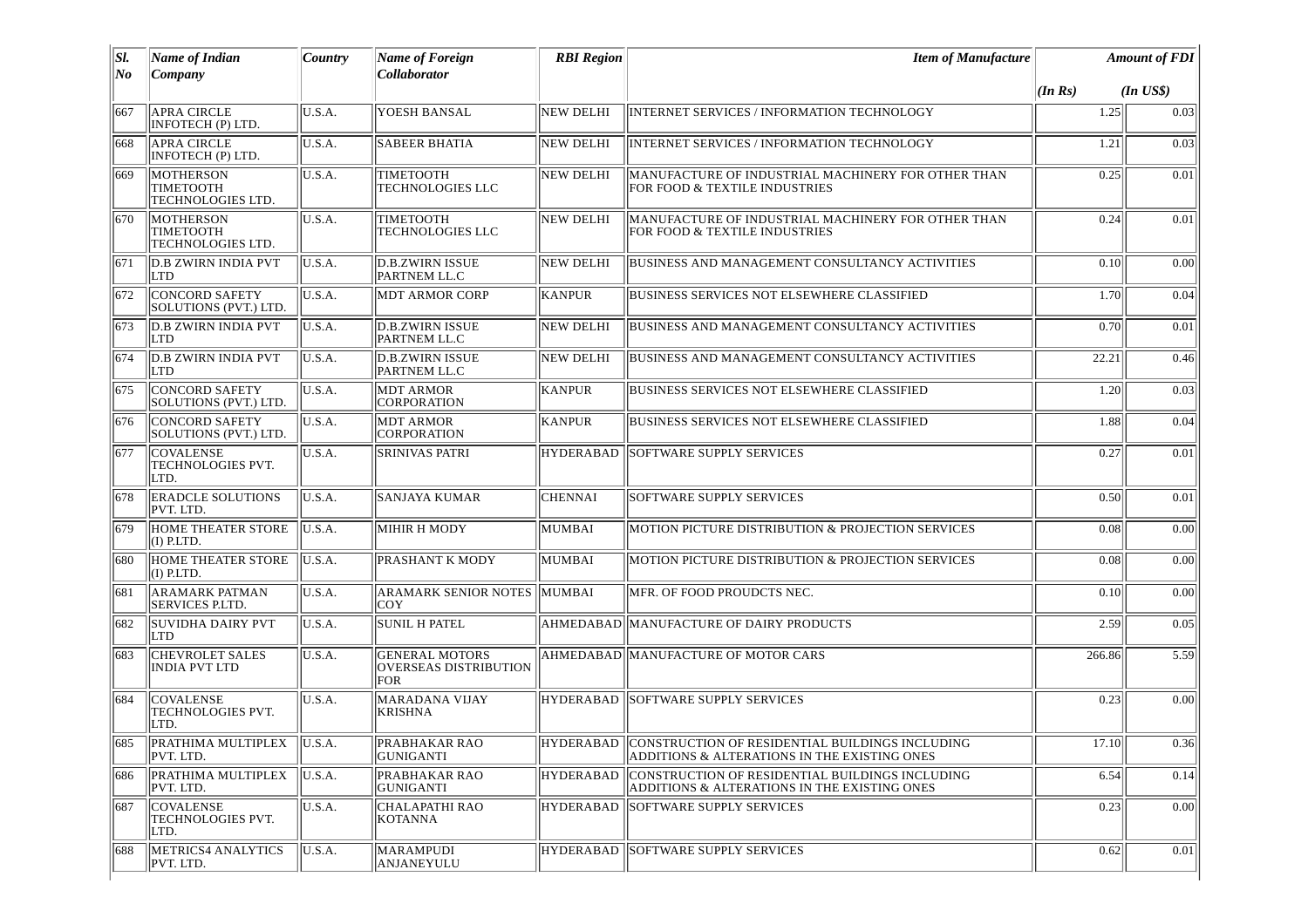| SI.<br>No | <b>Name of Indian</b><br>Company                   | Country | <b>Name of Foreign</b><br>Collaborator                | <b>RBI</b> Region | <b>Item of Manufacture</b>                                                                                |         | <b>Amount of FDI</b> |
|-----------|----------------------------------------------------|---------|-------------------------------------------------------|-------------------|-----------------------------------------------------------------------------------------------------------|---------|----------------------|
|           |                                                    |         |                                                       |                   |                                                                                                           | (In Rs) | $(In$ $US$)$         |
| 667       | <b>APRA CIRCLE</b><br>INFOTECH (P) LTD.            | U.S.A.  | YOESH BANSAL                                          | <b>NEW DELHI</b>  | INTERNET SERVICES / INFORMATION TECHNOLOGY                                                                | 1.25    | 0.03                 |
| 668       | <b>APRA CIRCLE</b><br>INFOTECH (P) LTD.            | U.S.A.  | <b>SABEER BHATIA</b>                                  | <b>NEW DELHI</b>  | <b>INTERNET SERVICES / INFORMATION TECHNOLOGY</b>                                                         | 1.21    | 0.03                 |
| 669       | MOTHERSON<br><b>TIMETOOTH</b><br>TECHNOLOGIES LTD. | U.S.A.  | TIMETOOTH<br>TECHNOLOGIES LLC                         | NEW DELHI         | MANUFACTURE OF INDUSTRIAL MACHINERY FOR OTHER THAN<br>FOR FOOD & TEXTILE INDUSTRIES                       | 0.25    | 0.01                 |
| 670       | MOTHERSON<br>TIMETOOTH<br>TECHNOLOGIES LTD.        | U.S.A.  | TIMETOOTH<br>TECHNOLOGIES LLC                         | <b>NEW DELHI</b>  | MANUFACTURE OF INDUSTRIAL MACHINERY FOR OTHER THAN<br>FOR FOOD & TEXTILE INDUSTRIES                       | 0.24    | 0.01                 |
| 671       | <b>D.B ZWIRN INDIA PVT</b><br>LTD                  | U.S.A.  | D.B.ZWIRN ISSUE<br>PARTNEM LL.C                       | <b>NEW DELHI</b>  | <b>BUSINESS AND MANAGEMENT CONSULTANCY ACTIVITIES</b>                                                     | 0.10    | 0.00                 |
| 672       | <b>CONCORD SAFETY</b><br>SOLUTIONS (PVT.) LTD.     | U.S.A.  | <b>MDT ARMOR CORP</b>                                 | <b>KANPUR</b>     | <b>BUSINESS SERVICES NOT ELSEWHERE CLASSIFIED</b>                                                         | 1.70    | 0.04                 |
| 673       | <b>D.B ZWIRN INDIA PVT</b><br><b>LTD</b>           | U.S.A.  | D.B.ZWIRN ISSUE<br>PARTNEM LL.C                       | NEW DELHI         | BUSINESS AND MANAGEMENT CONSULTANCY ACTIVITIES                                                            | 0.70    | 0.01                 |
| 674       | <b>D.B ZWIRN INDIA PVT</b><br>LTD                  | U.S.A.  | <b>D.B.ZWIRN ISSUE</b><br>PARTNEM LL.C                | NEW DELHI         | BUSINESS AND MANAGEMENT CONSULTANCY ACTIVITIES                                                            | 22.21   | 0.46                 |
| 675       | <b>CONCORD SAFETY</b><br>SOLUTIONS (PVT.) LTD.     | U.S.A.  | <b>MDT ARMOR</b><br>CORPORATION                       | <b>KANPUR</b>     | BUSINESS SERVICES NOT ELSEWHERE CLASSIFIED                                                                | 1.20    | 0.03                 |
| 676       | <b>CONCORD SAFETY</b><br>SOLUTIONS (PVT.) LTD.     | U.S.A.  | <b>MDT ARMOR</b><br>CORPORATION                       | KANPUR            | BUSINESS SERVICES NOT ELSEWHERE CLASSIFIED                                                                | 1.88    | 0.04                 |
| 677       | ICOVALENSE<br><b>TECHNOLOGIES PVT.</b><br>LTD.     | U.S.A.  | <b>SRINIVAS PATRI</b>                                 | <b>HYDERABAD</b>  | SOFTWARE SUPPLY SERVICES                                                                                  | 0.27    | 0.01                 |
| 678       | <b>ERADCLE SOLUTIONS</b><br>PVT. LTD.              | U.S.A.  | <b>SANJAYA KUMAR</b>                                  | <b>CHENNAI</b>    | SOFTWARE SUPPLY SERVICES                                                                                  | 0.50    | 0.01                 |
| 679       | <b>HOME THEATER STORE</b><br>$(I)$ P.LTD.          | U.S.A.  | MIHIR H MODY                                          | MUMBAI            | MOTION PICTURE DISTRIBUTION & PROJECTION SERVICES                                                         | 0.08    | 0.00                 |
| 680       | HOME THEATER STORE<br>$(I)$ P.LTD.                 | U.S.A.  | PRASHANT K MODY                                       | MUMBAI            | MOTION PICTURE DISTRIBUTION & PROJECTION SERVICES                                                         | 0.08    | 0.00                 |
| 681       | <b>ARAMARK PATMAN</b><br><b>SERVICES P.LTD.</b>    | U.S.A.  | <b>ARAMARK SENIOR NOTES</b><br>COY                    | <b>MUMBAI</b>     | MFR. OF FOOD PROUDCTS NEC.                                                                                | 0.10    | 0.00                 |
| 682       | <b>SUVIDHA DAIRY PVT</b><br>LTD                    | U.S.A.  | <b>SUNIL H PATEL</b>                                  |                   | AHMEDABAD  MANUFACTURE OF DAIRY PRODUCTS                                                                  | 2.59    | 0.05                 |
| 683       | <b>CHEVROLET SALES</b><br><b>INDIA PVT LTD</b>     | U.S.A.  | <b>GENERAL MOTORS</b><br>OVERSEAS DISTRIBUTION<br>FOR |                   | AHMEDABAD MANUFACTURE OF MOTOR CARS                                                                       | 266.86  | 5.59                 |
| 684       | <b>COVALENSE</b><br>TECHNOLOGIES PVT.<br>LTD.      | U.S.A.  | <b>MARADANA VIJAY</b><br>KRISHNA                      | <b>HYDERABAD</b>  | SOFTWARE SUPPLY SERVICES                                                                                  | 0.23    | 0.00                 |
|           | 685 PRATHIMA MULTIPLEX U.S.A.<br>PVT. LTD.         |         | <b>PRABHAKAR RAO</b><br>GUNIGANTI                     |                   | HYDERABAD CONSTRUCTION OF RESIDENTIAL BUILDINGS INCLUDING<br>ADDITIONS & ALTERATIONS IN THE EXISTING ONES | 17.10   | 0.36                 |
| 686       | PRATHIMA MULTIPLEX<br>PVT. LTD.                    | U.S.A.  | PRABHAKAR RAO<br>GUNIGANTI                            | <b>HYDERABAD</b>  | CONSTRUCTION OF RESIDENTIAL BUILDINGS INCLUDING<br>ADDITIONS & ALTERATIONS IN THE EXISTING ONES           | 6.54    | 0.14                 |
| 687       | <b>COVALENSE</b><br>TECHNOLOGIES PVT.<br>LTD.      | U.S.A.  | CHALAPATHI RAO<br>KOTANNA                             | <b>HYDERABAD</b>  | <b>SOFTWARE SUPPLY SERVICES</b>                                                                           | 0.23    | 0.00                 |
| 688       | METRICS4 ANALYTICS<br>PVT. LTD.                    | U.S.A.  | <b>MARAMPUDI</b><br>ANJANEYULU                        | <b>HYDERABAD</b>  | <b>SOFTWARE SUPPLY SERVICES</b>                                                                           | 0.62    | 0.01                 |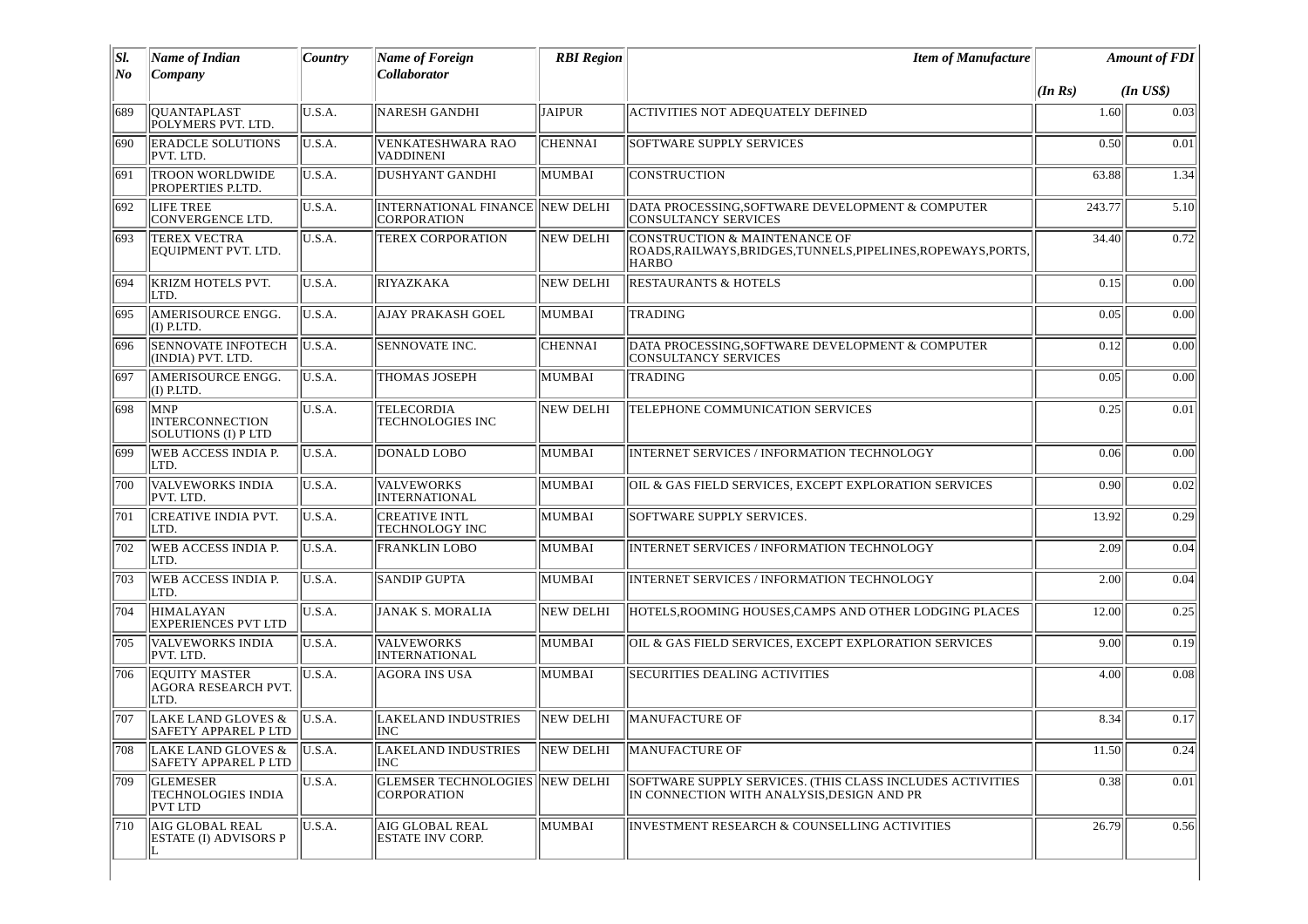| SI.<br>No | <b>Name of Indian</b>                                          | Country | <b>Name of Foreign</b><br>Collaborator                      | <b>RBI</b> Region | <b>Item of Manufacture</b>                                                                                      |         | <b>Amount of FDI</b> |
|-----------|----------------------------------------------------------------|---------|-------------------------------------------------------------|-------------------|-----------------------------------------------------------------------------------------------------------------|---------|----------------------|
|           | Company                                                        |         |                                                             |                   |                                                                                                                 | (In Rs) | $(In$ $US$)$         |
| 689       | <b>QUANTAPLAST</b><br>POLYMERS PVT. LTD.                       | U.S.A.  | <b>NARESH GANDHI</b>                                        | <b>JAIPUR</b>     | ACTIVITIES NOT ADEQUATELY DEFINED                                                                               | 1.60    | 0.03                 |
| 690       | <b>ERADCLE SOLUTIONS</b><br>PVT. LTD.                          | U.S.A.  | <b>VENKATESHWARA RAO</b><br><b>VADDINENI</b>                | <b>CHENNAI</b>    | <b>SOFTWARE SUPPLY SERVICES</b>                                                                                 | 0.50    | 0.01                 |
| 691       | <b>TROON WORLDWIDE</b><br>PROPERTIES P.LTD.                    | U.S.A.  | <b>DUSHYANT GANDHI</b>                                      | MUMBAI            | CONSTRUCTION                                                                                                    | 63.88   | 1.34                 |
| 692       | LIFE TREE<br><b>CONVERGENCE LTD.</b>                           | U.S.A.  | INTERNATIONAL FINANCE NEW DELHI<br>CORPORATION              |                   | DATA PROCESSING, SOFTWARE DEVELOPMENT & COMPUTER<br><b>CONSULTANCY SERVICES</b>                                 | 243.77  | 5.10                 |
| 693       | <b>TEREX VECTRA</b><br>EQUIPMENT PVT. LTD.                     | U.S.A.  | <b>TEREX CORPORATION</b>                                    | <b>NEW DELHI</b>  | CONSTRUCTION & MAINTENANCE OF<br>ROADS, RAILWAYS, BRIDGES, TUNNELS, PIPELINES, ROPEWAYS, PORTS,<br><b>HARBO</b> | 34.40   | 0.72                 |
| 694       | <b>KRIZM HOTELS PVT.</b><br>LTD.                               | U.S.A.  | RIYAZKAKA                                                   | <b>NEW DELHI</b>  | <b>RESTAURANTS &amp; HOTELS</b>                                                                                 | 0.15    | 0.00                 |
| 695       | AMERISOURCE ENGG.<br>$(I)$ P.LTD.                              | U.S.A.  | <b>AJAY PRAKASH GOEL</b>                                    | MUMBAI            | <b>TRADING</b>                                                                                                  | 0.05    | 0.00                 |
| 696       | <b>SENNOVATE INFOTECH</b><br>(INDIA) PVT. LTD.                 | U.S.A.  | <b>SENNOVATE INC.</b>                                       | <b>CHENNAI</b>    | DATA PROCESSING, SOFTWARE DEVELOPMENT & COMPUTER<br><b>CONSULTANCY SERVICES</b>                                 | 0.12    | 0.00                 |
| 697       | AMERISOURCE ENGG.<br>$(I)$ P.LTD.                              | U.S.A.  | THOMAS JOSEPH                                               | MUMBAI            | <b>TRADING</b>                                                                                                  | 0.05    | 0.00                 |
| 698       | <b>MNP</b><br><b>INTERCONNECTION</b><br>SOLUTIONS (I) P LTD    | U.S.A.  | <b>TELECORDIA</b><br>TECHNOLOGIES INC                       | <b>NEW DELHI</b>  | TELEPHONE COMMUNICATION SERVICES                                                                                | 0.25    | 0.01                 |
| 699       | WEB ACCESS INDIA P.<br>LTD.                                    | U.S.A.  | DONALD LOBO                                                 | MUMBAI            | INTERNET SERVICES / INFORMATION TECHNOLOGY                                                                      | 0.06    | 0.00                 |
| 700       | <b>VALVEWORKS INDIA</b><br>PVT. LTD.                           | U.S.A.  | <b>VALVEWORKS</b><br><b>INTERNATIONAL</b>                   | MUMBAI            | OIL & GAS FIELD SERVICES, EXCEPT EXPLORATION SERVICES                                                           | 0.90    | 0.02                 |
| 701       | <b>CREATIVE INDIA PVT.</b><br>LTD.                             | U.S.A.  | <b>CREATIVE INTL</b><br>TECHNOLOGY INC                      | MUMBAI            | SOFTWARE SUPPLY SERVICES.                                                                                       | 13.92   | 0.29                 |
| 702       | WEB ACCESS INDIA P.<br>LTD.                                    | U.S.A.  | <b>FRANKLIN LOBO</b>                                        | MUMBAI            | INTERNET SERVICES / INFORMATION TECHNOLOGY                                                                      | 2.09    | 0.04                 |
| 703       | <b>WEB ACCESS INDIA P.</b><br>LTD.                             | U.S.A.  | <b>SANDIP GUPTA</b>                                         | MUMBAI            | <b>INTERNET SERVICES / INFORMATION TECHNOLOGY</b>                                                               | 2.00    | 0.04                 |
| 704       | <b>HIMALAYAN</b><br><b>EXPERIENCES PVT LTD</b>                 | U.S.A.  | JANAK S. MORALIA                                            | <b>NEW DELHI</b>  | HOTELS, ROOMING HOUSES, CAMPS AND OTHER LODGING PLACES                                                          | 12.00   | 0.25                 |
| 705       | VALVEWORKS INDIA<br>PVT. LTD.                                  | U.S.A.  | <b>VALVEWORKS</b><br>INTERNATIONAL                          | MUMBAI            | OIL & GAS FIELD SERVICES, EXCEPT EXPLORATION SERVICES                                                           | 9.00    | 0.19                 |
| 706       | <b>EQUITY MASTER</b><br><b>AGORA RESEARCH PVT.</b><br>LTD.     | U.S.A.  | <b>AGORA INS USA</b>                                        | <b>MUMBAI</b>     | <b>SECURITIES DEALING ACTIVITIES</b>                                                                            | 4.00    | 0.08                 |
| 707       | LAKE LAND GLOVES &<br><b>SAFETY APPAREL P LTD</b>              | U.S.A.  | LAKELAND INDUSTRIES<br>INC                                  | <b>NEW DELHI</b>  | <b>MANUFACTURE OF</b>                                                                                           | 8.34    | 0.17                 |
| 708       | LAKE LAND GLOVES &<br><b>SAFETY APPAREL P LTD</b>              | U.S.A.  | LAKELAND INDUSTRIES<br>INC                                  | <b>NEW DELHI</b>  | MANUFACTURE OF                                                                                                  | 11.50   | 0.24                 |
| 709       | <b>GLEMESER</b><br><b>TECHNOLOGIES INDIA</b><br><b>PVT LTD</b> | U.S.A.  | <b>GLEMSER TECHNOLOGIES NEW DELHI</b><br><b>CORPORATION</b> |                   | SOFTWARE SUPPLY SERVICES. (THIS CLASS INCLUDES ACTIVITIES<br>IN CONNECTION WITH ANALYSIS, DESIGN AND PR         | 0.38    | 0.01                 |
| 710       | AIG GLOBAL REAL<br><b>ESTATE (I) ADVISORS P</b><br>L           | U.S.A.  | AIG GLOBAL REAL<br><b>ESTATE INV CORP.</b>                  | MUMBAI            | INVESTMENT RESEARCH & COUNSELLING ACTIVITIES                                                                    | 26.79   | 0.56                 |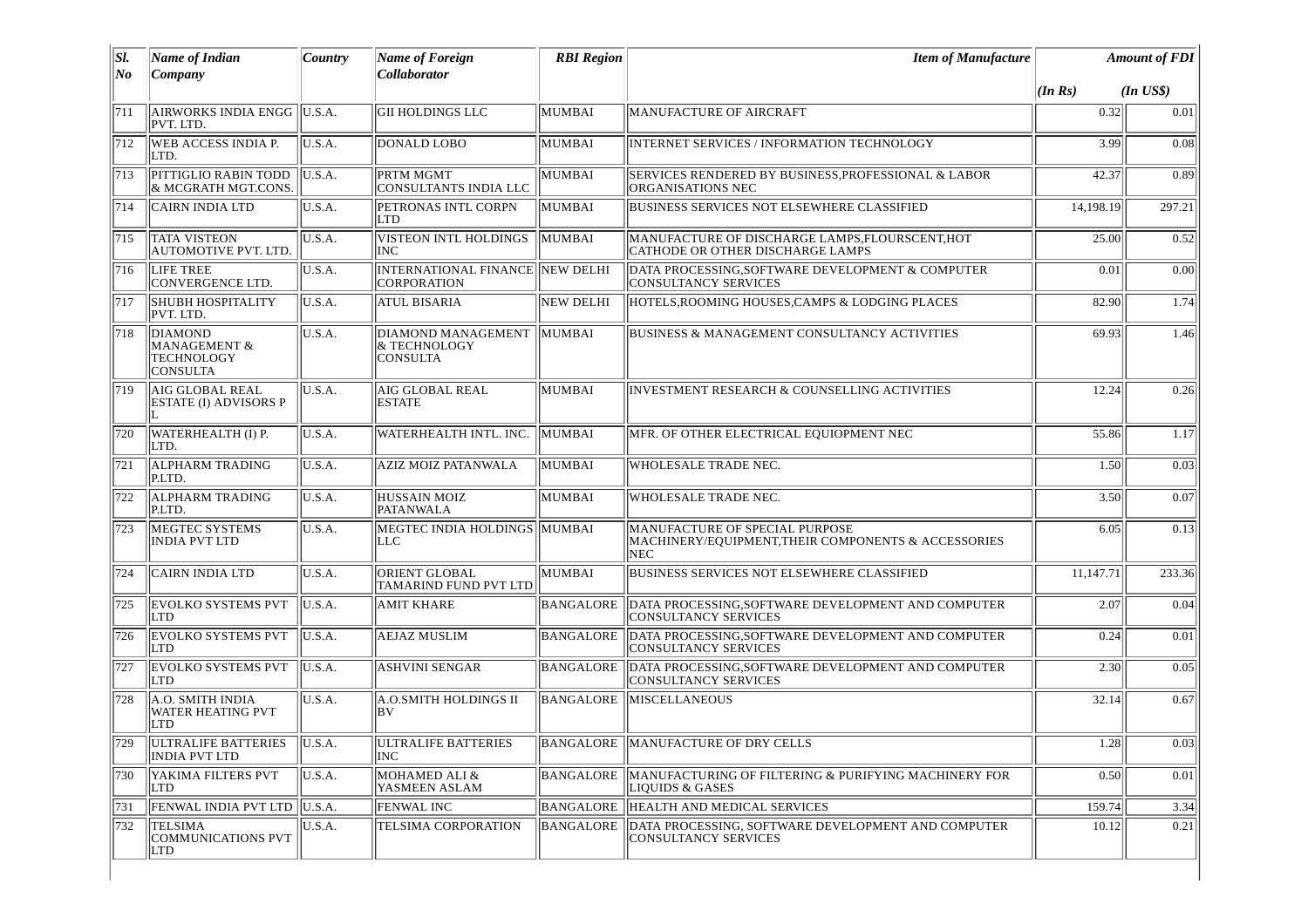| SI.<br>No | <b>Name of Indian</b><br>Company                                    | Country        | <b>Name of Foreign</b><br>Collaborator                | <b>RBI</b> Region | <b>Item of Manufacture</b>                                                                          |           | <b>Amount of FDI</b> |  |
|-----------|---------------------------------------------------------------------|----------------|-------------------------------------------------------|-------------------|-----------------------------------------------------------------------------------------------------|-----------|----------------------|--|
|           |                                                                     |                |                                                       |                   |                                                                                                     | (In Rs)   | $(In$ $US$)$         |  |
| 711       | AIRWORKS INDIA ENGG  U.S.A.<br>PVT. LTD.                            |                | GII HOLDINGS LLC                                      | MUMBAI            | MANUFACTURE OF AIRCRAFT                                                                             | 0.32      | 0.01                 |  |
| 712       | WEB ACCESS INDIA P.<br>LTD.                                         | U.S.A.         | DONALD LOBO                                           | MUMBAI            | INTERNET SERVICES / INFORMATION TECHNOLOGY                                                          | 3.99      | 0.08                 |  |
| 713       | PITTIGLIO RABIN TODD<br>& MCGRATH MGT.CONS.                         | U.S.A.         | PRTM MGMT<br>CONSULTANTS INDIA LLC                    | MUMBAI            | SERVICES RENDERED BY BUSINESS, PROFESSIONAL & LABOR<br>ORGANISATIONS NEC                            | 42.37     | 0.89                 |  |
| 714       | <b>CAIRN INDIA LTD</b>                                              | U.S.A.         | <b>PETRONAS INTL CORPN</b><br><b>LTD</b>              | MUMBAI            | <b>BUSINESS SERVICES NOT ELSEWHERE CLASSIFIED</b>                                                   | 14,198.19 | 297.21               |  |
| 715       | <b>TATA VISTEON</b><br>AUTOMOTIVE PVT. LTD.                         | U.S.A.         | VISTEON INTL HOLDINGS<br><b>INC</b>                   | MUMBAI            | MANUFACTURE OF DISCHARGE LAMPS, FLOURSCENT, HOT<br>CATHODE OR OTHER DISCHARGE LAMPS                 | 25.00     | 0.52                 |  |
| 716       | LIFE TREE<br><b>CONVERGENCE LTD.</b>                                | U.S.A.         | INTERNATIONAL FINANCE NEW DELHI<br><b>CORPORATION</b> |                   | DATA PROCESSING, SOFTWARE DEVELOPMENT & COMPUTER<br>CONSULTANCY SERVICES                            | 0.01      | 0.00                 |  |
| 717       | <b>SHUBH HOSPITALITY</b><br>PVT. LTD.                               | U.S.A.         | <b>ATUL BISARIA</b>                                   | <b>NEW DELHI</b>  | HOTELS, ROOMING HOUSES, CAMPS & LODGING PLACES                                                      | 82.90     | 1.74                 |  |
| 718       | DIAMOND<br><b>MANAGEMENT &amp;</b><br>TECHNOLOGY<br><b>CONSULTA</b> | U.S.A.         | DIAMOND MANAGEMENT<br>& TECHNOLOGY<br><b>CONSULTA</b> | MUMBAI            | BUSINESS & MANAGEMENT CONSULTANCY ACTIVITIES                                                        | 69.93     | 1.46                 |  |
| 719       | AIG GLOBAL REAL<br><b>ESTATE (I) ADVISORS P</b>                     | U.S.A.         | <b>AIG GLOBAL REAL</b><br><b>ESTATE</b>               | MUMBAI            | <b>INVESTMENT RESEARCH &amp; COUNSELLING ACTIVITIES</b>                                             | 12.24     | 0.26                 |  |
| 720       | WATERHEALTH (I) P.<br>LTD.                                          | U.S.A.         | WATERHEALTH INTL. INC.                                | MUMBAI            | MFR. OF OTHER ELECTRICAL EQUIOPMENT NEC                                                             | 55.86     | 1.17                 |  |
| 721       | <b>ALPHARM TRADING</b><br>P.LTD.                                    | U.S.A.         | <b>AZIZ MOIZ PATANWALA</b>                            | MUMBAI            | WHOLESALE TRADE NEC.                                                                                | 1.50      | 0.03                 |  |
| 722       | <b>ALPHARM TRADING</b><br>P.LTD.                                    | U.S.A.         | <b>HUSSAIN MOIZ</b><br><b>PATANWALA</b>               | MUMBAI            | WHOLESALE TRADE NEC.                                                                                | 3.50      | 0.07                 |  |
| 723       | MEGTEC SYSTEMS<br>INDIA PVT LTD                                     | U.S.A.         | MEGTEC INDIA HOLDINGS<br>ILLC.                        | MUMBAI            | MANUFACTURE OF SPECIAL PURPOSE<br>MACHINERY/EQUIPMENT, THEIR COMPONENTS & ACCESSORIES<br><b>NEC</b> | 6.05      | 0.13                 |  |
| 724       | <b>CAIRN INDIA LTD</b>                                              | U.S.A.         | <b>ORIENT GLOBAL</b><br>TAMARIND FUND PVT LTD         | MUMBAI            | <b>BUSINESS SERVICES NOT ELSEWHERE CLASSIFIED</b>                                                   | 11,147.71 | 233.36               |  |
| 725       | <b>EVOLKO SYSTEMS PVT</b><br><b>LTD</b>                             | U.S.A.         | <b>AMIT KHARE</b>                                     | BANGALORE         | DATA PROCESSING, SOFTWARE DEVELOPMENT AND COMPUTER<br><b>CONSULTANCY SERVICES</b>                   | 2.07      | 0.04                 |  |
| 726       | <b>EVOLKO SYSTEMS PVT</b><br> LTD                                   | $\vert$ U.S.A. | <b>AEJAZ MUSLIM</b>                                   | BANGALORE         | DATA PROCESSING, SOFTWARE DEVELOPMENT AND COMPUTER<br><b>CONSULTANCY SERVICES</b>                   | 0.24      | 0.01                 |  |
| 727       | <b>EVOLKO SYSTEMS PVT</b><br><b>LTD</b>                             | $\vert$ U.S.A. | <b>ASHVINI SENGAR</b>                                 | BANGALORE         | DATA PROCESSING, SOFTWARE DEVELOPMENT AND COMPUTER<br>CONSULTANCY SERVICES                          | 2.30      | 0.05                 |  |
| 728       | A.O. SMITH INDIA<br><b>WATER HEATING PVT</b><br><b>LTD</b>          | U.S.A.         | A.O.SMITH HOLDINGS II<br>lbV                          | <b>BANGALORE</b>  | <b>MISCELLANEOUS</b>                                                                                | 32.14     | 0.67                 |  |
|           | 729 ULTRALIFE BATTERIES U.S.A.<br><b>INDIA PVT LTD</b>              |                | ULTRALIFE BATTERIES<br><b>INC</b>                     |                   | BANGALORE MANUFACTURE OF DRY CELLS                                                                  | 1.28      | 0.03                 |  |
| 730       | YAKIMA FILTERS PVT<br>LTD                                           | U.S.A.         | <b>MOHAMED ALI &amp;</b><br>YASMEEN ASLAM             | BANGALORE         | MANUFACTURING OF FILTERING & PURIFYING MACHINERY FOR<br>LIQUIDS & GASES                             | 0.50      | 0.01                 |  |
| 731       | FENWAL INDIA PVT LTD   U.S.A.                                       |                | <b>FENWAL INC</b>                                     | BANGALORE         | <b>HEALTH AND MEDICAL SERVICES</b>                                                                  | 159.74    | 3.34                 |  |
| 732       | <b>TELSIMA</b><br><b>COMMUNICATIONS PVT</b><br>LTD                  | U.S.A.         | TELSIMA CORPORATION                                   | BANGALORE         | DATA PROCESSING, SOFTWARE DEVELOPMENT AND COMPUTER<br><b>CONSULTANCY SERVICES</b>                   | 10.12     | 0.21                 |  |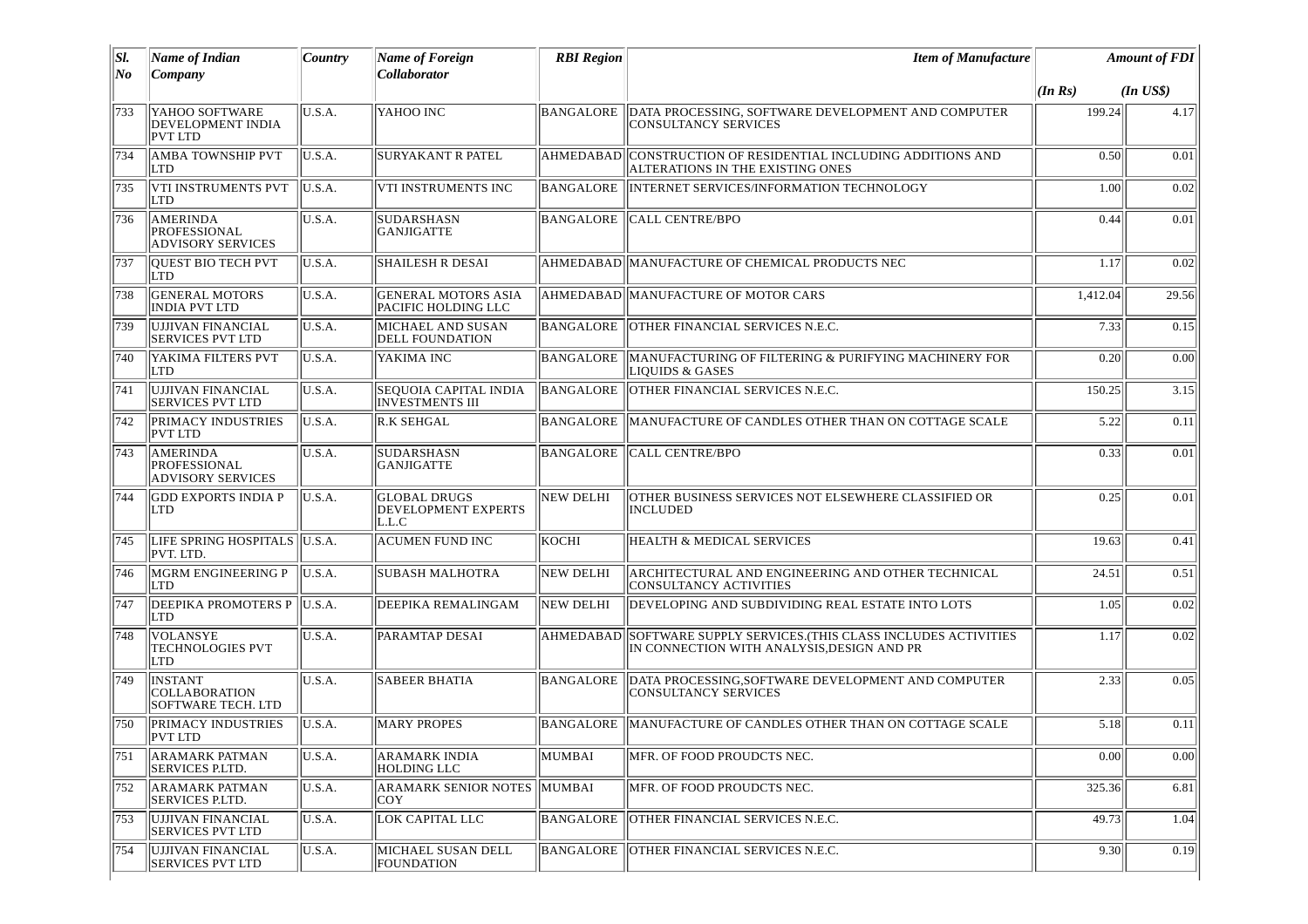| SI.<br>No | Name of Indian<br>Company                                          | Country | Name of Foreign<br>Collaborator                        | <b>RBI</b> Region | <b>Item of Manufacture</b>                                                                              | <b>Amount of FDI</b> |              |
|-----------|--------------------------------------------------------------------|---------|--------------------------------------------------------|-------------------|---------------------------------------------------------------------------------------------------------|----------------------|--------------|
|           |                                                                    |         |                                                        |                   |                                                                                                         | (In Rs)              | $(In$ $US$)$ |
| 733       | YAHOO SOFTWARE<br><b>DEVELOPMENT INDIA</b><br>PVT LTD              | U.S.A.  | YAHOO INC                                              | BANGALORE         | DATA PROCESSING, SOFTWARE DEVELOPMENT AND COMPUTER<br><b>CONSULTANCY SERVICES</b>                       | 199.24               | 4.17         |
| 734       | <b>AMBA TOWNSHIP PVT</b><br><b>LTD</b>                             | U.S.A.  | <b>SURYAKANT R PATEL</b>                               | <b>AHMEDABAD</b>  | CONSTRUCTION OF RESIDENTIAL INCLUDING ADDITIONS AND<br>ALTERATIONS IN THE EXISTING ONES                 | 0.50                 | 0.01         |
| 735       | VTI INSTRUMENTS PVT<br><b>LTD</b>                                  | U.S.A.  | VTI INSTRUMENTS INC                                    | BANGALORE         | INTERNET SERVICES/INFORMATION TECHNOLOGY                                                                | 1.00                 | 0.02         |
| 736       | AMERINDA<br><b>PROFESSIONAL</b><br><b>ADVISORY SERVICES</b>        | U.S.A.  | <b>SUDARSHASN</b><br><b>GANJIGATTE</b>                 | <b>BANGALORE</b>  | <b>CALL CENTRE/BPO</b>                                                                                  | 0.44                 | 0.01         |
| 737       | QUEST BIO TECH PVT<br><b>LTD</b>                                   | U.S.A.  | <b>SHAILESH R DESAI</b>                                |                   | AHMEDABAD  MANUFACTURE OF CHEMICAL PRODUCTS NEC                                                         | 1.17                 | 0.02         |
| 738       | <b>GENERAL MOTORS</b><br><b>INDIA PVT LTD</b>                      | U.S.A.  | <b>GENERAL MOTORS ASIA</b><br>PACIFIC HOLDING LLC      |                   | AHMEDABAD MANUFACTURE OF MOTOR CARS                                                                     | 1,412.04             | 29.56        |
| 739       | UJJIVAN FINANCIAL<br><b>SERVICES PVT LTD</b>                       | U.S.A.  | MICHAEL AND SUSAN<br><b>DELL FOUNDATION</b>            | <b>BANGALORE</b>  | OTHER FINANCIAL SERVICES N.E.C.                                                                         | 7.33                 | 0.15         |
| 740       | YAKIMA FILTERS PVT<br><b>LTD</b>                                   | U.S.A.  | YAKIMA INC                                             | <b>BANGALORE</b>  | MANUFACTURING OF FILTERING & PURIFYING MACHINERY FOR<br><b>LIQUIDS &amp; GASES</b>                      | 0.20                 | 0.00         |
| 741       | UJJIVAN FINANCIAL<br>SERVICES PVT LTD                              | U.S.A.  | <b>SEQUOIA CAPITAL INDIA</b><br><b>INVESTMENTS III</b> | BANGALORE         | OTHER FINANCIAL SERVICES N.E.C.                                                                         | 150.25               | 3.15         |
| 742       | <b>PRIMACY INDUSTRIES</b><br><b>PVT LTD</b>                        | U.S.A.  | <b>R.K SEHGAL</b>                                      | <b>BANGALORE</b>  | MANUFACTURE OF CANDLES OTHER THAN ON COTTAGE SCALE                                                      | 5.22                 | 0.11         |
| 743       | <b>AMERINDA</b><br><b>PROFESSIONAL</b><br><b>ADVISORY SERVICES</b> | U.S.A.  | <b>SUDARSHASN</b><br><b>GANJIGATTE</b>                 | <b>BANGALORE</b>  | <b>CALL CENTRE/BPO</b>                                                                                  | 0.33                 | 0.01         |
| 744       | <b>GDD EXPORTS INDIA P</b><br><b>LTD</b>                           | U.S.A.  | <b>GLOBAL DRUGS</b><br>DEVELOPMENT EXPERTS<br>L.L.C    | <b>NEW DELHI</b>  | OTHER BUSINESS SERVICES NOT ELSEWHERE CLASSIFIED OR<br><b>INCLUDED</b>                                  | 0.25                 | 0.01         |
| 745       | LIFE SPRING HOSPITALS  U.S.A.<br>PVT. LTD.                         |         | <b>ACUMEN FUND INC</b>                                 | KOCHI             | <b>HEALTH &amp; MEDICAL SERVICES</b>                                                                    | 19.63                | 0.41         |
| 746       | MGRM ENGINEERING P<br><b>LTD</b>                                   | U.S.A.  | SUBASH MALHOTRA                                        | <b>NEW DELHI</b>  | ARCHITECTURAL AND ENGINEERING AND OTHER TECHNICAL<br><b>CONSULTANCY ACTIVITIES</b>                      | 24.51                | 0.51         |
| 747       | <b>DEEPIKA PROMOTERS P</b><br><b>LTD</b>                           | U.S.A.  | DEEPIKA REMALINGAM                                     | <b>NEW DELHI</b>  | DEVELOPING AND SUBDIVIDING REAL ESTATE INTO LOTS                                                        | 1.05                 | 0.02         |
| 748       | <i>VOLANSYE</i><br><b>TECHNOLOGIES PVT</b><br>LTD                  | U.S.A.  | PARAMTAP DESAI                                         | AHMEDABAD         | SOFTWARE SUPPLY SERVICES. (THIS CLASS INCLUDES ACTIVITIES<br>IN CONNECTION WITH ANALYSIS, DESIGN AND PR | 1.17                 | 0.02         |
| 749       | <b>INSTANT</b><br><b>COLLABORATION</b><br>SOFTWARE TECH. LTD       | U.S.A.  | <b>SABEER BHATIA</b>                                   | BANGALORE         | DATA PROCESSING, SOFTWARE DEVELOPMENT AND COMPUTER<br><b>CONSULTANCY SERVICES</b>                       | 2.33                 | 0.05         |
| 750       | <b>PRIMACY INDUSTRIES</b><br><b>PVT LTD</b>                        | U.S.A.  | <b>MARY PROPES</b>                                     | BANGALORE         | MANUFACTURE OF CANDLES OTHER THAN ON COTTAGE SCALE                                                      | 5.18                 | 0.11         |
| 751       | <b>ARAMARK PATMAN</b><br>SERVICES P.LTD.                           | U.S.A.  | <b>ARAMARK INDIA</b><br><b>HOLDING LLC</b>             | MUMBAI            | MFR. OF FOOD PROUDCTS NEC.                                                                              | 0.00                 | 0.00         |
| 752       | <b>ARAMARK PATMAN</b><br><b>SERVICES P.LTD.</b>                    | U.S.A.  | ARAMARK SENIOR NOTES MUMBAI<br>COY                     |                   | MFR. OF FOOD PROUDCTS NEC.                                                                              | 325.36               | 6.81         |
| 753       | UJJIVAN FINANCIAL<br><b>SERVICES PVT LTD</b>                       | U.S.A.  | <b>LOK CAPITAL LLC</b>                                 | BANGALORE         | OTHER FINANCIAL SERVICES N.E.C.                                                                         | 49.73                | 1.04         |
| 754       | UJJIVAN FINANCIAL<br><b>SERVICES PVT LTD</b>                       | U.S.A.  | MICHAEL SUSAN DELL<br><b>FOUNDATION</b>                | <b>BANGALORE</b>  | OTHER FINANCIAL SERVICES N.E.C.                                                                         | 9.30                 | 0.19         |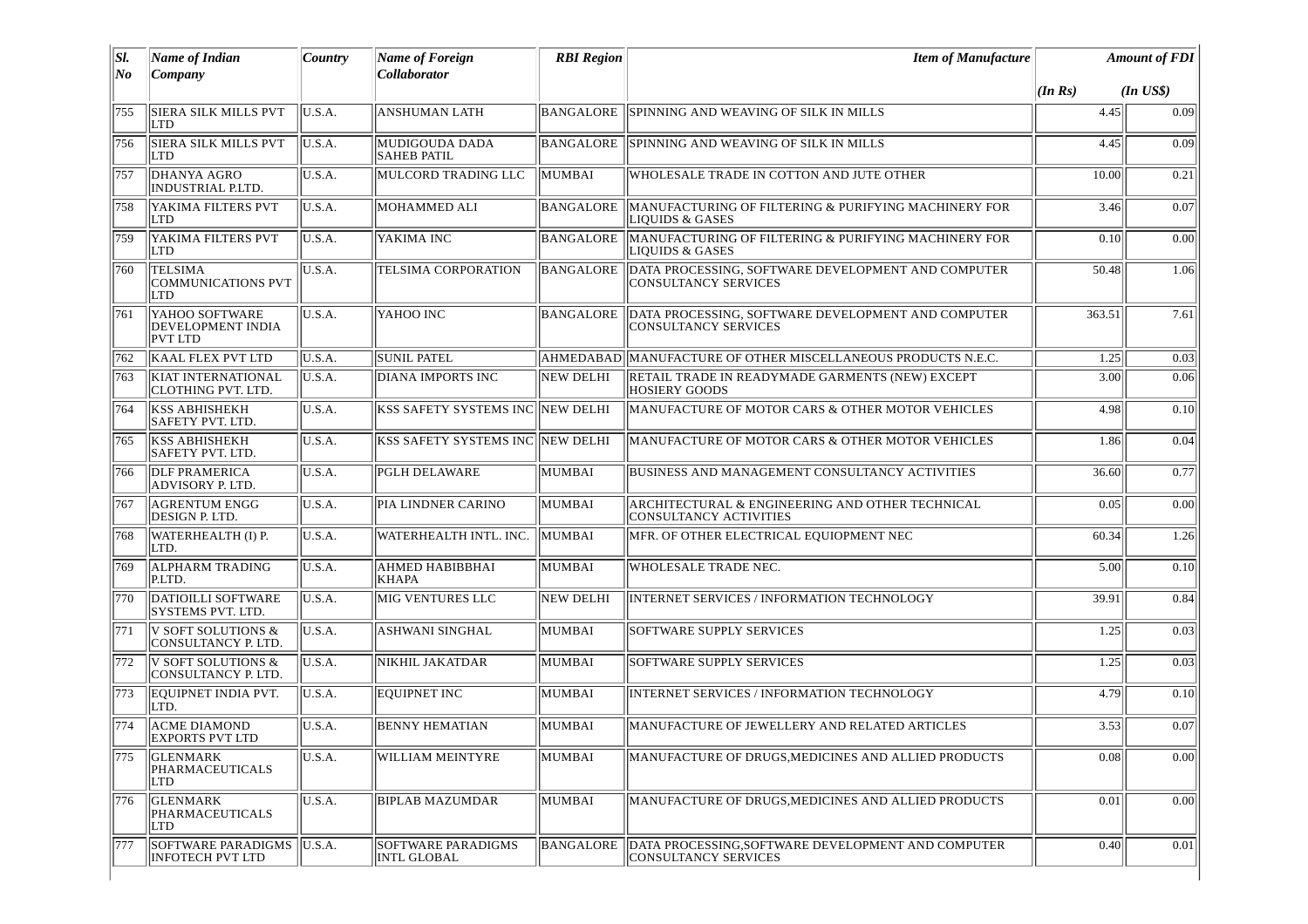| SI.<br>No | <b>Name of Indian</b><br>Company                                    | Country | Name of Foreign<br><b>Collaborator</b>   | <b>RBI</b> Region | <b>Item of Manufacture</b>                                                         |         | <b>Amount of FDI</b> |  |
|-----------|---------------------------------------------------------------------|---------|------------------------------------------|-------------------|------------------------------------------------------------------------------------|---------|----------------------|--|
|           |                                                                     |         |                                          |                   |                                                                                    | (In Rs) | $(In$ $US$)$         |  |
| 755       | <b>SIERA SILK MILLS PVT</b><br><b>LTD</b>                           | U.S.A.  | <b>ANSHUMAN LATH</b>                     | BANGALORE         | SPINNING AND WEAVING OF SILK IN MILLS                                              | 4.45    | 0.09                 |  |
| 756       | <b>SIERA SILK MILLS PVT</b><br> LTD                                 | U.S.A.  | MUDIGOUDA DADA<br><b>SAHEB PATIL</b>     | <b>BANGALORE</b>  | SPINNING AND WEAVING OF SILK IN MILLS                                              | 4.45    | 0.09                 |  |
| 757       | <b>DHANYA AGRO</b><br>INDUSTRIAL P.LTD.                             | U.S.A.  | MULCORD TRADING LLC                      | MUMBAI            | WHOLESALE TRADE IN COTTON AND JUTE OTHER                                           | 10.00   | 0.21                 |  |
| 758       | YAKIMA FILTERS PVT<br><b>LTD</b>                                    | U.S.A.  | MOHAMMED ALI                             | <b>BANGALORE</b>  | MANUFACTURING OF FILTERING & PURIFYING MACHINERY FOR<br><b>LIQUIDS &amp; GASES</b> | 3.46    | 0.07                 |  |
| 759       | YAKIMA FILTERS PVT<br>LTD                                           | U.S.A.  | YAKIMA INC                               | BANGALORE         | MANUFACTURING OF FILTERING & PURIFYING MACHINERY FOR<br><b>LIQUIDS &amp; GASES</b> | 0.10    | 0.00                 |  |
| 760       | <b>TELSIMA</b><br><b>COMMUNICATIONS PVT</b><br>LTD                  | U.S.A.  | TELSIMA CORPORATION                      | BANGALORE         | DATA PROCESSING, SOFTWARE DEVELOPMENT AND COMPUTER<br><b>CONSULTANCY SERVICES</b>  | 50.48   | 1.06                 |  |
| 761       | <b>YAHOO SOFTWARE</b><br><b>DEVELOPMENT INDIA</b><br><b>PVT LTD</b> | U.S.A.  | YAHOO INC                                | <b>BANGALORE</b>  | DATA PROCESSING, SOFTWARE DEVELOPMENT AND COMPUTER<br><b>CONSULTANCY SERVICES</b>  | 363.51  | 7.61                 |  |
| 762       | <b>KAAL FLEX PVT LTD</b>                                            | U.S.A.  | <b>SUNIL PATEL</b>                       |                   | AHMEDABAD MANUFACTURE OF OTHER MISCELLANEOUS PRODUCTS N.E.C.                       | 1.25    | 0.03                 |  |
| 763       | <b>KIAT INTERNATIONAL</b><br><b>CLOTHING PVT. LTD.</b>              | U.S.A.  | <b>DIANA IMPORTS INC</b>                 | NEW DELHI         | RETAIL TRADE IN READYMADE GARMENTS (NEW) EXCEPT<br><b>HOSIERY GOODS</b>            | 3.00    | 0.06                 |  |
| 764       | <b>KSS ABHISHEKH</b><br>SAFETY PVT. LTD.                            | U.S.A.  | KSS SAFETY SYSTEMS INC NEW DELHI         |                   | MANUFACTURE OF MOTOR CARS & OTHER MOTOR VEHICLES                                   | 4.98    | 0.10                 |  |
| 765       | <b>KSS ABHISHEKH</b><br><b>SAFETY PVT. LTD.</b>                     | U.S.A.  | <b>KSS SAFETY SYSTEMS INC INEW DELHI</b> |                   | MANUFACTURE OF MOTOR CARS & OTHER MOTOR VEHICLES                                   | 1.86    | 0.04                 |  |
| 766       | <b>DLF PRAMERICA</b><br>ADVISORY P. LTD.                            | U.S.A.  | <b>PGLH DELAWARE</b>                     | MUMBAI            | BUSINESS AND MANAGEMENT CONSULTANCY ACTIVITIES                                     | 36.60   | 0.77                 |  |
| 767       | <b>AGRENTUM ENGG</b><br><b>DESIGN P. LTD.</b>                       | U.S.A.  | PIA LINDNER CARINO                       | MUMBAI            | ARCHITECTURAL & ENGINEERING AND OTHER TECHNICAL<br><b>CONSULTANCY ACTIVITIES</b>   | 0.05    | 0.00                 |  |
| 768       | WATERHEALTH (I) P.<br>LTD.                                          | U.S.A.  | WATERHEALTH INTL. INC.                   | MUMBAI            | MFR. OF OTHER ELECTRICAL EQUIOPMENT NEC                                            | 60.34   | 1.26                 |  |
| 769       | <b>ALPHARM TRADING</b><br>P.LTD.                                    | U.S.A.  | AHMED HABIBBHAI<br><b>KHAPA</b>          | MUMBAI            | WHOLESALE TRADE NEC.                                                               | 5.00    | 0.10                 |  |
| 770       | DATIOILLI SOFTWARE<br><b>SYSTEMS PVT. LTD.</b>                      | U.S.A.  | <b>MIG VENTURES LLC</b>                  | <b>NEW DELHI</b>  | <b>INTERNET SERVICES / INFORMATION TECHNOLOGY</b>                                  | 39.91   | 0.84                 |  |
| 771       | V SOFT SOLUTIONS &<br>CONSULTANCY P. LTD.                           | U.S.A.  | ASHWANI SINGHAL                          | MUMBAI            | <b>SOFTWARE SUPPLY SERVICES</b>                                                    | 1.25    | 0.03                 |  |
| 772       | V SOFT SOLUTIONS &<br><b>CONSULTANCY P. LTD.</b>                    | U.S.A.  | NIKHIL JAKATDAR                          | MUMBAI            | <b>SOFTWARE SUPPLY SERVICES</b>                                                    | 1.25    | 0.03                 |  |
| 773       | <b>EQUIPNET INDIA PVT.</b><br>LTD.                                  | U.S.A.  | <b>EOUIPNET INC</b>                      | MUMBAI            | <b>INTERNET SERVICES / INFORMATION TECHNOLOGY</b>                                  | 4.79    | 0.10                 |  |
| 774       | <b>ACME DIAMOND</b><br> EXPORTS PVT LTD                             | U.S.A.  | <b>BENNY HEMATIAN</b>                    | MUMBAI            | MANUFACTURE OF JEWELLERY AND RELATED ARTICLES                                      | 3.53    | 0.07                 |  |
| 775       | <b>GLENMARK</b><br>PHARMACEUTICALS<br>LTD                           | U.S.A.  | <b>WILLIAM MEINTYRE</b>                  | MUMBAI            | MANUFACTURE OF DRUGS, MEDICINES AND ALLIED PRODUCTS                                | 0.08    | 0.00                 |  |
| 776       | <b>GLENMARK</b><br>PHARMACEUTICALS<br>LTD                           | U.S.A.  | <b>BIPLAB MAZUMDAR</b>                   | MUMBAI            | MANUFACTURE OF DRUGS, MEDICINES AND ALLIED PRODUCTS                                | 0.01    | 0.00                 |  |
| 777       | SOFTWARE PARADIGMS<br>INFOTECH PVT LTD                              | U.S.A.  | <b>SOFTWARE PARADIGMS</b><br>INTL GLOBAL | <b>BANGALORE</b>  | DATA PROCESSING, SOFTWARE DEVELOPMENT AND COMPUTER<br><b>CONSULTANCY SERVICES</b>  | 0.40    | 0.01                 |  |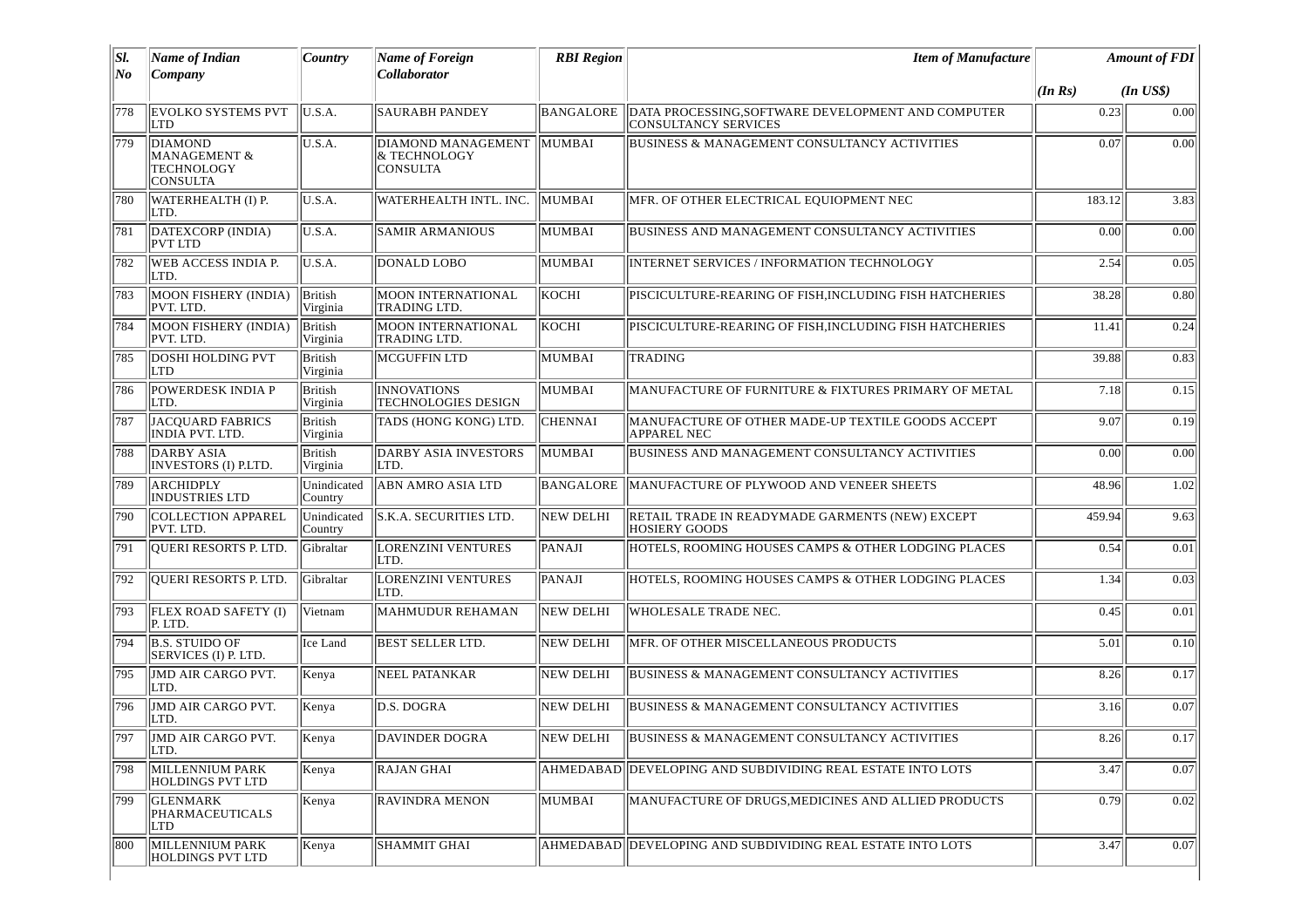| SI.  | <b>Name of Indian</b>                                                      | Country                    | <b>Name of Foreign</b>                                | <b>RBI</b> Region | <b>Item of Manufacture</b>                                                           | <b>Amount of FDI</b> |              |
|------|----------------------------------------------------------------------------|----------------------------|-------------------------------------------------------|-------------------|--------------------------------------------------------------------------------------|----------------------|--------------|
| No   | Company                                                                    |                            | Collaborator                                          |                   |                                                                                      | (In Rs)              | $(In$ $US$)$ |
| 778  | <b>EVOLKO SYSTEMS PVT</b><br><b>LTD</b>                                    | U.S.A.                     | <b>SAURABH PANDEY</b>                                 |                   | BANGALORE DATA PROCESSING, SOFTWARE DEVELOPMENT AND COMPUTER<br>CONSULTANCY SERVICES | 0.23                 | 0.00         |
| 779  | <b>DIAMOND</b><br><b>MANAGEMENT &amp;</b><br>TECHNOLOGY<br><b>CONSULTA</b> | U.S.A.                     | DIAMOND MANAGEMENT<br>& TECHNOLOGY<br><b>CONSULTA</b> | MUMBAI            | BUSINESS & MANAGEMENT CONSULTANCY ACTIVITIES                                         | 0.07                 | 0.00         |
| 780  | WATERHEALTH (I) P.<br>LTD.                                                 | U.S.A.                     | WATERHEALTH INTL. INC.                                | <b>MUMBAI</b>     | MFR. OF OTHER ELECTRICAL EQUIOPMENT NEC                                              | 183.12               | 3.83         |
| 781  | DATEXCORP (INDIA)<br>PVT LTD                                               | U.S.A.                     | <b>SAMIR ARMANIOUS</b>                                | MUMBAI            | <b>BUSINESS AND MANAGEMENT CONSULTANCY ACTIVITIES</b>                                | 0.00                 | 0.00         |
| 782  | <b>WEB ACCESS INDIA P.</b><br>LTD.                                         | U.S.A.                     | DONALD LOBO                                           | <b>MUMBAI</b>     | INTERNET SERVICES / INFORMATION TECHNOLOGY                                           | 2.54                 | 0.05         |
| 783  | MOON FISHERY (INDIA)<br>PVT. LTD.                                          | <b>British</b><br>Virginia | <b>MOON INTERNATIONAL</b><br>TRADING LTD.             | KOCHI             | PISCICULTURE-REARING OF FISH, INCLUDING FISH HATCHERIES                              | 38.28                | 0.80         |
| 784  | MOON FISHERY (INDIA)<br>PVT. LTD.                                          | British<br>Virginia        | <b>MOON INTERNATIONAL</b><br>TRADING LTD.             | KOCHI             | PISCICULTURE-REARING OF FISH, INCLUDING FISH HATCHERIES                              | 11.41                | 0.24         |
| 785  | DOSHI HOLDING PVT<br>LTD                                                   | British<br>Virginia        | <b>MCGUFFIN LTD</b>                                   | MUMBAI            | <b>TRADING</b>                                                                       | 39.88                | 0.83         |
| 786  | POWERDESK INDIA P<br>LTD.                                                  | British<br>Virginia        | <b>INNOVATIONS</b><br><b>TECHNOLOGIES DESIGN</b>      | MUMBAI            | MANUFACTURE OF FURNITURE & FIXTURES PRIMARY OF METAL                                 | 7.18                 | 0.15         |
| 787  | JACQUARD FABRICS<br>INDIA PVT. LTD.                                        | <b>British</b><br>Virginia | TADS (HONG KONG) LTD.                                 | <b>CHENNAI</b>    | MANUFACTURE OF OTHER MADE-UP TEXTILE GOODS ACCEPT<br><b>APPAREL NEC</b>              | 9.07                 | 0.19         |
| 788  | DARBY ASIA<br>INVESTORS (I) P.LTD.                                         | <b>British</b><br>Virginia | DARBY ASIA INVESTORS<br>LTD.                          | MUMBAI            | BUSINESS AND MANAGEMENT CONSULTANCY ACTIVITIES                                       | 0.00                 | 0.00         |
| 789  | <b>ARCHIDPLY</b><br><b>INDUSTRIES LTD</b>                                  | Unindicated<br>Country     | ABN AMRO ASIA LTD                                     | BANGALORE         | MANUFACTURE OF PLYWOOD AND VENEER SHEETS                                             | 48.96                | 1.02         |
| 790  | <b>COLLECTION APPAREL</b><br>PVT. LTD.                                     | Unindicated<br>Country     | S.K.A. SECURITIES LTD.                                | NEW DELHI         | RETAIL TRADE IN READYMADE GARMENTS (NEW) EXCEPT<br><b>HOSIERY GOODS</b>              | 459.94               | 9.63         |
| 791  | QUERI RESORTS P. LTD.                                                      | Gibraltar                  | <b>LORENZINI VENTURES</b><br>LTD.                     | PANAJI            | HOTELS, ROOMING HOUSES CAMPS & OTHER LODGING PLACES                                  | 0.54                 | 0.01         |
| 792  | <b>QUERI RESORTS P. LTD.</b>                                               | Gibraltar                  | <b>LORENZINI VENTURES</b><br>ILTD.                    | PANAJI            | HOTELS, ROOMING HOUSES CAMPS & OTHER LODGING PLACES                                  | 1.34                 | 0.03         |
| 793  | <b>FLEX ROAD SAFETY (I)</b><br>P. LTD.                                     | Vietnam                    | MAHMUDUR REHAMAN                                      | <b>NEW DELHI</b>  | WHOLESALE TRADE NEC.                                                                 | 0.45                 | 0.01         |
| 794  | <b>B.S. STUIDO OF</b><br>SERVICES (I) P. LTD.                              | Ice Land                   | <b>BEST SELLER LTD.</b>                               | <b>NEW DELHI</b>  | MFR. OF OTHER MISCELLANEOUS PRODUCTS                                                 | 5.01                 | 0.10         |
| 795  | JMD AIR CARGO PVT.<br>LTD.                                                 | Kenya                      | NEEL PATANKAR                                         | <b>NEW DELHI</b>  | <b>BUSINESS &amp; MANAGEMENT CONSULTANCY ACTIVITIES</b>                              | 8.26                 | 0.17         |
| 796  | <b>JMD AIR CARGO PVT.</b><br>LTD.                                          | Kenya                      | D.S. DOGRA                                            | <b>NEW DELHI</b>  | <b>BUSINESS &amp; MANAGEMENT CONSULTANCY ACTIVITIES</b>                              | 3.16                 | 0.07         |
| 1797 | JMD AIR CARGO PVT.<br>LTD.                                                 | Kenya                      | <b>DAVINDER DOGRA</b>                                 | NEW DELHI         | BUSINESS & MANAGEMENT CONSULTANCY ACTIVITIES                                         | 8.26                 | 0.17         |
| 798  | MILLENNIUM PARK<br><b>HOLDINGS PVT LTD</b>                                 | Kenya                      | <b>RAJAN GHAI</b>                                     |                   | AHMEDABAD  DEVELOPING AND SUBDIVIDING REAL ESTATE INTO LOTS                          | 3.47                 | 0.07         |
| 799  | <b>GLENMARK</b><br>PHARMACEUTICALS<br>LTD                                  | Kenya                      | <b>RAVINDRA MENON</b>                                 | MUMBAI            | MANUFACTURE OF DRUGS, MEDICINES AND ALLIED PRODUCTS                                  | 0.79                 | 0.02         |
| 800  | MILLENNIUM PARK<br><b>HOLDINGS PVT LTD</b>                                 | Kenya                      | SHAMMIT GHAI                                          |                   | AHMEDABAD  DEVELOPING AND SUBDIVIDING REAL ESTATE INTO LOTS                          | 3.47                 | 0.07         |